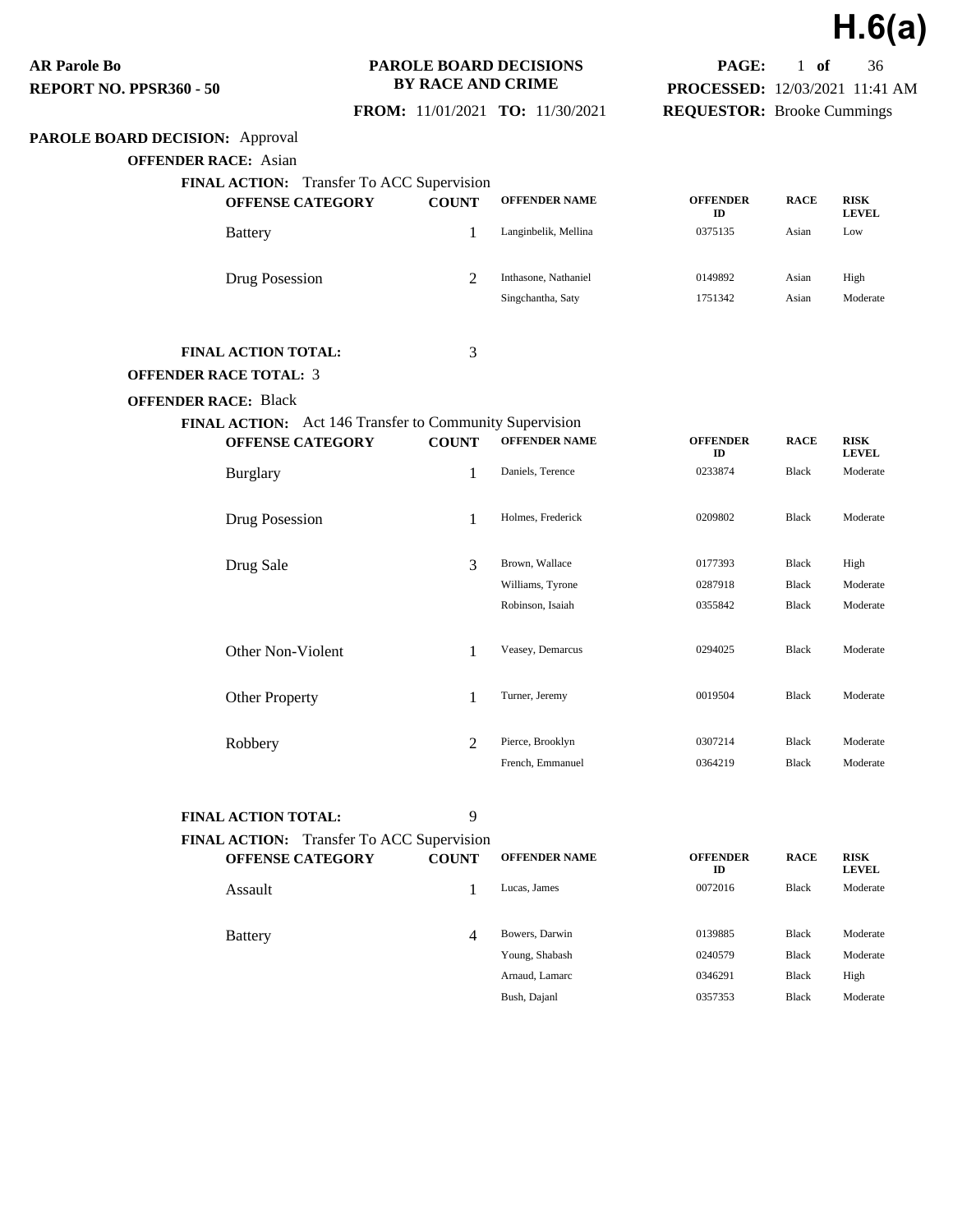**H.6(a)**

**PAGE:** 1 **of** 36 **PROCESSED:** 12/03/2021 11:41 AM **REQUESTOR:** Brooke Cummings

**AR Parole Bo REPORT NO. PPSR360 - 50**

### **PAROLE BOARD DECISIONS BY RACE AND CRIME**

 **FROM:** 11/01/2021 **TO:** 11/30/2021

## **PAROLE BOARD DECISION:** Approval

**OFFENDER RACE:** Asian

| <b>FINAL ACTION:</b> Transfer To ACC Supervision<br><b>OFFENSE CATEGORY</b> | <b>COUNT</b>   | <b>OFFENDER NAME</b>                      | <b>OFFENDER</b><br>ID | <b>RACE</b>    | <b>RISK</b><br><b>LEVEL</b> |
|-----------------------------------------------------------------------------|----------------|-------------------------------------------|-----------------------|----------------|-----------------------------|
| <b>Battery</b>                                                              |                | Langinbelik, Mellina                      | 0375135               | Asian          | Low                         |
| Drug Posession                                                              | $\overline{c}$ | Inthasone, Nathaniel<br>Singchantha, Saty | 0149892<br>1751342    | Asian<br>Asian | High<br>Moderate            |
| _________________                                                           |                |                                           |                       |                |                             |

### **FINAL ACTION TOTAL:** 3

#### **OFFENDER RACE TOTAL:** 3

#### **OFFENDER RACE:** Black

| <b>FINAL ACTION:</b> Act 146 Transfer to Community Supervision |                |                      |                       |              |                             |  |  |  |  |
|----------------------------------------------------------------|----------------|----------------------|-----------------------|--------------|-----------------------------|--|--|--|--|
| <b>OFFENSE CATEGORY</b>                                        | <b>COUNT</b>   | <b>OFFENDER NAME</b> | <b>OFFENDER</b><br>ID | <b>RACE</b>  | <b>RISK</b><br><b>LEVEL</b> |  |  |  |  |
| <b>Burglary</b>                                                | 1              | Daniels, Terence     | 0233874               | Black        | Moderate                    |  |  |  |  |
| Drug Posession                                                 | 1              | Holmes, Frederick    | 0209802               | <b>Black</b> | Moderate                    |  |  |  |  |
| Drug Sale                                                      | 3              | Brown, Wallace       | 0177393               | Black        | High                        |  |  |  |  |
|                                                                |                | Williams, Tyrone     | 0287918               | Black        | Moderate                    |  |  |  |  |
|                                                                |                | Robinson, Isaiah     | 0355842               | Black        | Moderate                    |  |  |  |  |
| Other Non-Violent                                              | 1              | Veasey, Demarcus     | 0294025               | Black        | Moderate                    |  |  |  |  |
| <b>Other Property</b>                                          | 1              | Turner, Jeremy       | 0019504               | Black        | Moderate                    |  |  |  |  |
| Robbery                                                        | $\overline{2}$ | Pierce, Brooklyn     | 0307214               | Black        | Moderate                    |  |  |  |  |
|                                                                |                | French, Emmanuel     | 0364219               | <b>Black</b> | Moderate                    |  |  |  |  |

**FINAL ACTION TOTAL:** 9

| FINAL ACTION: Transfer To ACC Supervision<br><b>OFFENSE CATEGORY</b> | <b>COUNT</b> | <b>OFFENDER NAME</b> | <b>OFFENDER</b><br>ID | <b>RACE</b>  | <b>RISK</b><br><b>LEVEL</b> |
|----------------------------------------------------------------------|--------------|----------------------|-----------------------|--------------|-----------------------------|
| Assault                                                              |              | Lucas, James         | 0072016               | Black        | Moderate                    |
| <b>Battery</b>                                                       | 4            | Bowers, Darwin       | 0139885               | <b>Black</b> | Moderate                    |
|                                                                      |              | Young, Shabash       | 0240579               | <b>Black</b> | Moderate                    |
|                                                                      |              | Arnaud, Lamarc       | 0346291               | <b>Black</b> | High                        |
|                                                                      |              | Bush, Dajanl         | 0357353               | <b>Black</b> | Moderate                    |
|                                                                      |              |                      |                       |              |                             |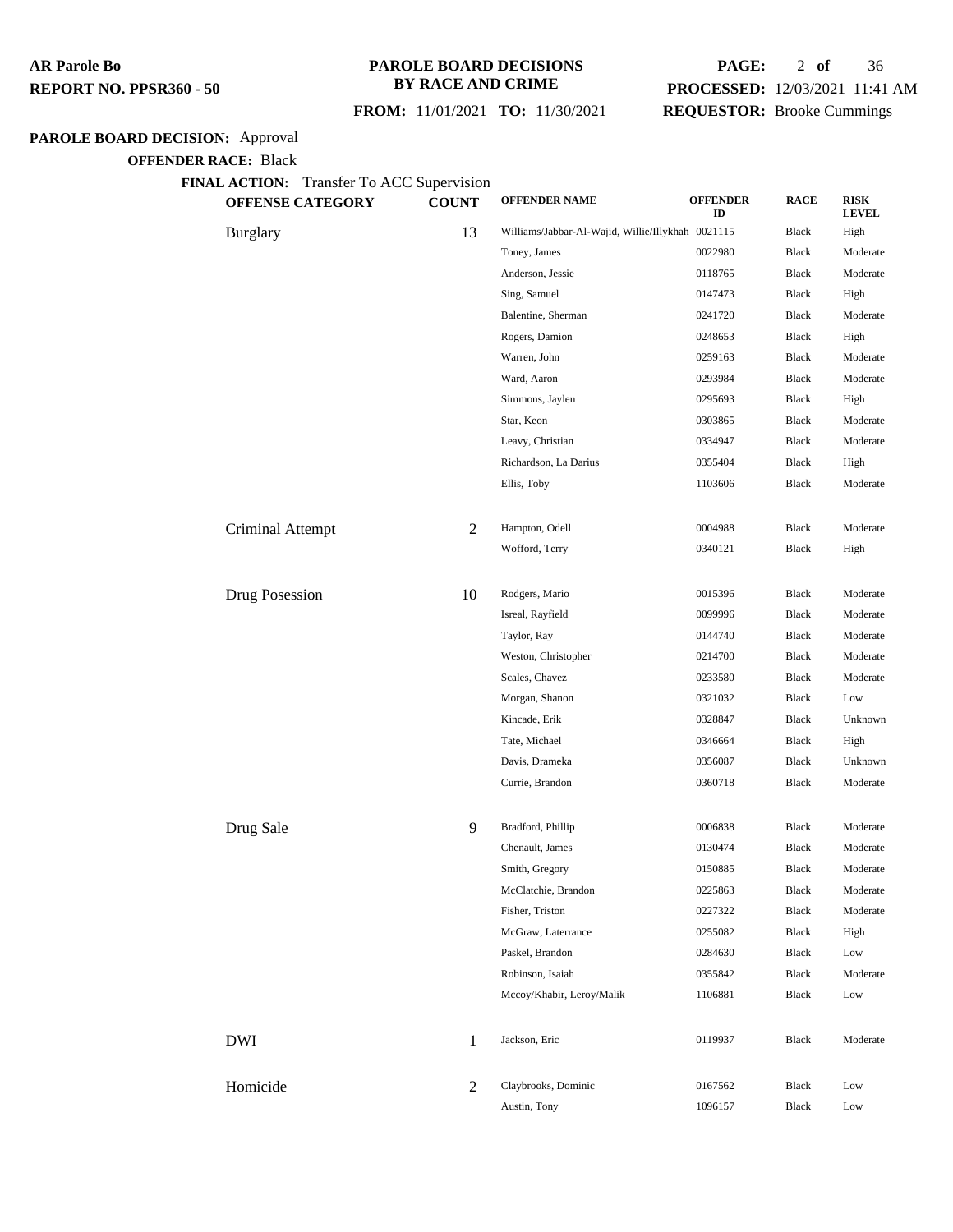### **PAROLE BOARD DECISIONS BY RACE AND CRIME**

### **PAGE:** 2 **of** 36 **PROCESSED:** 12/03/2021 11:41 AM

 **FROM:** 11/01/2021 **TO:** 11/30/2021

## **REQUESTOR:** Brooke Cummings

## **PAROLE BOARD DECISION:** Approval

**OFFENDER RACE:** Black

**FINAL ACTION:** Transfer To ACC Supervision

| <b>OFFENSE CATEGORY</b> | <b>COUNT</b>   | <b>OFFENDER NAME</b>                              | <b>OFFENDER</b><br>ID | <b>RACE</b>  | <b>RISK</b><br><b>LEVEL</b> |
|-------------------------|----------------|---------------------------------------------------|-----------------------|--------------|-----------------------------|
| <b>Burglary</b>         | 13             | Williams/Jabbar-Al-Wajid, Willie/Illykhah 0021115 |                       | Black        | High                        |
|                         |                | Toney, James                                      | 0022980               | Black        | Moderate                    |
|                         |                | Anderson, Jessie                                  | 0118765               | <b>Black</b> | Moderate                    |
|                         |                | Sing, Samuel                                      | 0147473               | Black        | High                        |
|                         |                | Balentine, Sherman                                | 0241720               | Black        | Moderate                    |
|                         |                | Rogers, Damion                                    | 0248653               | Black        | High                        |
|                         |                | Warren, John                                      | 0259163               | Black        | Moderate                    |
|                         |                | Ward, Aaron                                       | 0293984               | Black        | Moderate                    |
|                         |                | Simmons, Jaylen                                   | 0295693               | Black        | High                        |
|                         |                | Star, Keon                                        | 0303865               | Black        | Moderate                    |
|                         |                | Leavy, Christian                                  | 0334947               | Black        | Moderate                    |
|                         |                | Richardson, La Darius                             | 0355404               | Black        | High                        |
|                         |                | Ellis, Toby                                       | 1103606               | Black        | Moderate                    |
| Criminal Attempt        | $\overline{c}$ | Hampton, Odell                                    | 0004988               | Black        | Moderate                    |
|                         |                | Wofford, Terry                                    | 0340121               | Black        | High                        |
| Drug Posession          | 10             | Rodgers, Mario                                    | 0015396               | Black        | Moderate                    |
|                         |                | Isreal, Rayfield                                  | 0099996               | <b>Black</b> | Moderate                    |
|                         |                | Taylor, Ray                                       | 0144740               | Black        | Moderate                    |
|                         |                | Weston, Christopher                               | 0214700               | Black        | Moderate                    |
|                         |                | Scales, Chavez                                    | 0233580               | Black        | Moderate                    |
|                         |                | Morgan, Shanon                                    | 0321032               | Black        | Low                         |
|                         |                | Kincade, Erik                                     | 0328847               | Black        | Unknown                     |
|                         |                | Tate, Michael                                     | 0346664               | Black        | High                        |
|                         |                | Davis, Drameka                                    | 0356087               | Black        | Unknown                     |
|                         |                | Currie, Brandon                                   | 0360718               | Black        | Moderate                    |
| Drug Sale               | 9              | Bradford, Phillip                                 | 0006838               | Black        | Moderate                    |
|                         |                | Chenault, James                                   | 0130474               | Black        | Moderate                    |
|                         |                | Smith, Gregory                                    | 0150885               | Black        | Moderate                    |
|                         |                | McClatchie, Brandon                               | 0225863               | Black        | Moderate                    |
|                         |                | Fisher, Triston                                   | 0227322               | Black        | Moderate                    |
|                         |                | McGraw, Laterrance                                | 0255082               | Black        | High                        |
|                         |                | Paskel, Brandon                                   | 0284630               | Black        | Low                         |
|                         |                | Robinson, Isaiah                                  | 0355842               | Black        | Moderate                    |
|                         |                | Mccoy/Khabir, Leroy/Malik                         | 1106881               | <b>Black</b> | Low                         |
| <b>DWI</b>              | 1              | Jackson, Eric                                     | 0119937               | Black        | Moderate                    |
| Homicide                | $\overline{2}$ | Claybrooks, Dominic                               | 0167562               | Black        | Low                         |
|                         |                | Austin, Tony                                      | 1096157               | Black        | Low                         |
|                         |                |                                                   |                       |              |                             |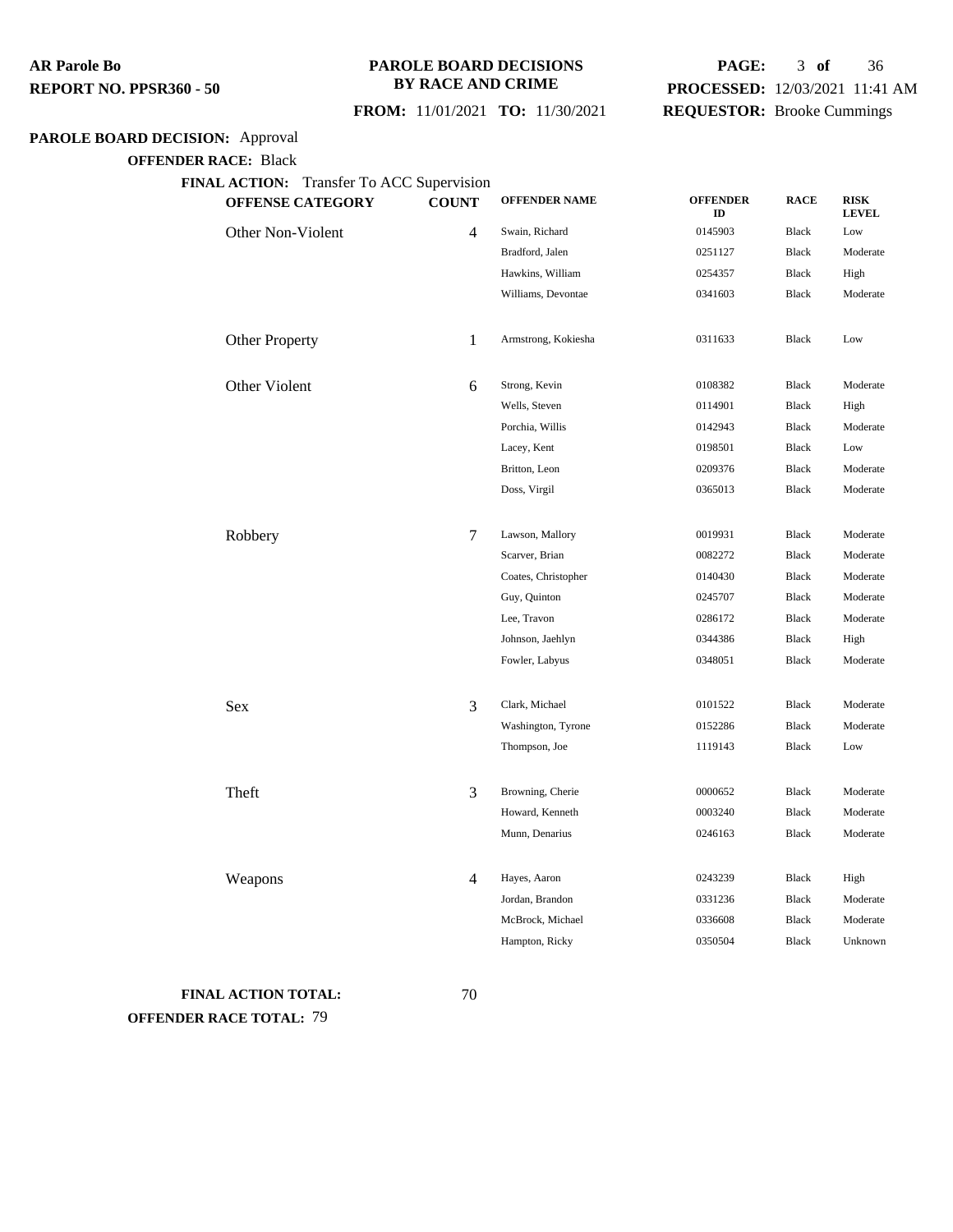### **PAROLE BOARD DECISIONS BY RACE AND CRIME**

## **PAGE:** 3 **of** 36 **PROCESSED:** 12/03/2021 11:41 AM **REQUESTOR:** Brooke Cummings

 **FROM:** 11/01/2021 **TO:** 11/30/2021

## **PAROLE BOARD DECISION:** Approval

**OFFENDER RACE:** Black

**FINAL ACTION:** Transfer To ACC Supervision

| <b>OFFENSE CATEGORY</b> | <b>COUNT</b> | <b>OFFENDER NAME</b> | <b>OFFENDER</b><br>ID | <b>RACE</b>  | <b>RISK</b><br><b>LEVEL</b> |
|-------------------------|--------------|----------------------|-----------------------|--------------|-----------------------------|
| Other Non-Violent       | 4            | Swain, Richard       | 0145903               | Black        | Low                         |
|                         |              | Bradford, Jalen      | 0251127               | <b>Black</b> | Moderate                    |
|                         |              | Hawkins, William     | 0254357               | <b>Black</b> | High                        |
|                         |              | Williams, Devontae   | 0341603               | <b>Black</b> | Moderate                    |
| Other Property          | $\mathbf{1}$ | Armstrong, Kokiesha  | 0311633               | <b>Black</b> | Low                         |
| Other Violent           | 6            | Strong, Kevin        | 0108382               | <b>Black</b> | Moderate                    |
|                         |              | Wells, Steven        | 0114901               | <b>Black</b> | High                        |
|                         |              | Porchia, Willis      | 0142943               | <b>Black</b> | Moderate                    |
|                         |              | Lacey, Kent          | 0198501               | <b>Black</b> | Low                         |
|                         |              | Britton, Leon        | 0209376               | <b>Black</b> | Moderate                    |
|                         |              | Doss, Virgil         | 0365013               | <b>Black</b> | Moderate                    |
|                         |              |                      |                       |              |                             |
| Robbery                 | 7            | Lawson, Mallory      | 0019931               | <b>Black</b> | Moderate                    |
|                         |              | Scarver, Brian       | 0082272               | <b>Black</b> | Moderate                    |
|                         |              | Coates, Christopher  | 0140430               | <b>Black</b> | Moderate                    |
|                         |              | Guy, Quinton         | 0245707               | Black        | Moderate                    |
|                         |              | Lee, Travon          | 0286172               | <b>Black</b> | Moderate                    |
|                         |              | Johnson, Jaehlyn     | 0344386               | <b>Black</b> | High                        |
|                         |              | Fowler, Labyus       | 0348051               | Black        | Moderate                    |
|                         |              |                      |                       |              |                             |
| Sex                     | 3            | Clark, Michael       | 0101522               | Black        | Moderate                    |
|                         |              | Washington, Tyrone   | 0152286               | <b>Black</b> | Moderate                    |
|                         |              | Thompson, Joe        | 1119143               | <b>Black</b> | Low                         |
| Theft                   | 3            | Browning, Cherie     | 0000652               | <b>Black</b> | Moderate                    |
|                         |              | Howard, Kenneth      | 0003240               | <b>Black</b> | Moderate                    |
|                         |              | Munn, Denarius       | 0246163               | <b>Black</b> | Moderate                    |
|                         |              |                      |                       |              |                             |
| Weapons                 | 4            | Hayes, Aaron         | 0243239               | <b>Black</b> | High                        |
|                         |              | Jordan, Brandon      | 0331236               | Black        | Moderate                    |
|                         |              | McBrock, Michael     | 0336608               | <b>Black</b> | Moderate                    |
|                         |              | Hampton, Ricky       | 0350504               | <b>Black</b> | Unknown                     |

## **FINAL ACTION TOTAL:** 70 **OFFENDER RACE TOTAL:** 79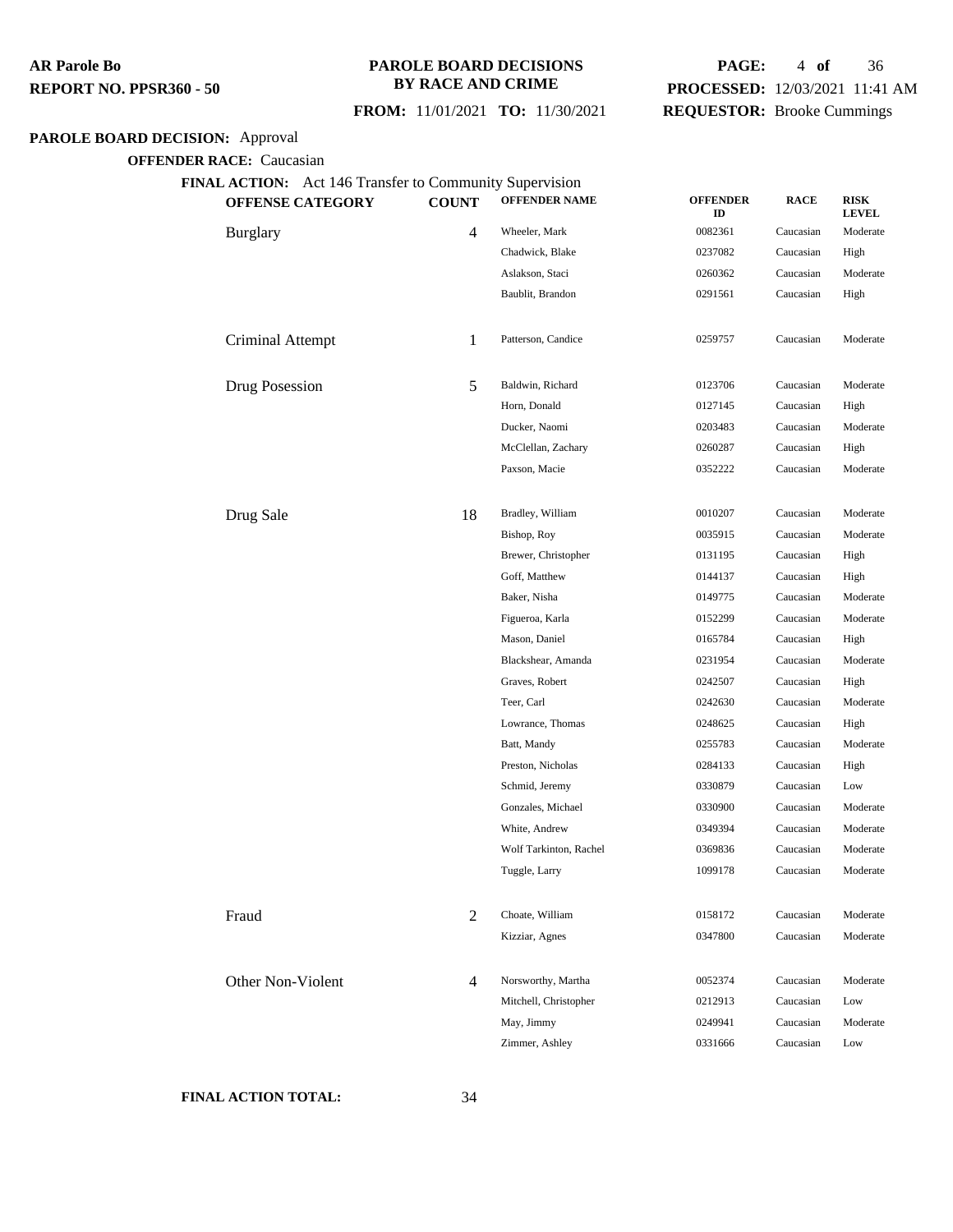#### **PAROLE BOARD DECISIONS BY RACE AND CRIME**

### **FROM:** 11/01/2021 **TO:** 11/30/2021

## **PAGE:** 4 **of** 36 **PROCESSED:** 12/03/2021 11:41 AM **REQUESTOR:** Brooke Cummings

## **PAROLE BOARD DECISION:** Approval

**OFFENDER RACE:** Caucasian

| <b>OFFENSE CATEGORY</b> | <b>COUNT</b>   | <b>OFFENDER NAME</b>   | <b>OFFENDER</b><br>ID | <b>RACE</b> | <b>RISK</b><br><b>LEVEL</b> |
|-------------------------|----------------|------------------------|-----------------------|-------------|-----------------------------|
| <b>Burglary</b>         | $\overline{4}$ | Wheeler, Mark          | 0082361               | Caucasian   | Moderate                    |
|                         |                | Chadwick, Blake        | 0237082               | Caucasian   | High                        |
|                         |                | Aslakson, Staci        | 0260362               | Caucasian   | Moderate                    |
|                         |                | Baublit, Brandon       | 0291561               | Caucasian   | High                        |
| Criminal Attempt        | 1              | Patterson, Candice     | 0259757               | Caucasian   | Moderate                    |
| Drug Posession          | 5              | Baldwin, Richard       | 0123706               | Caucasian   | Moderate                    |
|                         |                | Horn, Donald           | 0127145               | Caucasian   | High                        |
|                         |                | Ducker, Naomi          | 0203483               | Caucasian   | Moderate                    |
|                         |                | McClellan, Zachary     | 0260287               | Caucasian   | High                        |
|                         |                | Paxson, Macie          | 0352222               | Caucasian   | Moderate                    |
| Drug Sale               | 18             | Bradley, William       | 0010207               | Caucasian   | Moderate                    |
|                         |                | Bishop, Roy            | 0035915               | Caucasian   | Moderate                    |
|                         |                | Brewer, Christopher    | 0131195               | Caucasian   | High                        |
|                         |                | Goff, Matthew          | 0144137               | Caucasian   | High                        |
|                         |                | Baker, Nisha           | 0149775               | Caucasian   | Moderate                    |
|                         |                | Figueroa, Karla        | 0152299               | Caucasian   | Moderate                    |
|                         |                | Mason, Daniel          | 0165784               | Caucasian   | High                        |
|                         |                | Blackshear, Amanda     | 0231954               | Caucasian   | Moderate                    |
|                         |                | Graves, Robert         | 0242507               | Caucasian   | High                        |
|                         |                | Teer, Carl             | 0242630               | Caucasian   | Moderate                    |
|                         |                | Lowrance, Thomas       | 0248625               | Caucasian   | High                        |
|                         |                | Batt, Mandy            | 0255783               | Caucasian   | Moderate                    |
|                         |                | Preston, Nicholas      | 0284133               | Caucasian   | High                        |
|                         |                | Schmid, Jeremy         | 0330879               | Caucasian   | Low                         |
|                         |                | Gonzales, Michael      | 0330900               | Caucasian   | Moderate                    |
|                         |                | White, Andrew          | 0349394               | Caucasian   | Moderate                    |
|                         |                | Wolf Tarkinton, Rachel | 0369836               | Caucasian   | Moderate                    |
|                         |                | Tuggle, Larry          | 1099178               | Caucasian   | Moderate                    |
| Fraud                   | $\overline{2}$ | Choate, William        | 0158172               | Caucasian   | Moderate                    |
|                         |                | Kizziar, Agnes         | 0347800               | Caucasian   | Moderate                    |
| Other Non-Violent       | 4              | Norsworthy, Martha     | 0052374               | Caucasian   | Moderate                    |
|                         |                | Mitchell, Christopher  | 0212913               | Caucasian   | Low                         |
|                         |                | May, Jimmy             | 0249941               | Caucasian   | Moderate                    |
|                         |                | Zimmer, Ashley         | 0331666               | Caucasian   | Low                         |

#### **FINAL ACTION TOTAL:** 34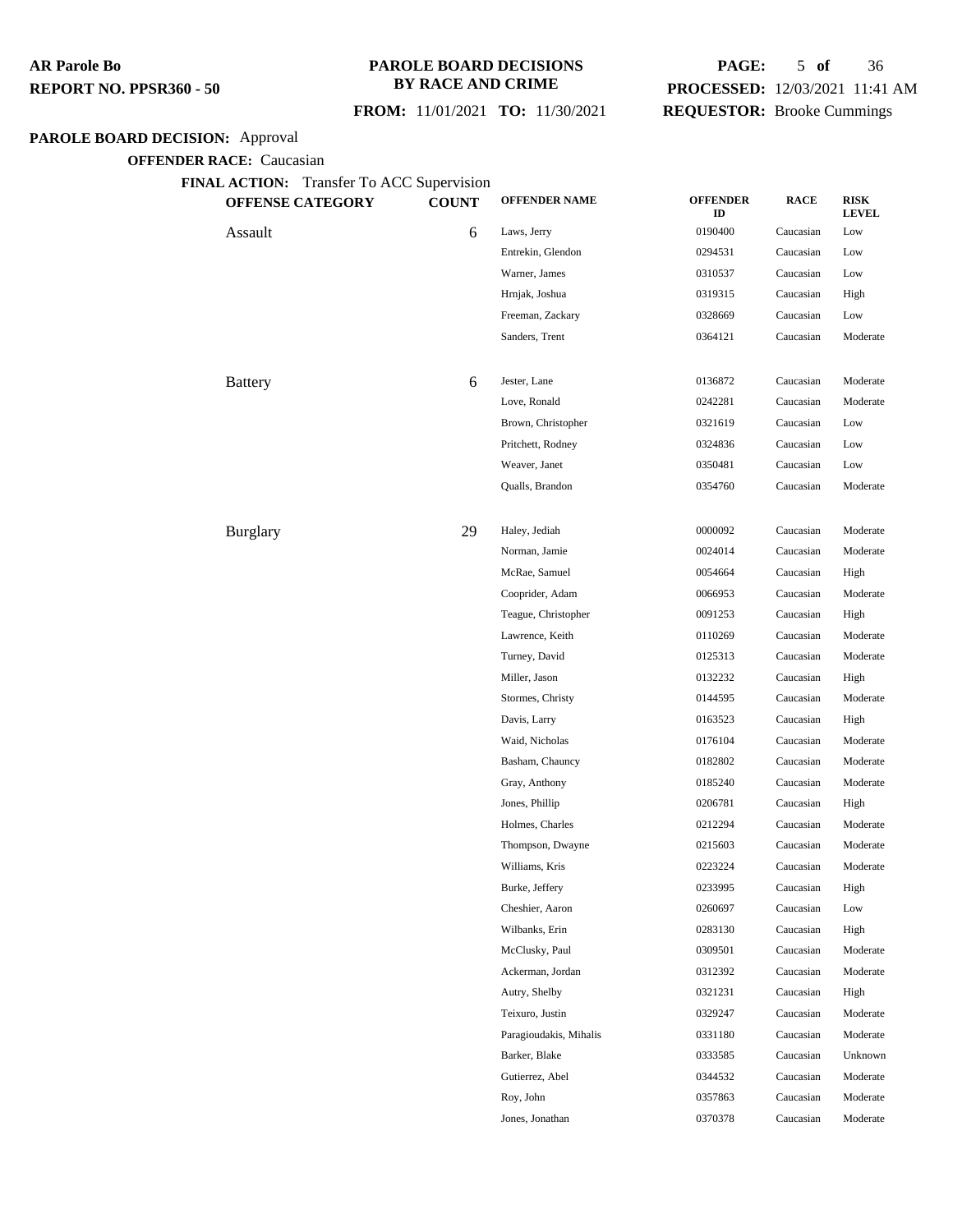#### **PAROLE BOARD DECISIONS BY RACE AND CRIME**

### **FROM:** 11/01/2021 **TO:** 11/30/2021

## **PAGE:** 5 **of** 36 **PROCESSED:** 12/03/2021 11:41 AM **REQUESTOR:** Brooke Cummings

## **PAROLE BOARD DECISION:** Approval

| FINAL ACTION: Transfer To ACC Supervision<br><b>OFFENSE CATEGORY</b> | <b>COUNT</b> | <b>OFFENDER NAME</b>   | <b>OFFENDER</b><br>ID | <b>RACE</b> | <b>RISK</b><br><b>LEVEL</b> |
|----------------------------------------------------------------------|--------------|------------------------|-----------------------|-------------|-----------------------------|
| Assault                                                              | 6            | Laws, Jerry            | 0190400               | Caucasian   | Low                         |
|                                                                      |              | Entrekin, Glendon      | 0294531               | Caucasian   | Low                         |
|                                                                      |              | Warner, James          | 0310537               | Caucasian   | Low                         |
|                                                                      |              | Hrnjak, Joshua         | 0319315               | Caucasian   | High                        |
|                                                                      |              | Freeman, Zackary       | 0328669               | Caucasian   | Low                         |
|                                                                      |              | Sanders, Trent         | 0364121               | Caucasian   | Moderate                    |
| <b>Battery</b>                                                       | 6            | Jester, Lane           | 0136872               | Caucasian   | Moderate                    |
|                                                                      |              | Love, Ronald           | 0242281               | Caucasian   | Moderate                    |
|                                                                      |              | Brown, Christopher     | 0321619               | Caucasian   | Low                         |
|                                                                      |              | Pritchett, Rodney      | 0324836               | Caucasian   | Low                         |
|                                                                      |              | Weaver, Janet          | 0350481               | Caucasian   | Low                         |
|                                                                      |              | Qualls, Brandon        | 0354760               | Caucasian   | Moderate                    |
| <b>Burglary</b>                                                      | 29           | Haley, Jediah          | 0000092               | Caucasian   | Moderate                    |
|                                                                      |              | Norman, Jamie          | 0024014               | Caucasian   | Moderate                    |
|                                                                      |              | McRae, Samuel          | 0054664               | Caucasian   | High                        |
|                                                                      |              | Cooprider, Adam        | 0066953               | Caucasian   | Moderate                    |
|                                                                      |              | Teague, Christopher    | 0091253               | Caucasian   | High                        |
|                                                                      |              | Lawrence, Keith        | 0110269               | Caucasian   | Moderate                    |
|                                                                      |              | Turney, David          | 0125313               | Caucasian   | Moderate                    |
|                                                                      |              | Miller, Jason          | 0132232               | Caucasian   | High                        |
|                                                                      |              | Stormes, Christy       | 0144595               | Caucasian   | Moderate                    |
|                                                                      |              | Davis, Larry           | 0163523               | Caucasian   | High                        |
|                                                                      |              | Waid, Nicholas         | 0176104               | Caucasian   | Moderate                    |
|                                                                      |              | Basham, Chauncy        | 0182802               | Caucasian   | Moderate                    |
|                                                                      |              | Gray, Anthony          | 0185240               | Caucasian   | Moderate                    |
|                                                                      |              | Jones, Phillip         | 0206781               | Caucasian   | High                        |
|                                                                      |              | Holmes, Charles        | 0212294               | Caucasian   | Moderate                    |
|                                                                      |              | Thompson, Dwayne       | 0215603               | Caucasian   | Moderate                    |
|                                                                      |              | Williams, Kris         | 0223224               | Caucasian   | Moderate                    |
|                                                                      |              | Burke, Jeffery         | 0233995               | Caucasian   | High                        |
|                                                                      |              | Cheshier, Aaron        | 0260697               | Caucasian   | Low                         |
|                                                                      |              | Wilbanks, Erin         | 0283130               | Caucasian   | High                        |
|                                                                      |              | McClusky, Paul         | 0309501               | Caucasian   | Moderate                    |
|                                                                      |              | Ackerman, Jordan       | 0312392               | Caucasian   | Moderate                    |
|                                                                      |              | Autry, Shelby          | 0321231               | Caucasian   | High                        |
|                                                                      |              | Teixuro, Justin        | 0329247               | Caucasian   | Moderate                    |
|                                                                      |              | Paragioudakis, Mihalis | 0331180               | Caucasian   | Moderate                    |
|                                                                      |              | Barker, Blake          | 0333585               | Caucasian   | Unknown                     |
|                                                                      |              | Gutierrez, Abel        | 0344532               | Caucasian   | Moderate                    |
|                                                                      |              | Roy, John              | 0357863               | Caucasian   | Moderate                    |
|                                                                      |              | Jones, Jonathan        | 0370378               | Caucasian   | Moderate                    |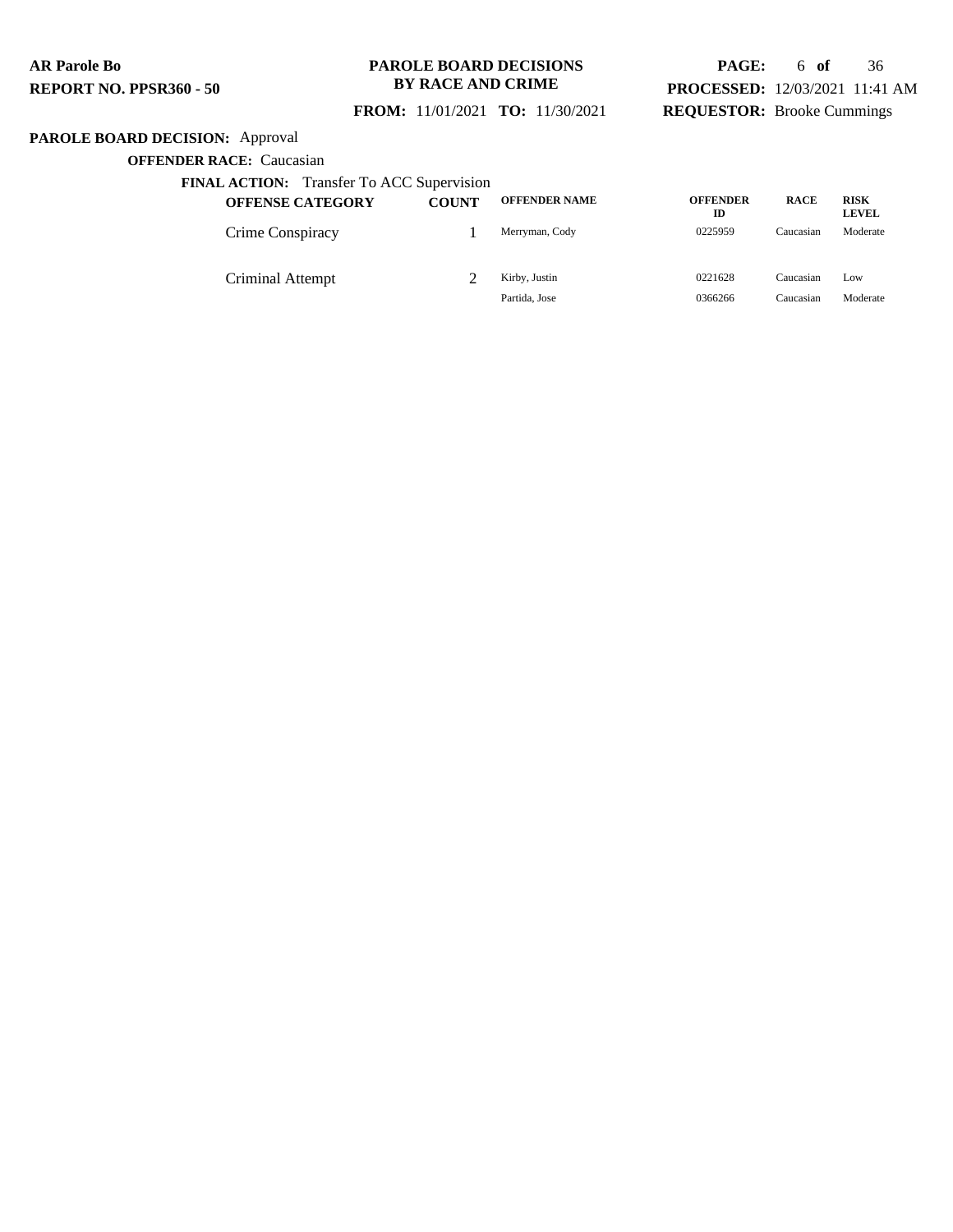### **PAROLE BOARD DECISIONS BY RACE AND CRIME**

### **FROM:** 11/01/2021 **TO:** 11/30/2021

## **PAGE:** 6 **of** 36 **PROCESSED:** 12/03/2021 11:41 AM **REQUESTOR:** Brooke Cummings

## **PAROLE BOARD DECISION:** Approval

| <b>FINAL ACTION:</b> Transfer To ACC Supervision |              |                      |                       |             |                             |
|--------------------------------------------------|--------------|----------------------|-----------------------|-------------|-----------------------------|
| <b>OFFENSE CATEGORY</b>                          | <b>COUNT</b> | <b>OFFENDER NAME</b> | <b>OFFENDER</b><br>ID | <b>RACE</b> | <b>RISK</b><br><b>LEVEL</b> |
| Crime Conspiracy                                 |              | Merryman, Cody       | 0225959               | Caucasian   | Moderate                    |
| Criminal Attempt                                 |              | Kirby, Justin        | 0221628               | Caucasian   | Low                         |
|                                                  |              | Partida, Jose        | 0366266               | Caucasian   | Moderate                    |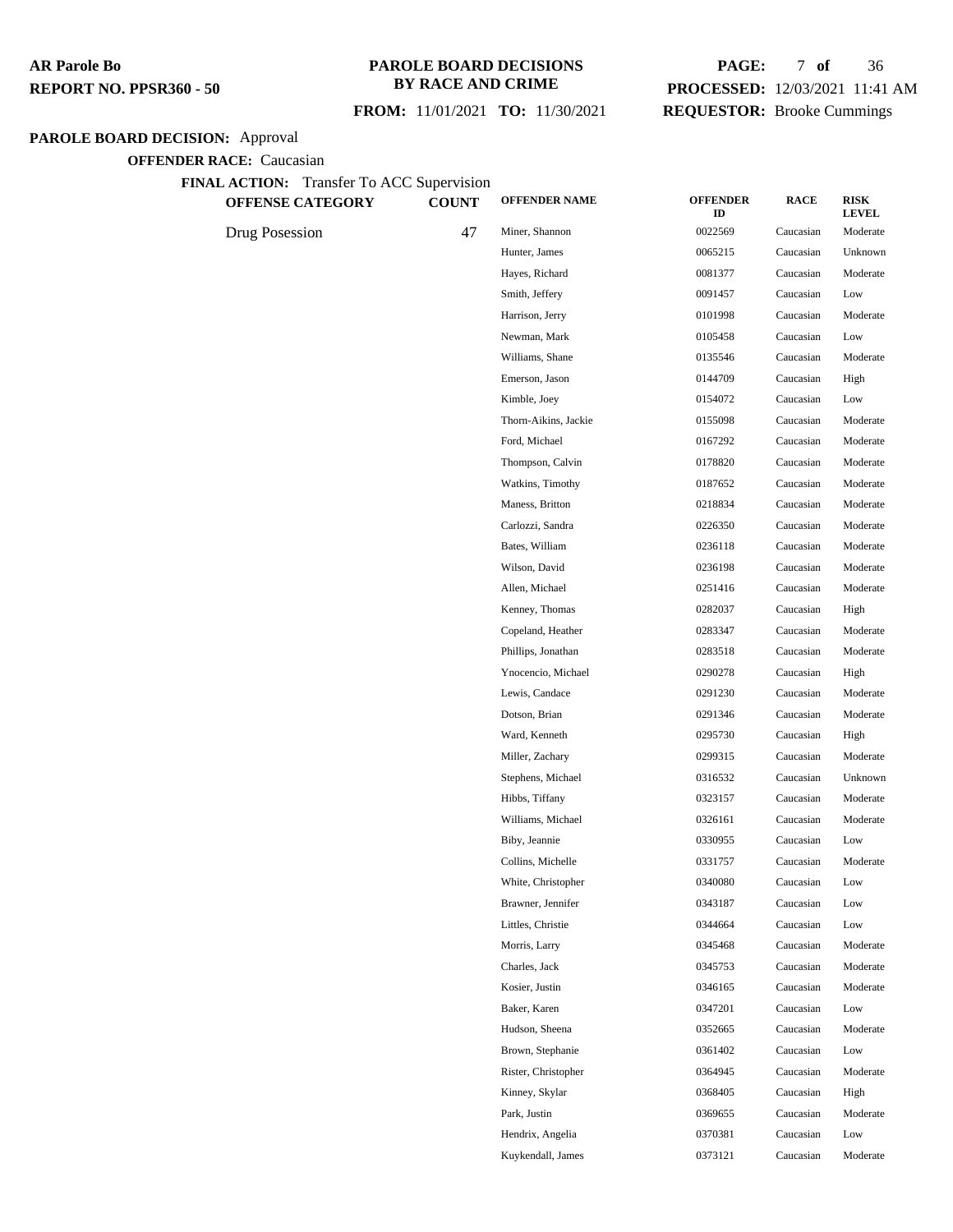### **PAROLE BOARD DECISIONS BY RACE AND CRIME**

### **FROM:** 11/01/2021 **TO:** 11/30/2021

## **PAGE:** 7 **of** 36 **PROCESSED:** 12/03/2021 11:41 AM **REQUESTOR:** Brooke Cummings

## **PAROLE BOARD DECISION:** Approval

| <b>FINAL ACTION:</b> Transfer To ACC Supervision |  |
|--------------------------------------------------|--|
|--------------------------------------------------|--|

| <b>OFFENSE CATEGORY</b> | <b>COUNT</b> | <b>OFFENDER NAME</b> | <b>OFFENDER</b><br>ID | <b>RACE</b> | <b>RISK</b><br><b>LEVEL</b> |
|-------------------------|--------------|----------------------|-----------------------|-------------|-----------------------------|
| Drug Posession          | 47           | Miner, Shannon       | 0022569               | Caucasian   | Moderate                    |
|                         |              | Hunter, James        | 0065215               | Caucasian   | Unknown                     |
|                         |              | Hayes, Richard       | 0081377               | Caucasian   | Moderate                    |
|                         |              | Smith, Jeffery       | 0091457               | Caucasian   | Low                         |
|                         |              | Harrison, Jerry      | 0101998               | Caucasian   | Moderate                    |
|                         |              | Newman, Mark         | 0105458               | Caucasian   | Low                         |
|                         |              | Williams, Shane      | 0135546               | Caucasian   | Moderate                    |
|                         |              | Emerson, Jason       | 0144709               | Caucasian   | High                        |
|                         |              | Kimble, Joey         | 0154072               | Caucasian   | Low                         |
|                         |              | Thorn-Aikins, Jackie | 0155098               | Caucasian   | Moderate                    |
|                         |              | Ford, Michael        | 0167292               | Caucasian   | Moderate                    |
|                         |              | Thompson, Calvin     | 0178820               | Caucasian   | Moderate                    |
|                         |              | Watkins, Timothy     | 0187652               | Caucasian   | Moderate                    |
|                         |              | Maness, Britton      | 0218834               | Caucasian   | Moderate                    |
|                         |              | Carlozzi, Sandra     | 0226350               | Caucasian   | Moderate                    |
|                         |              | Bates, William       | 0236118               | Caucasian   | Moderate                    |
|                         |              | Wilson, David        | 0236198               | Caucasian   | Moderate                    |
|                         |              | Allen, Michael       | 0251416               | Caucasian   | Moderate                    |
|                         |              | Kenney, Thomas       | 0282037               | Caucasian   | High                        |
|                         |              | Copeland, Heather    | 0283347               | Caucasian   | Moderate                    |
|                         |              | Phillips, Jonathan   | 0283518               | Caucasian   | Moderate                    |
|                         |              | Ynocencio, Michael   | 0290278               | Caucasian   | High                        |
|                         |              | Lewis, Candace       | 0291230               | Caucasian   | Moderate                    |
|                         |              | Dotson, Brian        | 0291346               | Caucasian   | Moderate                    |
|                         |              | Ward, Kenneth        | 0295730               | Caucasian   | High                        |
|                         |              | Miller, Zachary      | 0299315               | Caucasian   | Moderate                    |
|                         |              | Stephens, Michael    | 0316532               | Caucasian   | Unknown                     |
|                         |              | Hibbs, Tiffany       | 0323157               | Caucasian   | Moderate                    |
|                         |              | Williams, Michael    | 0326161               | Caucasian   | Moderate                    |
|                         |              | Biby, Jeannie        | 0330955               | Caucasian   | Low                         |
|                         |              | Collins, Michelle    | 0331757               | Caucasian   | Moderate                    |
|                         |              | White, Christopher   | 0340080               | Caucasian   | Low                         |
|                         |              | Brawner, Jennifer    | 0343187               | Caucasian   | Low                         |
|                         |              | Littles, Christie    | 0344664               | Caucasian   | Low                         |
|                         |              | Morris, Larry        | 0345468               | Caucasian   | Moderate                    |
|                         |              | Charles, Jack        | 0345753               | Caucasian   | Moderate                    |
|                         |              | Kosier, Justin       | 0346165               | Caucasian   | Moderate                    |
|                         |              | Baker, Karen         | 0347201               | Caucasian   | Low                         |
|                         |              | Hudson, Sheena       | 0352665               | Caucasian   | Moderate                    |
|                         |              | Brown, Stephanie     | 0361402               | Caucasian   | Low                         |
|                         |              | Rister, Christopher  | 0364945               | Caucasian   | Moderate                    |
|                         |              | Kinney, Skylar       | 0368405               | Caucasian   | High                        |
|                         |              | Park, Justin         | 0369655               | Caucasian   | Moderate                    |
|                         |              | Hendrix, Angelia     | 0370381               | Caucasian   | Low                         |
|                         |              | Kuykendall, James    | 0373121               | Caucasian   | Moderate                    |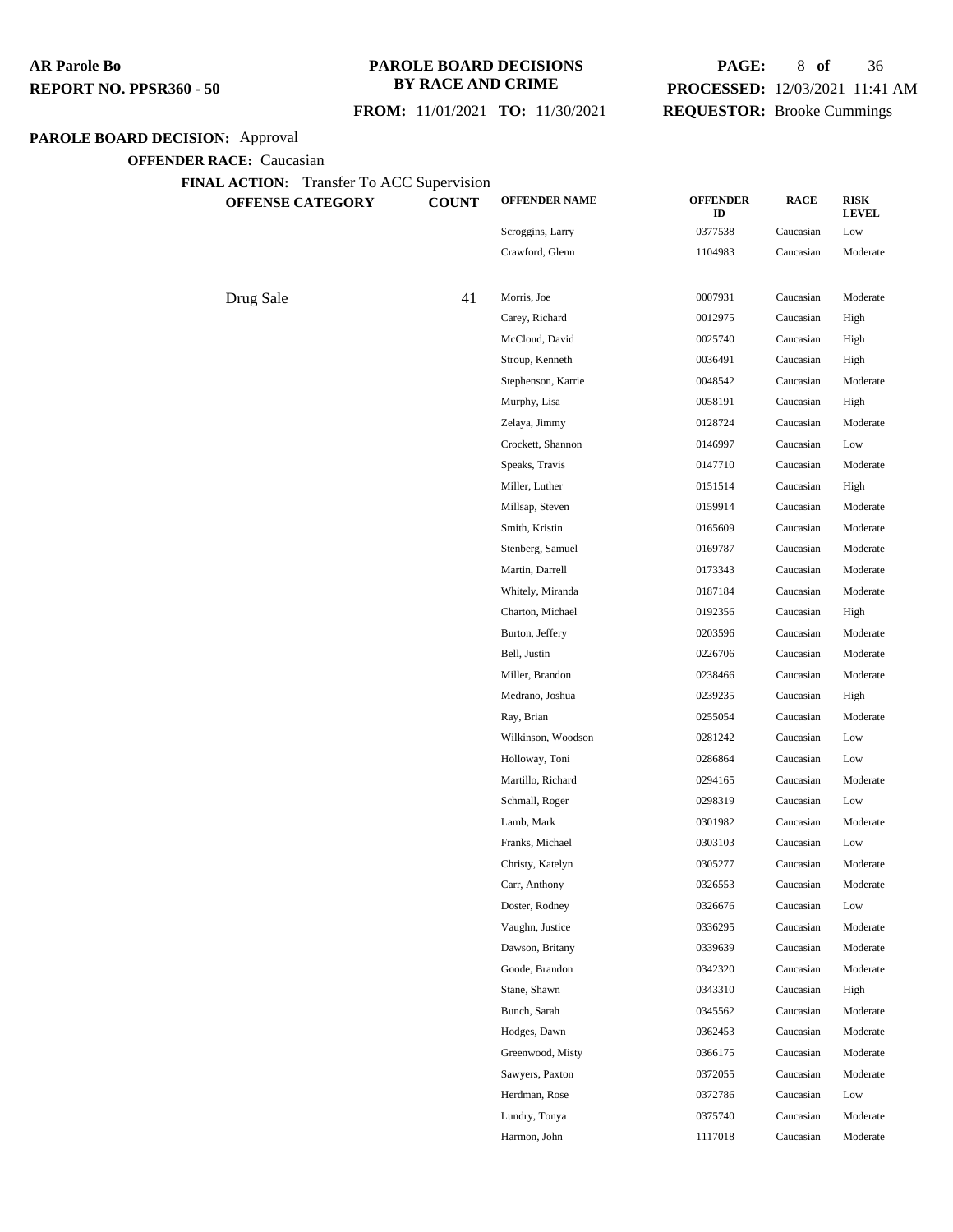### **PAROLE BOARD DECISIONS BY RACE AND CRIME**

### **FROM:** 11/01/2021 **TO:** 11/30/2021

## **PAGE:** 8 **of** 36 **PROCESSED:** 12/03/2021 11:41 AM **REQUESTOR:** Brooke Cummings

## **PAROLE BOARD DECISION:** Approval

| <b>OFFENSE CATEGORY</b> | <b>COUNT</b> | <b>OFFENDER NAME</b> | <b>OFFENDER</b><br>ID | <b>RACE</b> | <b>RISK</b><br><b>LEVEL</b> |
|-------------------------|--------------|----------------------|-----------------------|-------------|-----------------------------|
|                         |              | Scroggins, Larry     | 0377538               | Caucasian   | Low                         |
|                         |              | Crawford, Glenn      | 1104983               | Caucasian   | Moderate                    |
| Drug Sale               | 41           | Morris, Joe          | 0007931               | Caucasian   | Moderate                    |
|                         |              | Carey, Richard       | 0012975               | Caucasian   | High                        |
|                         |              | McCloud, David       | 0025740               | Caucasian   | High                        |
|                         |              | Stroup, Kenneth      | 0036491               | Caucasian   | High                        |
|                         |              | Stephenson, Karrie   | 0048542               | Caucasian   | Moderate                    |
|                         |              | Murphy, Lisa         | 0058191               | Caucasian   | High                        |
|                         |              | Zelaya, Jimmy        | 0128724               | Caucasian   | Moderate                    |
|                         |              | Crockett, Shannon    | 0146997               | Caucasian   | Low                         |
|                         |              | Speaks, Travis       | 0147710               | Caucasian   | Moderate                    |
|                         |              | Miller, Luther       | 0151514               | Caucasian   | High                        |
|                         |              | Millsap, Steven      | 0159914               | Caucasian   | Moderate                    |
|                         |              | Smith, Kristin       | 0165609               | Caucasian   | Moderate                    |
|                         |              | Stenberg, Samuel     | 0169787               | Caucasian   | Moderate                    |
|                         |              | Martin, Darrell      | 0173343               | Caucasian   | Moderate                    |
|                         |              | Whitely, Miranda     | 0187184               | Caucasian   | Moderate                    |
|                         |              | Charton, Michael     | 0192356               | Caucasian   | High                        |
|                         |              | Burton, Jeffery      | 0203596               | Caucasian   | Moderate                    |
|                         |              | Bell, Justin         | 0226706               | Caucasian   | Moderate                    |
|                         |              | Miller, Brandon      | 0238466               | Caucasian   | Moderate                    |
|                         |              | Medrano, Joshua      | 0239235               | Caucasian   | High                        |
|                         |              | Ray, Brian           | 0255054               | Caucasian   | Moderate                    |
|                         |              | Wilkinson, Woodson   | 0281242               | Caucasian   | Low                         |
|                         |              | Holloway, Toni       | 0286864               | Caucasian   | Low                         |
|                         |              | Martillo, Richard    | 0294165               | Caucasian   | Moderate                    |
|                         |              | Schmall, Roger       | 0298319               | Caucasian   | Low                         |
|                         |              | Lamb, Mark           | 0301982               | Caucasian   | Moderate                    |
|                         |              | Franks, Michael      | 0303103               | Caucasian   | Low                         |
|                         |              | Christy, Katelyn     | 0305277               | Caucasian   | Moderate                    |
|                         |              | Carr, Anthony        | 0326553               | Caucasian   | Moderate                    |
|                         |              | Doster, Rodney       | 0326676               | Caucasian   | Low                         |
|                         |              | Vaughn, Justice      | 0336295               | Caucasian   | Moderate                    |
|                         |              | Dawson, Britany      | 0339639               | Caucasian   | Moderate                    |
|                         |              | Goode, Brandon       | 0342320               | Caucasian   | Moderate                    |
|                         |              | Stane, Shawn         | 0343310               | Caucasian   | High                        |
|                         |              | Bunch, Sarah         | 0345562               | Caucasian   | Moderate                    |
|                         |              | Hodges, Dawn         | 0362453               | Caucasian   | Moderate                    |
|                         |              | Greenwood, Misty     | 0366175               | Caucasian   | Moderate                    |
|                         |              | Sawyers, Paxton      | 0372055               | Caucasian   | Moderate                    |
|                         |              | Herdman, Rose        | 0372786               | Caucasian   | Low                         |
|                         |              | Lundry, Tonya        | 0375740               | Caucasian   | Moderate                    |
|                         |              | Harmon, John         | 1117018               | Caucasian   | Moderate                    |
|                         |              |                      |                       |             |                             |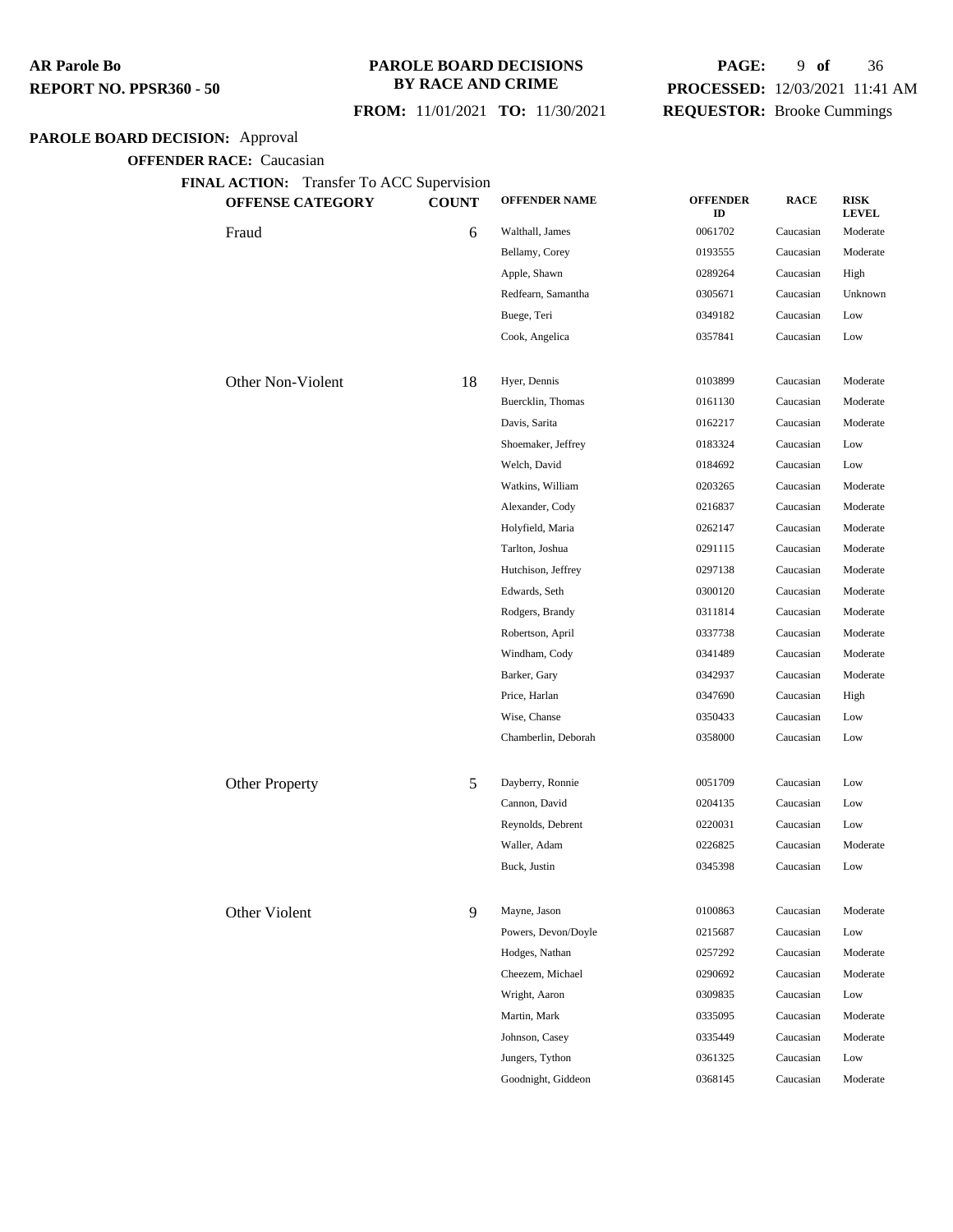#### **PAROLE BOARD DECISIONS BY RACE AND CRIME**

### **FROM:** 11/01/2021 **TO:** 11/30/2021

## **PAGE:** 9 **of** 36 **PROCESSED:** 12/03/2021 11:41 AM **REQUESTOR:** Brooke Cummings

## **PAROLE BOARD DECISION:** Approval

**OFFENDER RACE:** Caucasian

| FINAL ACTION: Transfer To ACC Supervision<br><b>OFFENSE CATEGORY</b> | <b>COUNT</b> | <b>OFFENDER NAME</b> | <b>OFFENDER</b><br>ID | <b>RACE</b> | <b>RISK</b><br><b>LEVEL</b> |
|----------------------------------------------------------------------|--------------|----------------------|-----------------------|-------------|-----------------------------|
| Fraud                                                                | 6            | Walthall, James      | 0061702               | Caucasian   | Moderate                    |
|                                                                      |              | Bellamy, Corey       | 0193555               | Caucasian   | Moderate                    |
|                                                                      |              | Apple, Shawn         | 0289264               | Caucasian   | High                        |
|                                                                      |              | Redfearn, Samantha   | 0305671               | Caucasian   | Unknown                     |
|                                                                      |              | Buege, Teri          | 0349182               | Caucasian   | Low                         |
|                                                                      |              | Cook, Angelica       | 0357841               | Caucasian   | Low                         |
| Other Non-Violent                                                    | 18           | Hyer, Dennis         | 0103899               | Caucasian   | Moderate                    |
|                                                                      |              | Buercklin, Thomas    | 0161130               | Caucasian   | Moderate                    |
|                                                                      |              | Davis, Sarita        | 0162217               | Caucasian   | Moderate                    |
|                                                                      |              | Shoemaker, Jeffrey   | 0183324               | Caucasian   | Low                         |
|                                                                      |              | Welch, David         | 0184692               | Caucasian   | Low                         |
|                                                                      |              | Watkins, William     | 0203265               | Caucasian   | Moderate                    |
|                                                                      |              | Alexander, Cody      | 0216837               | Caucasian   | Moderate                    |
|                                                                      |              | Holyfield, Maria     | 0262147               | Caucasian   | Moderate                    |
|                                                                      |              | Tarlton, Joshua      | 0291115               | Caucasian   | Moderate                    |
|                                                                      |              | Hutchison, Jeffrey   | 0297138               | Caucasian   | Moderate                    |
|                                                                      |              | Edwards, Seth        | 0300120               | Caucasian   | Moderate                    |
|                                                                      |              | Rodgers, Brandy      | 0311814               | Caucasian   | Moderate                    |
|                                                                      |              | Robertson, April     | 0337738               | Caucasian   | Moderate                    |
|                                                                      |              | Windham, Cody        | 0341489               | Caucasian   | Moderate                    |
|                                                                      |              | Barker, Gary         | 0342937               | Caucasian   | Moderate                    |
|                                                                      |              | Price, Harlan        | 0347690               | Caucasian   | High                        |
|                                                                      |              | Wise, Chanse         | 0350433               | Caucasian   | Low                         |
|                                                                      |              | Chamberlin, Deborah  | 0358000               | Caucasian   | Low                         |
| Other Property                                                       | 5            | Dayberry, Ronnie     | 0051709               | Caucasian   | Low                         |
|                                                                      |              | Cannon, David        | 0204135               | Caucasian   | Low                         |
|                                                                      |              | Reynolds, Debrent    | 0220031               | Caucasian   | Low                         |
|                                                                      |              | Waller, Adam         | 0226825               | Caucasian   | Moderate                    |
|                                                                      |              | Buck, Justin         | 0345398               | Cancasian   | Low                         |
| Other Violent                                                        | 9            | Mayne, Jason         | 0100863               | Caucasian   | Moderate                    |
|                                                                      |              | Powers, Devon/Doyle  | 0215687               | Caucasian   | Low                         |
|                                                                      |              | Hodges, Nathan       | 0257292               | Caucasian   | Moderate                    |
|                                                                      |              | Cheezem, Michael     | 0290692               | Caucasian   | Moderate                    |
|                                                                      |              | Wright, Aaron        | 0309835               | Caucasian   | Low                         |
|                                                                      |              | Martin, Mark         | 0335095               | Caucasian   | Moderate                    |
|                                                                      |              | Johnson, Casey       | 0335449               | Caucasian   | Moderate                    |
|                                                                      |              | Jungers, Tython      | 0361325               | Caucasian   | Low                         |

Goodnight, Giddeon 0368145 Caucasian Moderate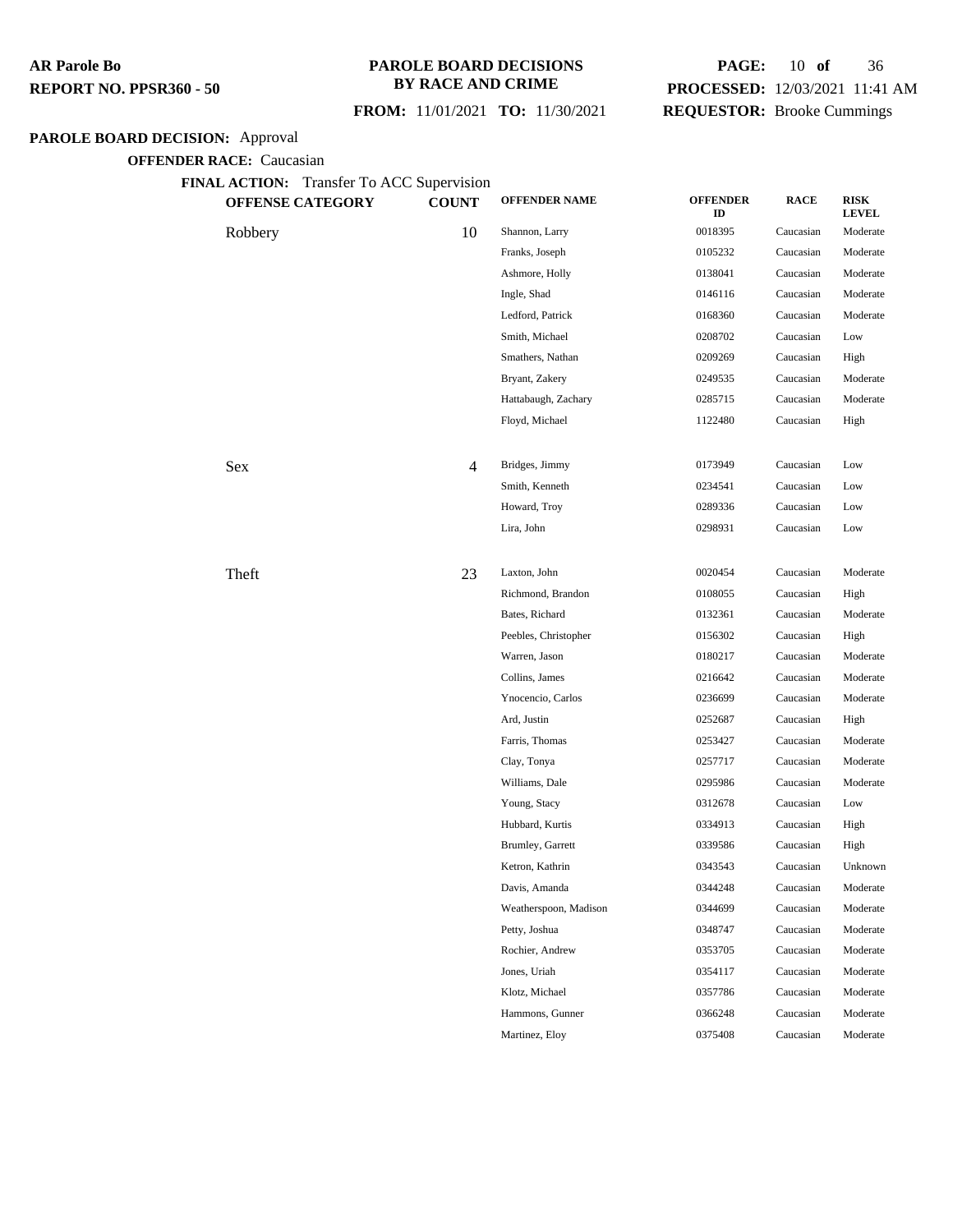### **PAROLE BOARD DECISIONS BY RACE AND CRIME**

### **FROM:** 11/01/2021 **TO:** 11/30/2021

## **PAGE:** 10 **of** 36 **PROCESSED:** 12/03/2021 11:41 AM **REQUESTOR:** Brooke Cummings

## **PAROLE BOARD DECISION:** Approval

**OFFENDER RACE:** Caucasian

**FINAL ACTION:** Transfer To ACC Supervision

| <b>OFFENSE CATEGORY</b> | <b>COUNT</b> | <b>OFFENDER NAME</b>  | <b>OFFENDER</b><br>ID | <b>RACE</b> | <b>RISK</b><br><b>LEVEL</b> |
|-------------------------|--------------|-----------------------|-----------------------|-------------|-----------------------------|
| Robbery                 | 10           | Shannon, Larry        | 0018395               | Caucasian   | Moderate                    |
|                         |              | Franks, Joseph        | 0105232               | Caucasian   | Moderate                    |
|                         |              | Ashmore, Holly        | 0138041               | Caucasian   | Moderate                    |
|                         |              | Ingle, Shad           | 0146116               | Caucasian   | Moderate                    |
|                         |              | Ledford, Patrick      | 0168360               | Caucasian   | Moderate                    |
|                         |              | Smith, Michael        | 0208702               | Caucasian   | Low                         |
|                         |              | Smathers, Nathan      | 0209269               | Caucasian   | High                        |
|                         |              | Bryant, Zakery        | 0249535               | Caucasian   | Moderate                    |
|                         |              | Hattabaugh, Zachary   | 0285715               | Caucasian   | Moderate                    |
|                         |              | Floyd, Michael        | 1122480               | Caucasian   | High                        |
| Sex                     | 4            | Bridges, Jimmy        | 0173949               | Caucasian   | Low                         |
|                         |              | Smith, Kenneth        | 0234541               | Caucasian   | Low                         |
|                         |              | Howard, Troy          | 0289336               | Caucasian   | Low                         |
|                         |              | Lira, John            | 0298931               | Caucasian   | Low                         |
| Theft                   | 23           | Laxton, John          | 0020454               | Caucasian   | Moderate                    |
|                         |              | Richmond, Brandon     | 0108055               | Caucasian   | High                        |
|                         |              | Bates, Richard        | 0132361               | Caucasian   | Moderate                    |
|                         |              | Peebles, Christopher  | 0156302               | Caucasian   | High                        |
|                         |              | Warren, Jason         | 0180217               | Caucasian   | Moderate                    |
|                         |              | Collins, James        | 0216642               | Caucasian   | Moderate                    |
|                         |              | Ynocencio, Carlos     | 0236699               | Caucasian   | Moderate                    |
|                         |              | Ard, Justin           | 0252687               | Caucasian   | High                        |
|                         |              | Farris, Thomas        | 0253427               | Caucasian   | Moderate                    |
|                         |              | Clay, Tonya           | 0257717               | Caucasian   | Moderate                    |
|                         |              | Williams, Dale        | 0295986               | Caucasian   | Moderate                    |
|                         |              | Young, Stacy          | 0312678               | Caucasian   | Low                         |
|                         |              | Hubbard, Kurtis       | 0334913               | Caucasian   | High                        |
|                         |              | Brumley, Garrett      | 0339586               | Caucasian   | High                        |
|                         |              | Ketron, Kathrin       | 0343543               | Caucasian   | Unknown                     |
|                         |              | Davis, Amanda         | 0344248               | Caucasian   | Moderate                    |
|                         |              | Weatherspoon, Madison | 0344699               | Caucasian   | Moderate                    |
|                         |              | Petty, Joshua         | 0348747               | Caucasian   | Moderate                    |
|                         |              | Rochier, Andrew       | 0353705               | Caucasian   | Moderate                    |
|                         |              | Jones, Uriah          | 0354117               | Caucasian   | Moderate                    |
|                         |              | Klotz, Michael        | 0357786               | Caucasian   | Moderate                    |
|                         |              | Hammons, Gunner       | 0366248               | Caucasian   | Moderate                    |
|                         |              | Martinez, Eloy        | 0375408               | Caucasian   | Moderate                    |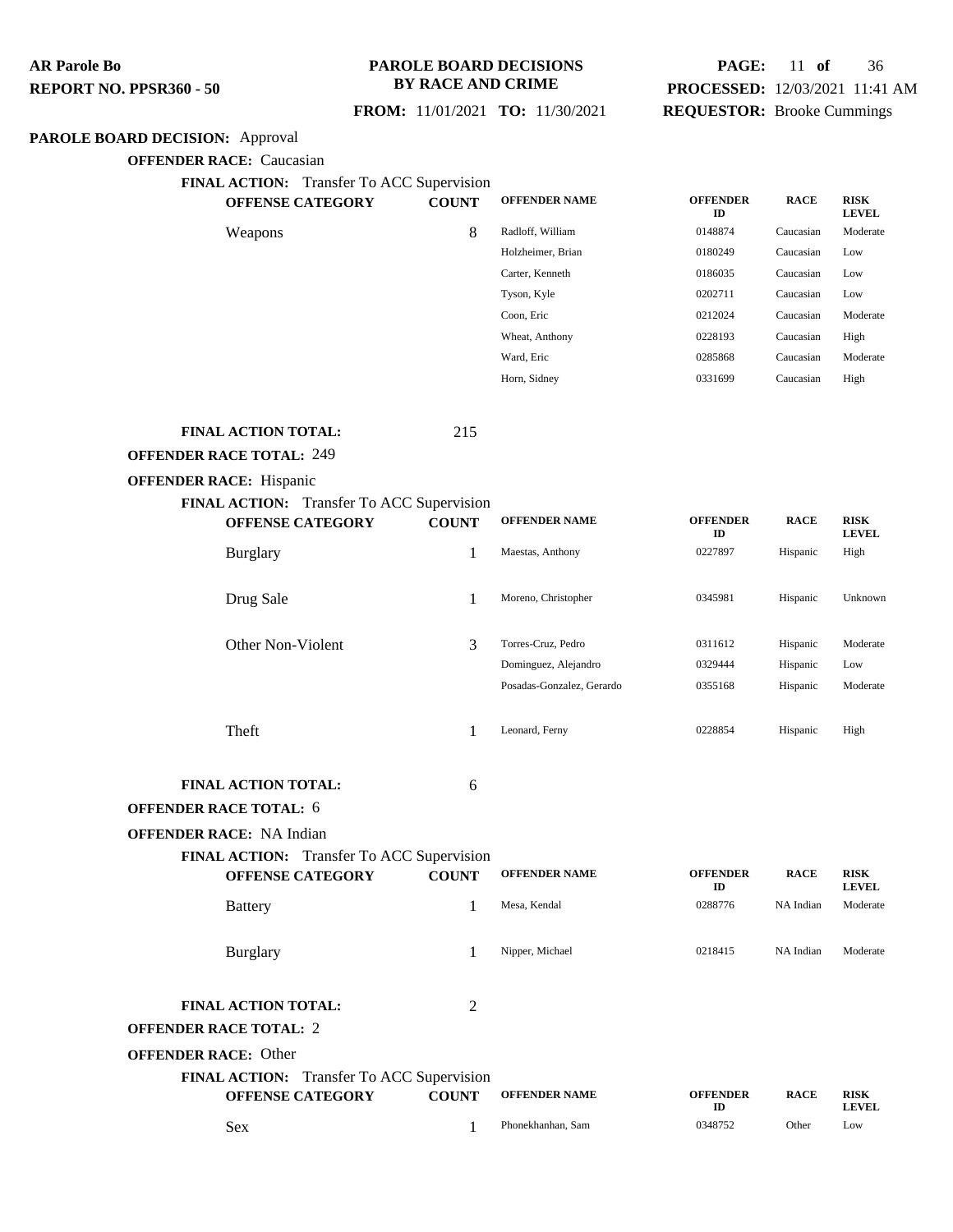### **PAROLE BOARD DECISIONS BY RACE AND CRIME**

## **PAGE:** 11 **of** 36 **PROCESSED:** 12/03/2021 11:41 AM **REQUESTOR:** Brooke Cummings

### **FROM:** 11/01/2021 **TO:** 11/30/2021

### **PAROLE BOARD DECISION:** Approval

**OFFENDER RACE:** Caucasian

**FINAL ACTION:** Transfer To ACC Supervision

| $\mathbf{1}_{\mathbf{1}}$ $\mathbf{1}_{\mathbf{2}}$ $\mathbf{1}_{\mathbf{3}}$ $\mathbf{1}_{\mathbf{4}}$ $\mathbf{1}_{\mathbf{5}}$ $\mathbf{1}_{\mathbf{5}}$ $\mathbf{1}_{\mathbf{6}}$ $\mathbf{1}_{\mathbf{1}}$ $\mathbf{1}_{\mathbf{2}}$ $\mathbf{1}_{\mathbf{3}}$ $\mathbf{1}_{\mathbf{5}}$ $\mathbf{1}_{\mathbf{6}}$ $\mathbf{1}_{\mathbf{7}}$ $\mathbf{1}_{\mathbf{8}}$ $\mathbf{1}_{\mathbf{$ |              |                      |                       |             |                             |
|----------------------------------------------------------------------------------------------------------------------------------------------------------------------------------------------------------------------------------------------------------------------------------------------------------------------------------------------------------------------------------------------------|--------------|----------------------|-----------------------|-------------|-----------------------------|
| <b>OFFENSE CATEGORY</b>                                                                                                                                                                                                                                                                                                                                                                            | <b>COUNT</b> | <b>OFFENDER NAME</b> | <b>OFFENDER</b><br>ID | <b>RACE</b> | <b>RISK</b><br><b>LEVEL</b> |
| Weapons                                                                                                                                                                                                                                                                                                                                                                                            | 8            | Radloff, William     | 0148874               | Caucasian   | Moderate                    |
|                                                                                                                                                                                                                                                                                                                                                                                                    |              | Holzheimer, Brian    | 0180249               | Caucasian   | Low                         |
|                                                                                                                                                                                                                                                                                                                                                                                                    |              | Carter, Kenneth      | 0186035               | Caucasian   | Low                         |
|                                                                                                                                                                                                                                                                                                                                                                                                    |              | Tyson, Kyle          | 0202711               | Caucasian   | Low                         |
|                                                                                                                                                                                                                                                                                                                                                                                                    |              | Coon, Eric           | 0212024               | Caucasian   | Moderate                    |
|                                                                                                                                                                                                                                                                                                                                                                                                    |              | Wheat, Anthony       | 0228193               | Caucasian   | High                        |
|                                                                                                                                                                                                                                                                                                                                                                                                    |              | Ward, Eric           | 0285868               | Caucasian   | Moderate                    |
|                                                                                                                                                                                                                                                                                                                                                                                                    |              | Horn, Sidney         | 0331699               | Caucasian   | High                        |

#### **FINAL ACTION TOTAL:** 215

#### **OFFENDER RACE TOTAL:** 249

#### **OFFENDER RACE:** Hispanic

| FINAL ACTION: Transfer To ACC Supervision |              |                           |                       |             |                             |
|-------------------------------------------|--------------|---------------------------|-----------------------|-------------|-----------------------------|
| <b>OFFENSE CATEGORY</b>                   | <b>COUNT</b> | <b>OFFENDER NAME</b>      | <b>OFFENDER</b><br>ID | <b>RACE</b> | <b>RISK</b><br><b>LEVEL</b> |
| <b>Burglary</b>                           | 1            | Maestas, Anthony          | 0227897               | Hispanic    | High                        |
| Drug Sale                                 | 1            | Moreno, Christopher       | 0345981               | Hispanic    | Unknown                     |
| Other Non-Violent                         | 3            | Torres-Cruz, Pedro        | 0311612               | Hispanic    | Moderate                    |
|                                           |              | Dominguez, Alejandro      | 0329444               | Hispanic    | Low                         |
|                                           |              | Posadas-Gonzalez, Gerardo | 0355168               | Hispanic    | Moderate                    |
| Theft                                     |              | Leonard, Ferny            | 0228854               | Hispanic    | High                        |
| <b>FINAL ACTION TOTAL:</b>                | 6            |                           |                       |             |                             |

### **OFFENDER RACE TOTAL:** 6

### **OFFENDER RACE:** NA Indian

**FINAL ACTION:** Transfer To ACC Supervision

| <b>OFFENSE CATEGORY</b>                                                         | <b>COUNT</b> | <b>OFFENDER NAME</b> | <b>OFFENDER</b><br>ID | <b>RACE</b> | <b>RISK</b><br><b>LEVEL</b> |
|---------------------------------------------------------------------------------|--------------|----------------------|-----------------------|-------------|-----------------------------|
| <b>Battery</b>                                                                  |              | Mesa, Kendal         | 0288776               | NA Indian   | Moderate                    |
| <b>Burglary</b>                                                                 |              | Nipper, Michael      | 0218415               | NA Indian   | Moderate                    |
| <b>FINAL ACTION TOTAL:</b><br><b>OFFENDER RACE TOTAL: 2</b>                     | 2            |                      |                       |             |                             |
| <b>OFFENDER RACE: Other</b><br><b>EIMAL ACTION.</b> Transfer To ACC Supervision |              |                      |                       |             |                             |

| <b>FINAL AUTION:</b> Hansier TO ACC Supervision |              |                      |                      |             |                      |
|-------------------------------------------------|--------------|----------------------|----------------------|-------------|----------------------|
| <b>OFFENSE CATEGORY</b>                         | <b>COUNT</b> | <b>OFFENDER NAME</b> | <b>OFFENDER</b><br>m | <b>RACE</b> | <b>RISK</b><br>LEVEL |
| Sex                                             |              | Phonekhanhan, Sam    | 0348752              | Other       | Low                  |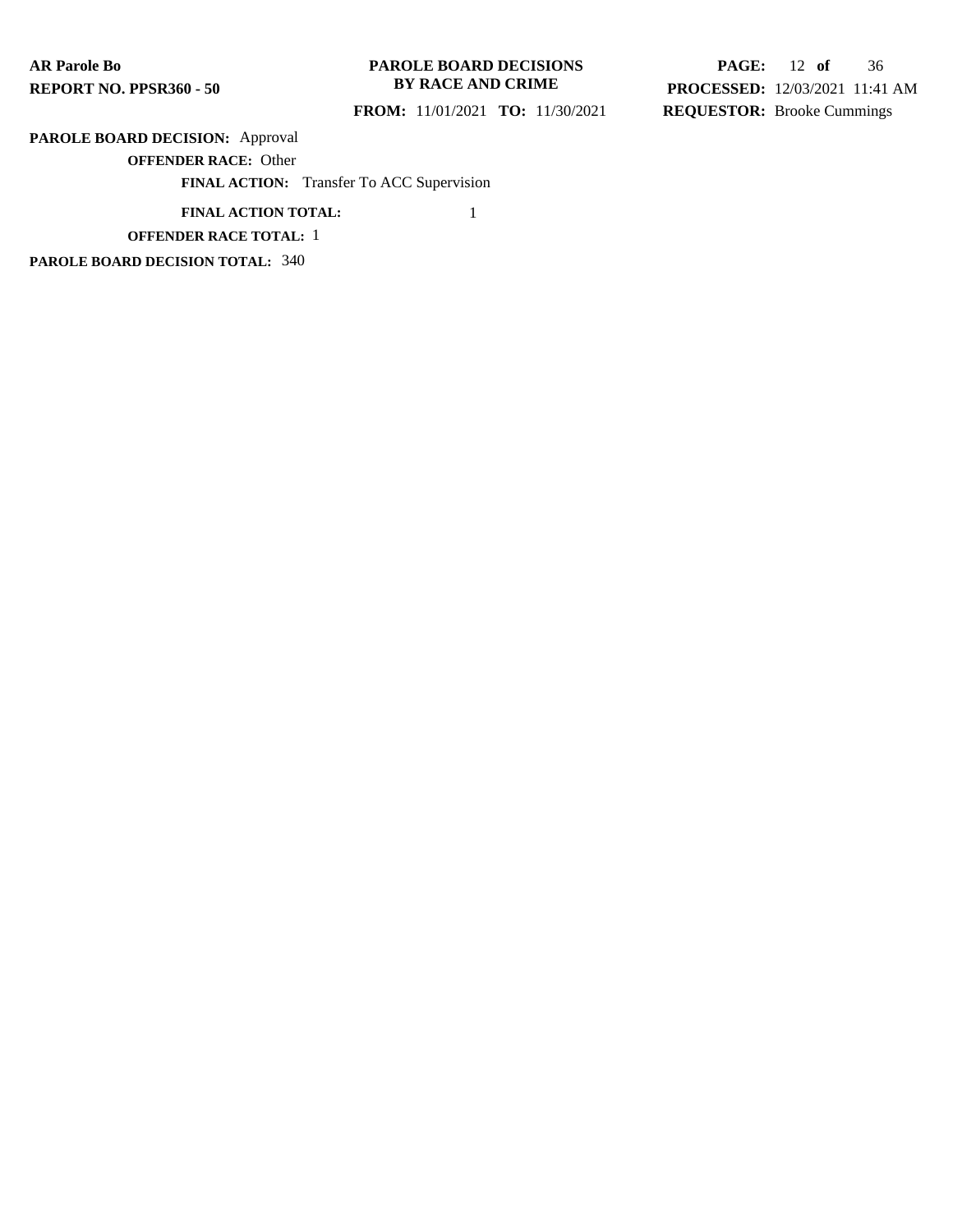### **PAROLE BOARD DECISIONS BY RACE AND CRIME**

 **FROM:** 11/01/2021 **TO:** 11/30/2021

**PAGE:** 12 **of** 36 **PROCESSED:** 12/03/2021 11:41 AM **REQUESTOR:** Brooke Cummings

## **PAROLE BOARD DECISION:** Approval

**OFFENDER RACE:** Other

**FINAL ACTION:** Transfer To ACC Supervision

**FINAL ACTION TOTAL:** 1

### **OFFENDER RACE TOTAL:** 1

**PAROLE BOARD DECISION TOTAL:** 340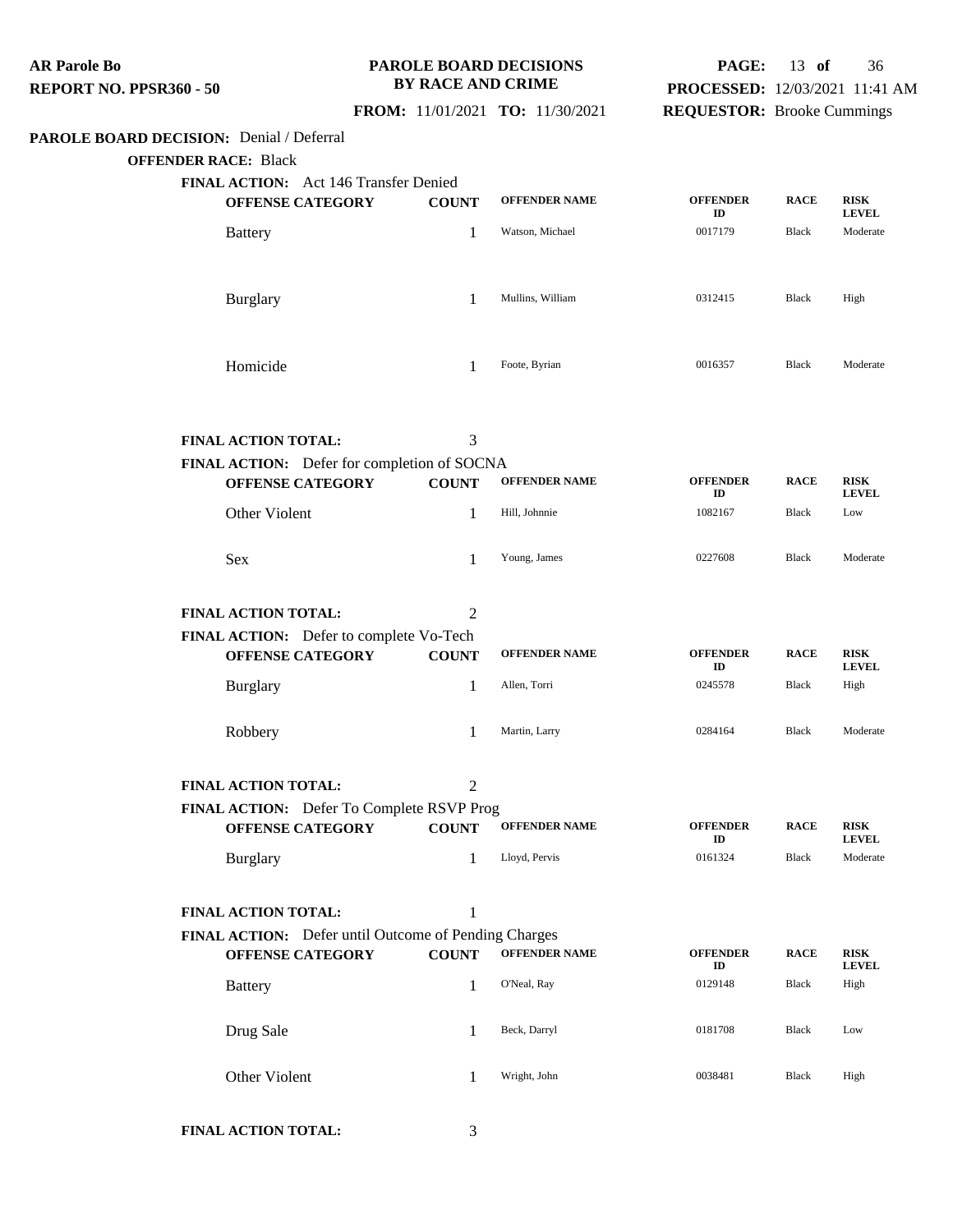**PAROLE BOARD DECISION:** Denial / Deferral **OFFENDER RACE:** Black **FINAL ACTION:** Act 146 Transfer Denied **OFFENSE CATEGORY COUNT OFFENDER NAME OFFENDER ID RACE RISK LEVEL** Battery **1** Watson, Michael 0017179 Black Moderate Burglary 1 Mullins, William 0312415 Black High Homicide 1 Foote, Byrian 1 6016357 Black Moderate **FINAL ACTION TOTAL:** 3 **FINAL ACTION:** Defer for completion of SOCNA **OFFENSE CATEGORY COUNT OFFENDER NAME OFFENDER ID RACE RISK LEVEL** Other Violent 1 Hill, Johnnie 1082167 Black Low Sex 3.1 1 2012 1 2013, James 2027608 Black Moderate **FINAL ACTION TOTAL:** 2 **FINAL ACTION:** Defer to complete Vo-Tech **OFFENSE CATEGORY COUNT OFFENDER NAME OFFENDER ID RACE RISK LEVEL** Burglary **1** Allen, Torri 0245578 Black High Robbery 1 Martin, Larry <sup>0284164</sup> Black Moderate **FINAL ACTION TOTAL:** 2 **FINAL ACTION:** Defer To Complete RSVP Prog **OFFENSE CATEGORY COUNT OFFENDER NAME OFFENDER ID RACE RISK LEVEL** Burglary 1 Lloyd, Pervis <sup>0161324</sup> Black Moderate **FINAL ACTION TOTAL:** 1 **FINAL ACTION:** Defer until Outcome of Pending Charges **OFFENSE CATEGORY COUNT OFFENDER NAME OFFENDER ID RACE RISK LEVEL** Battery **1** O'Neal, Ray 0129148 Black High **AR Parole Bo REPORT NO. PPSR360 - 50 PAROLE BOARD DECISIONS BY RACE AND CRIME FROM:** 11/01/2021 **TO:** 11/30/2021 **PAGE:** 13 **of** 36 **PROCESSED:** 12/03/2021 11:41 AM **REQUESTOR:** Brooke Cummings

**FINAL ACTION TOTAL:** 3

Drug Sale 1 Beck, Darryl 0181708 Black Low

Other Violent 1 Wright, John 0038481 Black High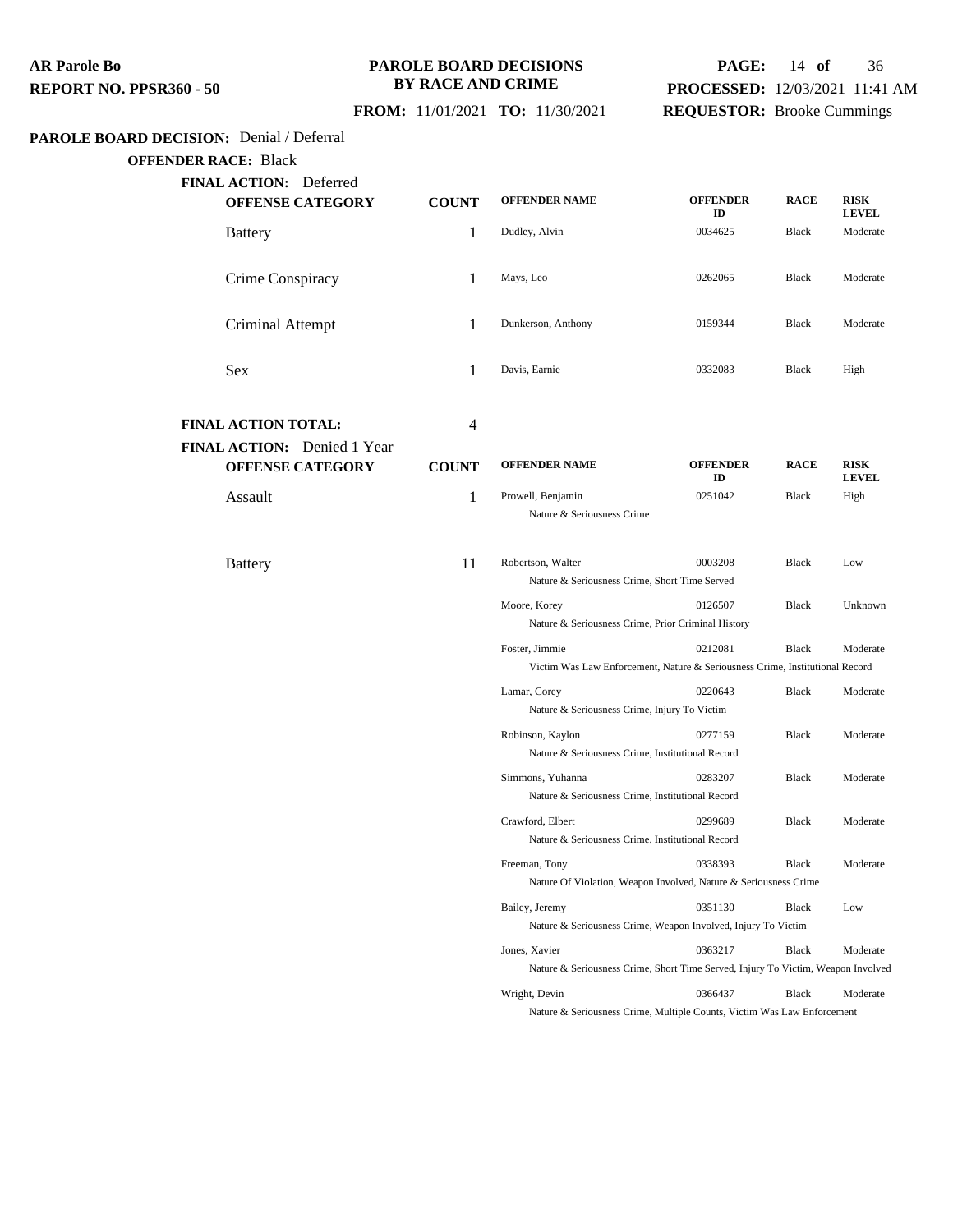### **PAROLE BOARD DECISIONS BY RACE AND CRIME**

# **FROM:** 11/01/2021 **TO:** 11/30/2021

# **PAGE:** 14 **of** 36 **PROCESSED:** 12/03/2021 11:41 AM

## **REQUESTOR:** Brooke Cummings

## **PAROLE BOARD DECISION:** Denial / Deferral

## **OFFENDER RACE:** Black

| JEK KAUE: DIAUN                                        |              |                                                                                                |                       |              |                             |
|--------------------------------------------------------|--------------|------------------------------------------------------------------------------------------------|-----------------------|--------------|-----------------------------|
| FINAL ACTION: Deferred<br><b>OFFENSE CATEGORY</b>      | <b>COUNT</b> | <b>OFFENDER NAME</b>                                                                           | <b>OFFENDER</b><br>ID | <b>RACE</b>  | <b>RISK</b><br><b>LEVEL</b> |
| <b>Battery</b>                                         | 1            | Dudley, Alvin                                                                                  | 0034625               | Black        | Moderate                    |
| Crime Conspiracy                                       | 1            | Mays, Leo                                                                                      | 0262065               | Black        | Moderate                    |
| Criminal Attempt                                       | 1            | Dunkerson, Anthony                                                                             | 0159344               | Black        | Moderate                    |
| Sex                                                    | 1            | Davis, Earnie                                                                                  | 0332083               | Black        | High                        |
| <b>FINAL ACTION TOTAL:</b>                             | 4            |                                                                                                |                       |              |                             |
| FINAL ACTION: Denied 1 Year<br><b>OFFENSE CATEGORY</b> | <b>COUNT</b> | <b>OFFENDER NAME</b>                                                                           | <b>OFFENDER</b><br>ID | <b>RACE</b>  | <b>RISK</b><br><b>LEVEL</b> |
| Assault                                                | 1            | Prowell, Benjamin<br>Nature & Seriousness Crime                                                | 0251042               | Black        | High                        |
| <b>Battery</b>                                         | 11           | Robertson, Walter<br>Nature & Seriousness Crime, Short Time Served                             | 0003208               | Black        | Low                         |
|                                                        |              | Moore, Korey<br>Nature & Seriousness Crime, Prior Criminal History                             | 0126507               | Black        | Unknown                     |
|                                                        |              | Foster, Jimmie<br>Victim Was Law Enforcement, Nature & Seriousness Crime, Institutional Record | 0212081               | Black        | Moderate                    |
|                                                        |              | Lamar, Corey<br>Nature & Seriousness Crime, Injury To Victim                                   | 0220643               | Black        | Moderate                    |
|                                                        |              | Robinson, Kaylon<br>Nature & Seriousness Crime, Institutional Record                           | 0277159               | <b>Black</b> | Moderate                    |
|                                                        |              | Simmons, Yuhanna<br>Nature & Seriousness Crime, Institutional Record                           | 0283207               | Black        | Moderate                    |
|                                                        |              | Crawford, Elbert<br>Nature & Seriousness Crime, Institutional Record                           | 0299689               | Black        | Moderate                    |
|                                                        |              | Freeman, Tony<br>Nature Of Violation, Weapon Involved, Nature & Seriousness Crime              | 0338393               | Black        | Moderate                    |
|                                                        |              | Bailey, Jeremy<br>Nature & Seriousness Crime, Weapon Involved, Injury To Victim                | 0351130               | Black        | Low                         |

Jones, Xavier 0363217 Black Moderate Nature & Seriousness Crime, Short Time Served, Injury To Victim, Weapon Involved Wright, Devin 0366437 Black Moderate

Nature & Seriousness Crime, Multiple Counts, Victim Was Law Enforcement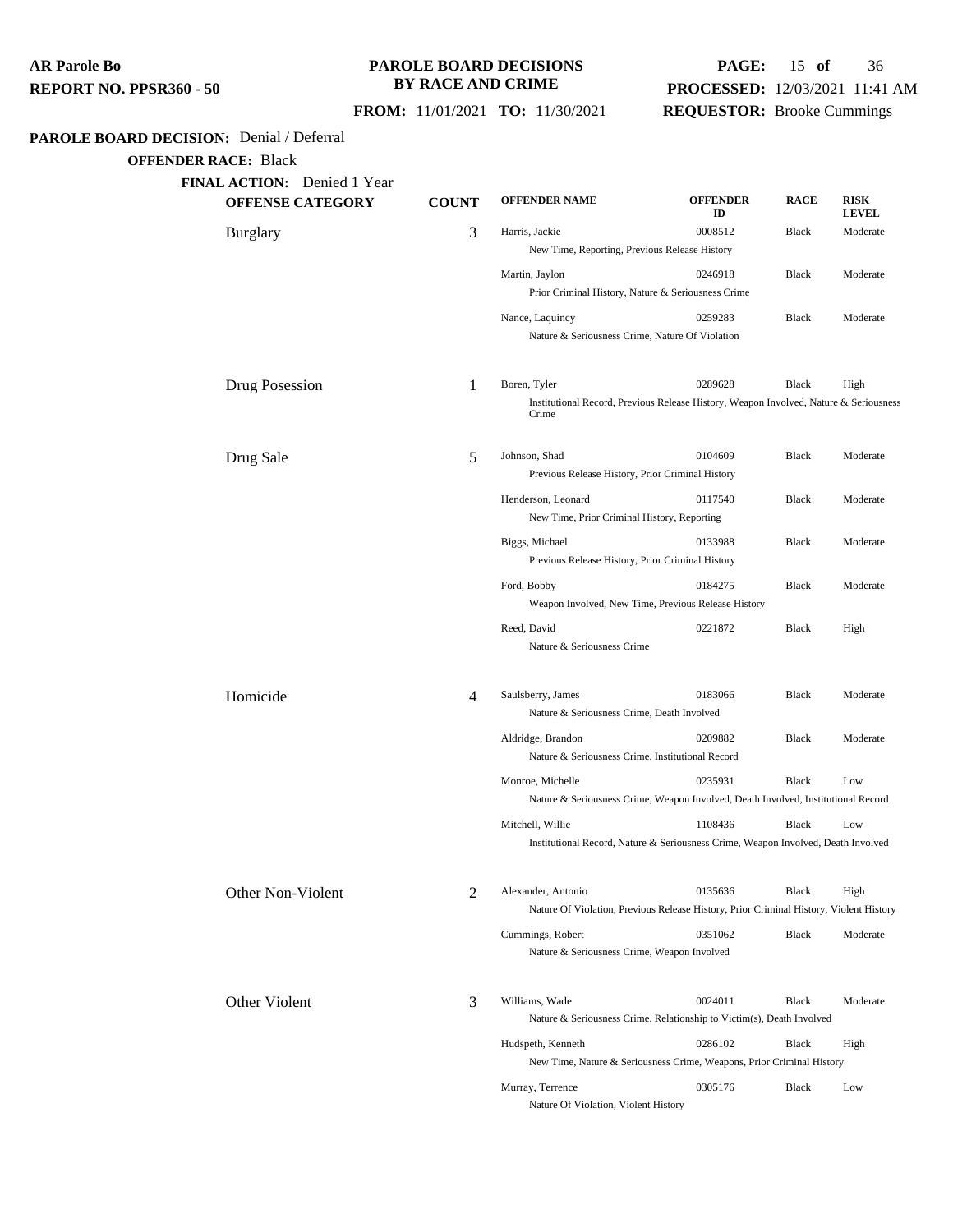### **PAROLE BOARD DECISIONS BY RACE AND CRIME**

## **PAGE:** 15 **of** 36 **PROCESSED:** 12/03/2021 11:41 AM **REQUESTOR:** Brooke Cummings

 **FROM:** 11/01/2021 **TO:** 11/30/2021

## **PAROLE BOARD DECISION:** Denial / Deferral

**OFFENDER RACE:** Black

| <b>COUNT</b>   | <b>OFFENDER NAME</b> | <b>OFFENDER</b><br>ID                                                            | <b>RACE</b>                                                                                                                                                                                                                                                                                                                                                                                                                                                                                  | <b>RISK</b><br><b>LEVEL</b>                                                                                                                                                                                                                                                                                                                                                                                                                                                               |
|----------------|----------------------|----------------------------------------------------------------------------------|----------------------------------------------------------------------------------------------------------------------------------------------------------------------------------------------------------------------------------------------------------------------------------------------------------------------------------------------------------------------------------------------------------------------------------------------------------------------------------------------|-------------------------------------------------------------------------------------------------------------------------------------------------------------------------------------------------------------------------------------------------------------------------------------------------------------------------------------------------------------------------------------------------------------------------------------------------------------------------------------------|
| 3              | Harris, Jackie       | 0008512                                                                          | Black                                                                                                                                                                                                                                                                                                                                                                                                                                                                                        | Moderate                                                                                                                                                                                                                                                                                                                                                                                                                                                                                  |
|                |                      |                                                                                  |                                                                                                                                                                                                                                                                                                                                                                                                                                                                                              |                                                                                                                                                                                                                                                                                                                                                                                                                                                                                           |
|                | Martin, Jaylon       | 0246918                                                                          | Black                                                                                                                                                                                                                                                                                                                                                                                                                                                                                        | Moderate                                                                                                                                                                                                                                                                                                                                                                                                                                                                                  |
|                |                      |                                                                                  |                                                                                                                                                                                                                                                                                                                                                                                                                                                                                              |                                                                                                                                                                                                                                                                                                                                                                                                                                                                                           |
|                | Nance, Laquincy      | 0259283                                                                          | Black                                                                                                                                                                                                                                                                                                                                                                                                                                                                                        | Moderate                                                                                                                                                                                                                                                                                                                                                                                                                                                                                  |
|                |                      |                                                                                  |                                                                                                                                                                                                                                                                                                                                                                                                                                                                                              |                                                                                                                                                                                                                                                                                                                                                                                                                                                                                           |
| 1              | Boren, Tyler         | 0289628                                                                          | <b>Black</b>                                                                                                                                                                                                                                                                                                                                                                                                                                                                                 | High                                                                                                                                                                                                                                                                                                                                                                                                                                                                                      |
|                | Crime                |                                                                                  |                                                                                                                                                                                                                                                                                                                                                                                                                                                                                              |                                                                                                                                                                                                                                                                                                                                                                                                                                                                                           |
| 5              | Johnson, Shad        | 0104609                                                                          | Black                                                                                                                                                                                                                                                                                                                                                                                                                                                                                        | Moderate                                                                                                                                                                                                                                                                                                                                                                                                                                                                                  |
|                |                      |                                                                                  |                                                                                                                                                                                                                                                                                                                                                                                                                                                                                              |                                                                                                                                                                                                                                                                                                                                                                                                                                                                                           |
|                | Henderson, Leonard   | 0117540                                                                          | Black                                                                                                                                                                                                                                                                                                                                                                                                                                                                                        | Moderate                                                                                                                                                                                                                                                                                                                                                                                                                                                                                  |
|                |                      |                                                                                  |                                                                                                                                                                                                                                                                                                                                                                                                                                                                                              |                                                                                                                                                                                                                                                                                                                                                                                                                                                                                           |
|                | Biggs, Michael       | 0133988                                                                          | <b>Black</b>                                                                                                                                                                                                                                                                                                                                                                                                                                                                                 | Moderate                                                                                                                                                                                                                                                                                                                                                                                                                                                                                  |
|                |                      |                                                                                  |                                                                                                                                                                                                                                                                                                                                                                                                                                                                                              |                                                                                                                                                                                                                                                                                                                                                                                                                                                                                           |
|                | Ford, Bobby          | 0184275                                                                          | Black                                                                                                                                                                                                                                                                                                                                                                                                                                                                                        | Moderate                                                                                                                                                                                                                                                                                                                                                                                                                                                                                  |
|                |                      |                                                                                  |                                                                                                                                                                                                                                                                                                                                                                                                                                                                                              |                                                                                                                                                                                                                                                                                                                                                                                                                                                                                           |
|                | Reed, David          | 0221872                                                                          | Black                                                                                                                                                                                                                                                                                                                                                                                                                                                                                        | High                                                                                                                                                                                                                                                                                                                                                                                                                                                                                      |
|                |                      |                                                                                  |                                                                                                                                                                                                                                                                                                                                                                                                                                                                                              |                                                                                                                                                                                                                                                                                                                                                                                                                                                                                           |
| 4              | Saulsberry, James    | 0183066                                                                          | <b>Black</b>                                                                                                                                                                                                                                                                                                                                                                                                                                                                                 | Moderate                                                                                                                                                                                                                                                                                                                                                                                                                                                                                  |
|                |                      |                                                                                  |                                                                                                                                                                                                                                                                                                                                                                                                                                                                                              |                                                                                                                                                                                                                                                                                                                                                                                                                                                                                           |
|                | Aldridge, Brandon    | 0209882                                                                          | Black                                                                                                                                                                                                                                                                                                                                                                                                                                                                                        | Moderate                                                                                                                                                                                                                                                                                                                                                                                                                                                                                  |
|                |                      |                                                                                  |                                                                                                                                                                                                                                                                                                                                                                                                                                                                                              |                                                                                                                                                                                                                                                                                                                                                                                                                                                                                           |
|                | Monroe, Michelle     | 0235931                                                                          | Black                                                                                                                                                                                                                                                                                                                                                                                                                                                                                        | Low                                                                                                                                                                                                                                                                                                                                                                                                                                                                                       |
|                |                      |                                                                                  |                                                                                                                                                                                                                                                                                                                                                                                                                                                                                              |                                                                                                                                                                                                                                                                                                                                                                                                                                                                                           |
|                | Mitchell, Willie     | 1108436                                                                          | Black                                                                                                                                                                                                                                                                                                                                                                                                                                                                                        | Low                                                                                                                                                                                                                                                                                                                                                                                                                                                                                       |
|                |                      |                                                                                  |                                                                                                                                                                                                                                                                                                                                                                                                                                                                                              |                                                                                                                                                                                                                                                                                                                                                                                                                                                                                           |
| $\overline{2}$ | Alexander, Antonio   | 0135636                                                                          | Black                                                                                                                                                                                                                                                                                                                                                                                                                                                                                        | High                                                                                                                                                                                                                                                                                                                                                                                                                                                                                      |
|                |                      |                                                                                  |                                                                                                                                                                                                                                                                                                                                                                                                                                                                                              |                                                                                                                                                                                                                                                                                                                                                                                                                                                                                           |
|                | Cummings, Robert     | 0351062                                                                          | Black                                                                                                                                                                                                                                                                                                                                                                                                                                                                                        | Moderate                                                                                                                                                                                                                                                                                                                                                                                                                                                                                  |
|                |                      |                                                                                  |                                                                                                                                                                                                                                                                                                                                                                                                                                                                                              |                                                                                                                                                                                                                                                                                                                                                                                                                                                                                           |
| 3              | Williams, Wade       | 0024011                                                                          | Black                                                                                                                                                                                                                                                                                                                                                                                                                                                                                        | Moderate                                                                                                                                                                                                                                                                                                                                                                                                                                                                                  |
|                |                      |                                                                                  |                                                                                                                                                                                                                                                                                                                                                                                                                                                                                              |                                                                                                                                                                                                                                                                                                                                                                                                                                                                                           |
|                | Hudspeth, Kenneth    | 0286102<br>New Time, Nature & Seriousness Crime, Weapons, Prior Criminal History | Black                                                                                                                                                                                                                                                                                                                                                                                                                                                                                        | High                                                                                                                                                                                                                                                                                                                                                                                                                                                                                      |
|                |                      |                                                                                  |                                                                                                                                                                                                                                                                                                                                                                                                                                                                                              |                                                                                                                                                                                                                                                                                                                                                                                                                                                                                           |
|                | Murray, Terrence     | 0305176                                                                          | Black                                                                                                                                                                                                                                                                                                                                                                                                                                                                                        | Low                                                                                                                                                                                                                                                                                                                                                                                                                                                                                       |
|                |                      |                                                                                  | New Time, Reporting, Previous Release History<br>Prior Criminal History, Nature & Seriousness Crime<br>Nature & Seriousness Crime, Nature Of Violation<br>Previous Release History, Prior Criminal History<br>New Time, Prior Criminal History, Reporting<br>Previous Release History, Prior Criminal History<br>Nature & Seriousness Crime<br>Nature & Seriousness Crime, Death Involved<br>Nature & Seriousness Crime, Institutional Record<br>Nature & Seriousness Crime, Weapon Involved | Institutional Record, Previous Release History, Weapon Involved, Nature & Seriousness<br>Weapon Involved, New Time, Previous Release History<br>Nature & Seriousness Crime, Weapon Involved, Death Involved, Institutional Record<br>Institutional Record, Nature & Seriousness Crime, Weapon Involved, Death Involved<br>Nature Of Violation, Previous Release History, Prior Criminal History, Violent History<br>Nature & Seriousness Crime, Relationship to Victim(s), Death Involved |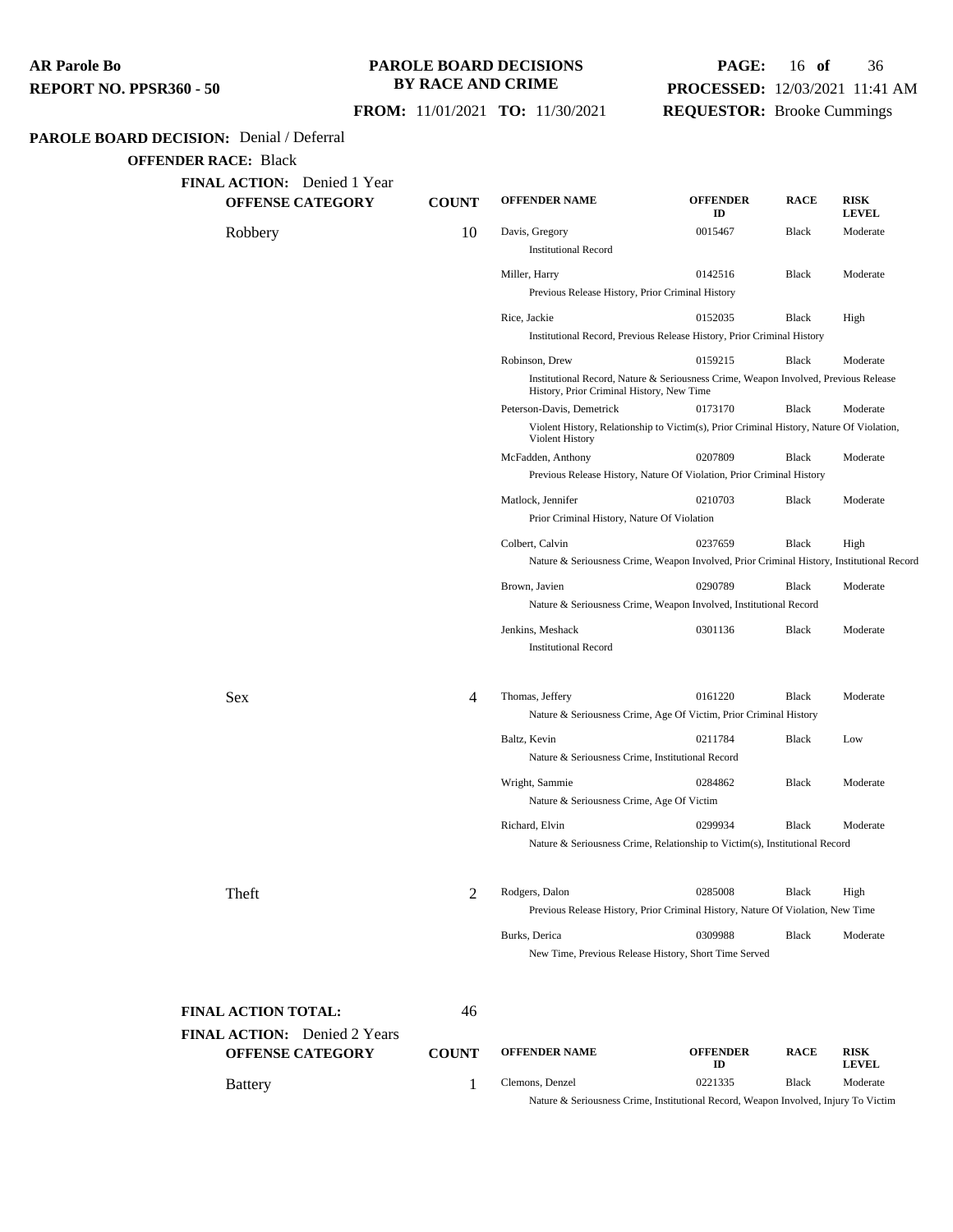### **PAROLE BOARD DECISIONS BY RACE AND CRIME**

### **FROM:** 11/01/2021 **TO:** 11/30/2021

# **PAGE:** 16 **of** 36 **PROCESSED:** 12/03/2021 11:41 AM

**REQUESTOR:** Brooke Cummings

### **PAROLE BOARD DECISION:** Denial / Deferral

**OFFENDER RACE:** Black

| <b>FINAL ACTION:</b> Denied 1 Year |  |  |
|------------------------------------|--|--|
|------------------------------------|--|--|

| <b>OFFENSE CATEGORY</b>      | <b>COUNT</b>   | <b>OFFENDER NAME</b>                                              | <b>OFFENDER</b><br>ID                                                                     | <b>RACE</b> | <b>RISK</b><br><b>LEVEL</b> |
|------------------------------|----------------|-------------------------------------------------------------------|-------------------------------------------------------------------------------------------|-------------|-----------------------------|
| Robbery                      | 10             | Davis, Gregory<br><b>Institutional Record</b>                     | 0015467                                                                                   | Black       | Moderate                    |
|                              |                |                                                                   |                                                                                           |             |                             |
|                              |                | Miller, Harry<br>Previous Release History, Prior Criminal History | 0142516                                                                                   | Black       | Moderate                    |
|                              |                | Rice, Jackie                                                      | 0152035                                                                                   | Black       | High                        |
|                              |                |                                                                   | Institutional Record, Previous Release History, Prior Criminal History                    |             |                             |
|                              |                | Robinson, Drew                                                    | 0159215                                                                                   | Black       | Moderate                    |
|                              |                | History, Prior Criminal History, New Time                         | Institutional Record, Nature & Seriousness Crime, Weapon Involved, Previous Release       |             |                             |
|                              |                | Peterson-Davis, Demetrick                                         | 0173170                                                                                   | Black       | Moderate                    |
|                              |                | Violent History                                                   | Violent History, Relationship to Victim(s), Prior Criminal History, Nature Of Violation,  |             |                             |
|                              |                | McFadden, Anthony                                                 | 0207809                                                                                   | Black       | Moderate                    |
|                              |                |                                                                   | Previous Release History, Nature Of Violation, Prior Criminal History                     |             |                             |
|                              |                | Matlock, Jennifer                                                 | 0210703                                                                                   | Black       | Moderate                    |
|                              |                | Prior Criminal History, Nature Of Violation                       |                                                                                           |             |                             |
|                              |                | Colbert, Calvin                                                   | 0237659                                                                                   | Black       | High                        |
|                              |                |                                                                   | Nature & Seriousness Crime, Weapon Involved, Prior Criminal History, Institutional Record |             |                             |
|                              |                | Brown, Javien                                                     | 0290789                                                                                   | Black       | Moderate                    |
|                              |                |                                                                   | Nature & Seriousness Crime, Weapon Involved, Institutional Record                         |             |                             |
|                              |                | Jenkins, Meshack<br><b>Institutional Record</b>                   | 0301136                                                                                   | Black       | Moderate                    |
|                              |                |                                                                   |                                                                                           |             |                             |
| Sex                          | 4              | Thomas, Jeffery                                                   | 0161220                                                                                   | Black       | Moderate                    |
|                              |                |                                                                   | Nature & Seriousness Crime, Age Of Victim, Prior Criminal History                         |             |                             |
|                              |                | Baltz, Kevin                                                      | 0211784                                                                                   | Black       | Low                         |
|                              |                | Nature & Seriousness Crime, Institutional Record                  |                                                                                           |             |                             |
|                              |                | Wright, Sammie                                                    | 0284862                                                                                   | Black       | Moderate                    |
|                              |                | Nature & Seriousness Crime, Age Of Victim                         |                                                                                           |             |                             |
|                              |                | Richard, Elvin                                                    | 0299934                                                                                   | Black       | Moderate                    |
|                              |                |                                                                   | Nature & Seriousness Crime, Relationship to Victim(s), Institutional Record               |             |                             |
| Theft                        | $\overline{2}$ | Rodgers, Dalon                                                    | 0285008                                                                                   | Black       | High                        |
|                              |                |                                                                   | Previous Release History, Prior Criminal History, Nature Of Violation, New Time           |             |                             |
|                              |                | Burks, Derica                                                     | 0309988                                                                                   | Black       | Moderate                    |
|                              |                |                                                                   | New Time, Previous Release History, Short Time Served                                     |             |                             |
| FINAL ACTION TOTAL:          | 46             |                                                                   |                                                                                           |             |                             |
| FINAL ACTION: Denied 2 Years |                |                                                                   |                                                                                           |             |                             |
| <b>OFFENSE CATEGORY</b>      | <b>COUNT</b>   | <b>OFFENDER NAME</b>                                              | <b>OFFENDER</b><br>ID                                                                     | <b>RACE</b> | <b>RISK</b><br>LEVEL        |

Battery **1** Clemons, Denzel 0221335 Black Moderate

Nature & Seriousness Crime, Institutional Record, Weapon Involved, Injury To Victim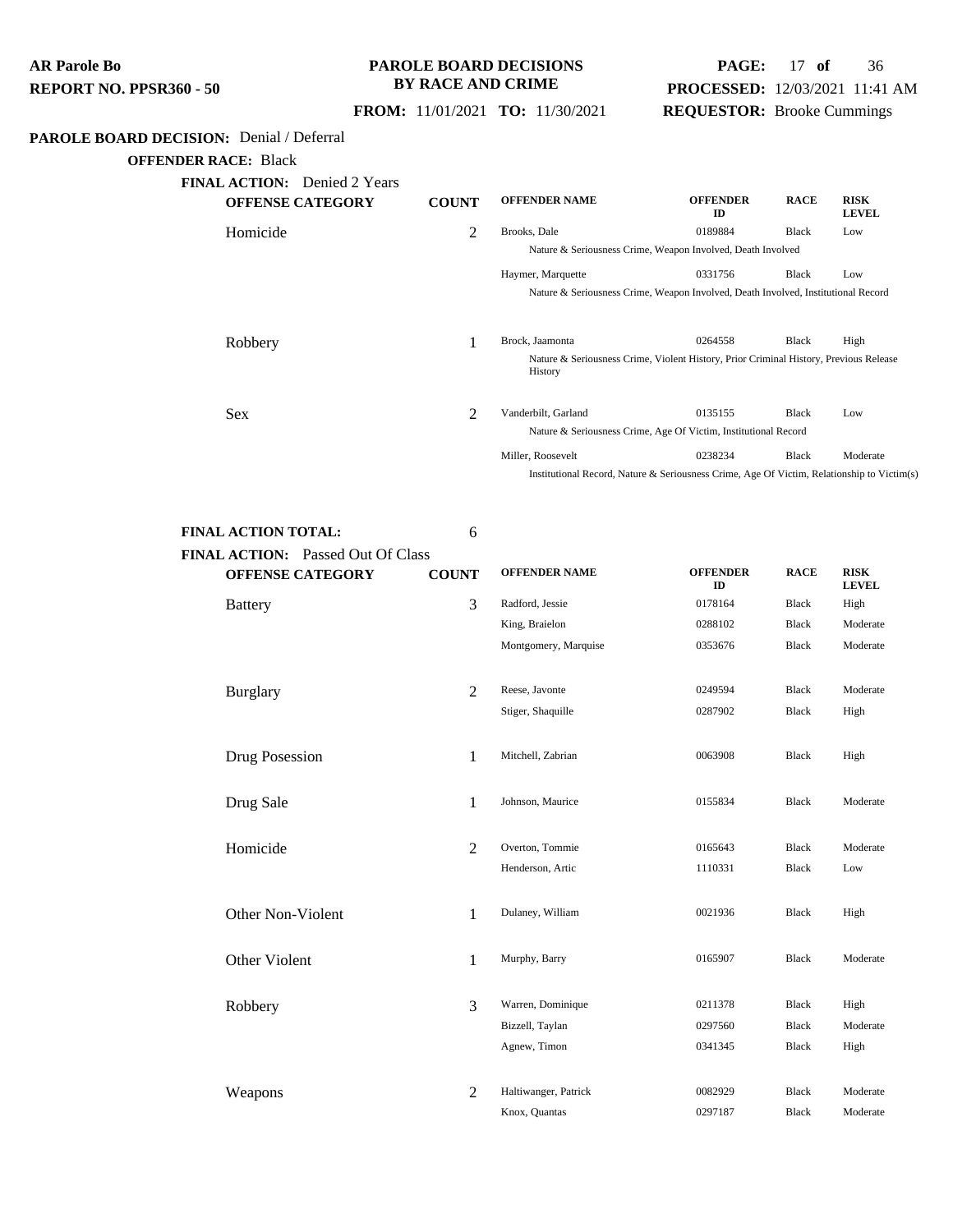### **PAROLE BOARD DECISIONS BY RACE AND CRIME**

## **PAGE:** 17 **of** 36 **PROCESSED:** 12/03/2021 11:41 AM **REQUESTOR:** Brooke Cummings

 **FROM:** 11/01/2021 **TO:** 11/30/2021

### **PAROLE BOARD DECISION:** Denial / Deferral

**OFFENDER RACE:** Black

| <b>FINAL ACTION:</b> Denied 2 Years<br><b>OFFENSE CATEGORY</b> | <b>COUNT</b> | <b>OFFENDER NAME</b> | <b>OFFENDER</b><br>ID                                                                      | <b>RACE</b>  | <b>RISK</b><br><b>LEVEL</b> |
|----------------------------------------------------------------|--------------|----------------------|--------------------------------------------------------------------------------------------|--------------|-----------------------------|
| Homicide                                                       | 2            | Brooks, Dale         | 0189884                                                                                    | Black        | Low                         |
|                                                                |              |                      | Nature & Seriousness Crime, Weapon Involved, Death Involved                                |              |                             |
|                                                                |              | Haymer, Marquette    | 0331756                                                                                    | <b>Black</b> | Low                         |
|                                                                |              |                      | Nature & Seriousness Crime, Weapon Involved, Death Involved, Institutional Record          |              |                             |
| Robbery                                                        | 1            | Brock, Jaamonta      | 0264558                                                                                    | <b>Black</b> | High                        |
|                                                                |              | History              | Nature & Seriousness Crime, Violent History, Prior Criminal History, Previous Release      |              |                             |
| <b>Sex</b>                                                     | 2            | Vanderbilt, Garland  | 0135155                                                                                    | <b>Black</b> | Low                         |
|                                                                |              |                      | Nature & Seriousness Crime, Age Of Victim, Institutional Record                            |              |                             |
|                                                                |              | Miller, Roosevelt    | 0238234                                                                                    | Black        | Moderate                    |
|                                                                |              |                      | Institutional Record, Nature & Seriousness Crime, Age Of Victim, Relationship to Victim(s) |              |                             |

**FINAL ACTION TOTAL:** 6 **FINA** 

| <b>OFFENSE CATEGORY</b> | <b>COUNT</b>   | <b>OFFENDER NAME</b> | <b>OFFENDER</b><br>ID | <b>RACE</b>  | <b>RISK</b><br><b>LEVEL</b> |
|-------------------------|----------------|----------------------|-----------------------|--------------|-----------------------------|
| <b>Battery</b>          | 3              | Radford, Jessie      | 0178164               | <b>Black</b> | High                        |
|                         |                | King, Braielon       | 0288102               | <b>Black</b> | Moderate                    |
|                         |                | Montgomery, Marquise | 0353676               | <b>Black</b> | Moderate                    |
| <b>Burglary</b>         | 2              | Reese, Javonte       | 0249594               | Black        | Moderate                    |
|                         |                | Stiger, Shaquille    | 0287902               | <b>Black</b> | High                        |
| Drug Posession          | 1              | Mitchell, Zabrian    | 0063908               | <b>Black</b> | High                        |
| Drug Sale               | 1              | Johnson, Maurice     | 0155834               | <b>Black</b> | Moderate                    |
| Homicide                | $\overline{2}$ | Overton, Tommie      | 0165643               | Black        | Moderate                    |
|                         |                | Henderson, Artic     | 1110331               | <b>Black</b> | Low                         |
| Other Non-Violent       | 1              | Dulaney, William     | 0021936               | <b>Black</b> | High                        |
| Other Violent           | $\mathbf{1}$   | Murphy, Barry        | 0165907               | <b>Black</b> | Moderate                    |
| Robbery                 | 3              | Warren, Dominique    | 0211378               | <b>Black</b> | High                        |
|                         |                | Bizzell, Taylan      | 0297560               | <b>Black</b> | Moderate                    |
|                         |                | Agnew, Timon         | 0341345               | <b>Black</b> | High                        |
| Weapons                 | $\overline{2}$ | Haltiwanger, Patrick | 0082929               | <b>Black</b> | Moderate                    |
|                         |                | Knox, Quantas        | 0297187               | <b>Black</b> | Moderate                    |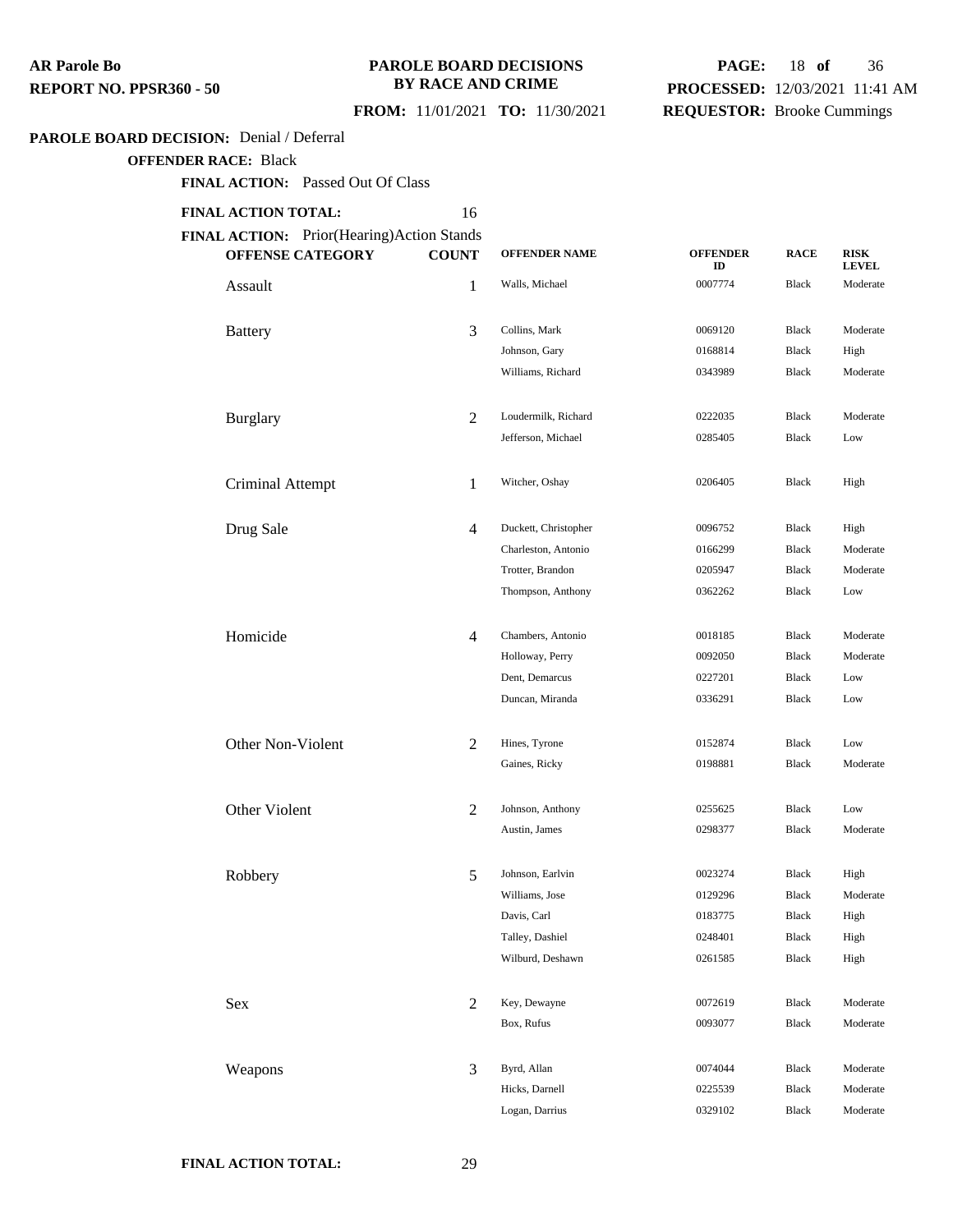#### **PAROLE BOARD DECISIONS BY RACE AND CRIME**

## **PAGE:** 18 **of** 36 **PROCESSED:** 12/03/2021 11:41 AM **REQUESTOR:** Brooke Cummings

## **FROM:** 11/01/2021 **TO:** 11/30/2021

#### **PAROLE BOARD DECISION:** Denial / Deferral

**OFFENDER RACE:** Black

**FINAL ACTION:** Passed Out Of Class

#### **FINAL ACTION TOTAL:** 16

| FINAL ACTION: Prior(Hearing)Action Stands<br><b>OFFENSE CATEGORY</b> | <b>COUNT</b>   | <b>OFFENDER NAME</b> | <b>OFFENDER</b><br>ID | <b>RACE</b>  | <b>RISK</b><br><b>LEVEL</b> |
|----------------------------------------------------------------------|----------------|----------------------|-----------------------|--------------|-----------------------------|
| Assault                                                              | 1              | Walls, Michael       | 0007774               | Black        | Moderate                    |
| <b>Battery</b>                                                       | 3              | Collins, Mark        | 0069120               | <b>Black</b> | Moderate                    |
|                                                                      |                | Johnson, Gary        | 0168814               | Black        | High                        |
|                                                                      |                | Williams, Richard    | 0343989               | Black        | Moderate                    |
| <b>Burglary</b>                                                      | $\overline{2}$ | Loudermilk, Richard  | 0222035               | <b>Black</b> | Moderate                    |
|                                                                      |                | Jefferson, Michael   | 0285405               | Black        | Low                         |
| Criminal Attempt                                                     | 1              | Witcher, Oshay       | 0206405               | Black        | High                        |
| Drug Sale                                                            | $\overline{4}$ | Duckett, Christopher | 0096752               | Black        | High                        |
|                                                                      |                | Charleston, Antonio  | 0166299               | <b>Black</b> | Moderate                    |
|                                                                      |                | Trotter, Brandon     | 0205947               | Black        | Moderate                    |
|                                                                      |                | Thompson, Anthony    | 0362262               | Black        | Low                         |
| Homicide                                                             | $\overline{4}$ | Chambers, Antonio    | 0018185               | Black        | Moderate                    |
|                                                                      |                | Holloway, Perry      | 0092050               | Black        | Moderate                    |
|                                                                      |                | Dent, Demarcus       | 0227201               | <b>Black</b> | Low                         |
|                                                                      |                | Duncan, Miranda      | 0336291               | Black        | Low                         |
| Other Non-Violent                                                    | $\overline{2}$ | Hines, Tyrone        | 0152874               | Black        | Low                         |
|                                                                      |                | Gaines, Ricky        | 0198881               | Black        | Moderate                    |
| Other Violent                                                        | 2              | Johnson, Anthony     | 0255625               | Black        | Low                         |
|                                                                      |                | Austin, James        | 0298377               | <b>Black</b> | Moderate                    |
| Robbery                                                              | 5              | Johnson, Earlvin     | 0023274               | <b>Black</b> | High                        |
|                                                                      |                | Williams, Jose       | 0129296               | <b>Black</b> | Moderate                    |
|                                                                      |                | Davis, Carl          | 0183775               | Black        | High                        |
|                                                                      |                | Talley, Dashiel      | 0248401               | Black        | High                        |
|                                                                      |                | Wilburd, Deshawn     | 0261585               | Black        | High                        |
| Sex                                                                  | 2              | Key, Dewayne         | 0072619               | Black        | Moderate                    |
|                                                                      |                | Box, Rufus           | 0093077               | Black        | Moderate                    |
| Weapons                                                              | 3              | Byrd, Allan          | 0074044               | Black        | Moderate                    |
|                                                                      |                | Hicks, Darnell       | 0225539               | Black        | Moderate                    |
|                                                                      |                | Logan, Darrius       | 0329102               | Black        | Moderate                    |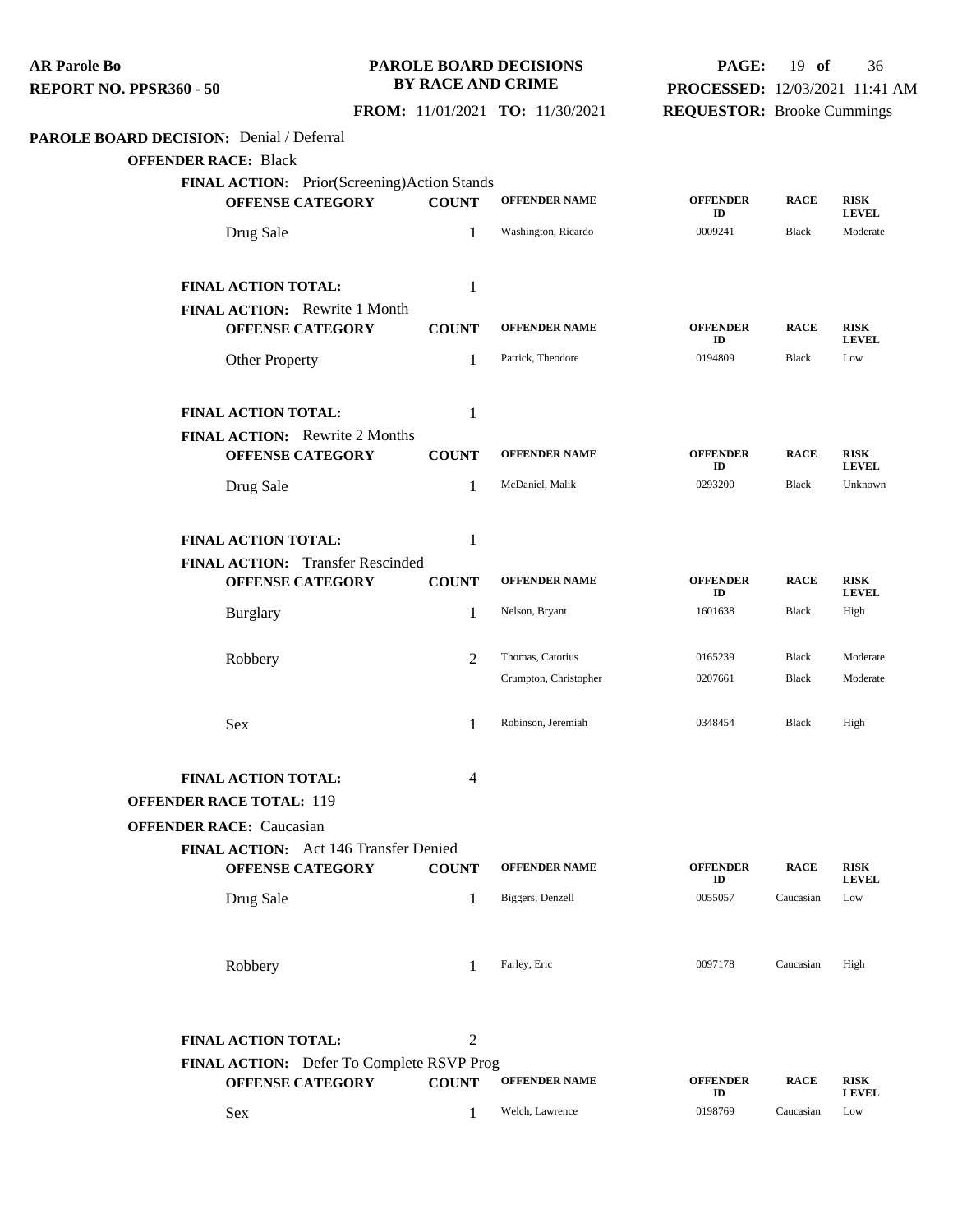| <b>AR Parole Bo</b>            |  |
|--------------------------------|--|
| <b>REPORT NO. PPSR360 - 50</b> |  |

### **PAROLE BOARD DECISIONS BY RACE AND CRIME**

## **PAGE:** 19 **of** 36 **PROCESSED:** 12/03/2021 11:41 AM

## **FROM:** 11/01/2021 **TO:** 11/30/2021

**REQUESTOR:** Brooke Cummings

## **PAROLE BOARD DECISION:** Denial / Deferral

**OFFENDER RACE:** Black

| FINAL ACTION: Prior(Screening)Action Stands                     |                |                       |                       |              |                             |
|-----------------------------------------------------------------|----------------|-----------------------|-----------------------|--------------|-----------------------------|
| <b>OFFENSE CATEGORY</b>                                         | <b>COUNT</b>   | <b>OFFENDER NAME</b>  | <b>OFFENDER</b><br>ID | <b>RACE</b>  | <b>RISK</b><br><b>LEVEL</b> |
| Drug Sale                                                       | 1              | Washington, Ricardo   | 0009241               | <b>Black</b> | Moderate                    |
|                                                                 |                |                       |                       |              |                             |
| FINAL ACTION TOTAL:                                             | 1              |                       |                       |              |                             |
| <b>FINAL ACTION:</b> Rewrite 1 Month<br><b>OFFENSE CATEGORY</b> | <b>COUNT</b>   | <b>OFFENDER NAME</b>  | <b>OFFENDER</b><br>ID | <b>RACE</b>  | <b>RISK</b><br><b>LEVEL</b> |
| <b>Other Property</b>                                           | $\mathbf{1}$   | Patrick, Theodore     | 0194809               | <b>Black</b> | Low                         |
| <b>FINAL ACTION TOTAL:</b>                                      | 1              |                       |                       |              |                             |
| <b>FINAL ACTION:</b> Rewrite 2 Months                           |                |                       |                       |              |                             |
| <b>OFFENSE CATEGORY</b>                                         | <b>COUNT</b>   | <b>OFFENDER NAME</b>  | <b>OFFENDER</b><br>ID | <b>RACE</b>  | <b>RISK</b><br><b>LEVEL</b> |
| Drug Sale                                                       | 1              | McDaniel, Malik       | 0293200               | <b>Black</b> | Unknown                     |
| FINAL ACTION TOTAL:                                             | 1              |                       |                       |              |                             |
| FINAL ACTION: Transfer Rescinded                                |                |                       |                       |              |                             |
| <b>OFFENSE CATEGORY</b>                                         | <b>COUNT</b>   | <b>OFFENDER NAME</b>  | <b>OFFENDER</b><br>ID | <b>RACE</b>  | <b>RISK</b><br><b>LEVEL</b> |
| <b>Burglary</b>                                                 | $\mathbf{1}$   | Nelson, Bryant        | 1601638               | <b>Black</b> | High                        |
| Robbery                                                         | $\overline{2}$ | Thomas, Catorius      | 0165239               | <b>Black</b> | Moderate                    |
|                                                                 |                | Crumpton, Christopher | 0207661               | <b>Black</b> | Moderate                    |
| Sex                                                             | $\mathbf{1}$   | Robinson, Jeremiah    | 0348454               | Black        | High                        |
| FINAL ACTION TOTAL:                                             | 4              |                       |                       |              |                             |
| <b>OFFENDER RACE TOTAL: 119</b>                                 |                |                       |                       |              |                             |
| <b>OFFENDER RACE:</b> Caucasian                                 |                |                       |                       |              |                             |
| FINAL ACTION: Act 146 Transfer Denied                           |                |                       |                       |              |                             |
| <b>OFFENSE CATEGORY</b>                                         | <b>COUNT</b>   | <b>OFFENDER NAME</b>  | <b>OFFENDER</b><br>ID | <b>RACE</b>  | <b>RISK</b><br><b>LEVEL</b> |
| Drug Sale                                                       | $\mathbf{1}$   | Biggers, Denzell      | 0055057               | Caucasian    | Low                         |
| Robbery                                                         | $\mathbf{1}$   | Farley, Eric          | 0097178               | Caucasian    | High                        |
|                                                                 |                |                       |                       |              |                             |
| <b>FINAL ACTION TOTAL:</b>                                      | $\mathbf{2}$   |                       |                       |              |                             |
| FINAL ACTION: Defer To Complete RSVP Prog                       |                |                       |                       |              |                             |
| <b>OFFENSE CATEGORY</b>                                         | <b>COUNT</b>   | <b>OFFENDER NAME</b>  | <b>OFFENDER</b>       | <b>RACE</b>  | <b>RISK</b>                 |

| <b>OFFENSE CATEGORY</b> | COUNT | <b>OFFENDER NAME</b> | <b>OFFENDER</b><br>π | <b>RACE</b> | <b>RISK</b><br><b>EVEL.</b> |
|-------------------------|-------|----------------------|----------------------|-------------|-----------------------------|
| Sex                     |       | Welch, Lawrence      | 0198769              | Caucasian   | Low                         |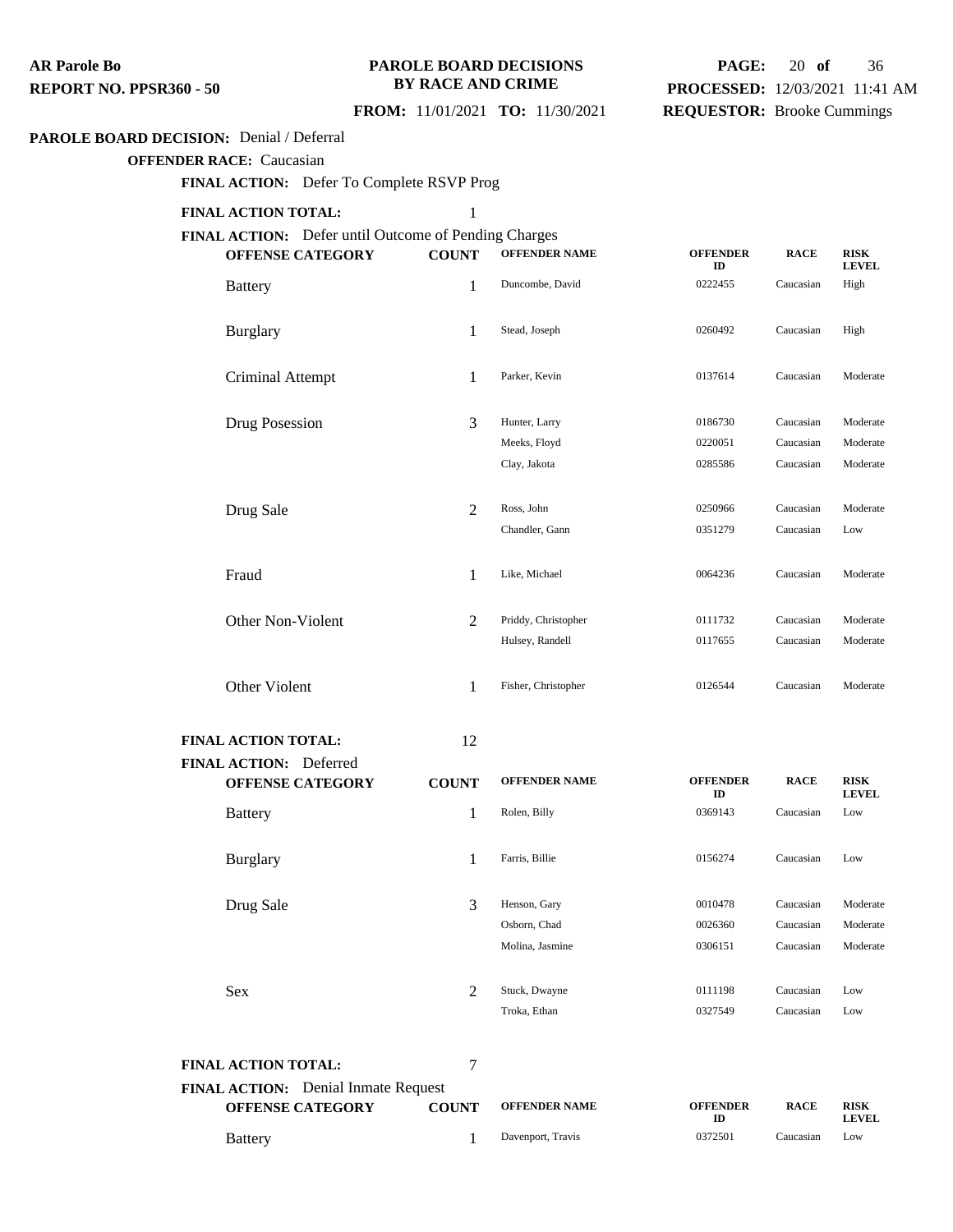#### **PAROLE BOARD DECISIONS BY RACE AND CRIME**

## **PAGE:** 20 **of** 36 **PROCESSED:** 12/03/2021 11:41 AM **REQUESTOR:** Brooke Cummings

#### **FROM:** 11/01/2021 **TO:** 11/30/2021

#### **PAROLE BOARD DECISION:** Denial / Deferral

**OFFENDER RACE:** Caucasian

**FINAL ACTION:** Defer To Complete RSVP Prog

#### **FINAL ACTION TOTAL:** 1

**FINAL ACTION:** Defer until Outcome of Pending Charges

| <b>OFFENSE CATEGORY</b>                                  | <b>COUNT</b>   | <b>OFFENDER NAME</b> | <b>OFFENDER</b><br>ID | <b>RACE</b> | <b>RISK</b><br><b>LEVEL</b> |
|----------------------------------------------------------|----------------|----------------------|-----------------------|-------------|-----------------------------|
| <b>Battery</b>                                           | $\mathbf{1}$   | Duncombe, David      | 0222455               | Caucasian   | High                        |
| <b>Burglary</b>                                          | $\mathbf{1}$   | Stead, Joseph        | 0260492               | Caucasian   | High                        |
| Criminal Attempt                                         | 1              | Parker, Kevin        | 0137614               | Caucasian   | Moderate                    |
| Drug Posession                                           | 3              | Hunter, Larry        | 0186730               | Caucasian   | Moderate                    |
|                                                          |                | Meeks, Floyd         | 0220051               | Caucasian   | Moderate                    |
|                                                          |                | Clay, Jakota         | 0285586               | Caucasian   | Moderate                    |
| Drug Sale                                                | $\overline{2}$ | Ross, John           | 0250966               | Caucasian   | Moderate                    |
|                                                          |                | Chandler, Gann       | 0351279               | Caucasian   | Low                         |
|                                                          |                |                      |                       |             |                             |
| Fraud                                                    | $\mathbf{1}$   | Like, Michael        | 0064236               | Caucasian   | Moderate                    |
| Other Non-Violent                                        | $\overline{2}$ | Priddy, Christopher  | 0111732               | Caucasian   | Moderate                    |
|                                                          |                | Hulsey, Randell      | 0117655               | Caucasian   | Moderate                    |
| Other Violent                                            | 1              | Fisher, Christopher  | 0126544               | Caucasian   | Moderate                    |
| FINAL ACTION TOTAL:                                      | 12             |                      |                       |             |                             |
| <b>FINAL ACTION:</b> Deferred<br><b>OFFENSE CATEGORY</b> | <b>COUNT</b>   | <b>OFFENDER NAME</b> | <b>OFFENDER</b>       | <b>RACE</b> | <b>RISK</b>                 |
| <b>Battery</b>                                           | 1              | Rolen, Billy         | ID<br>0369143         | Caucasian   | <b>LEVEL</b><br>Low         |
|                                                          |                |                      |                       |             |                             |
| <b>Burglary</b>                                          | 1              | Farris, Billie       | 0156274               | Caucasian   | Low                         |
| Drug Sale                                                | 3              | Henson, Gary         | 0010478               | Caucasian   | Moderate                    |
|                                                          |                | Osborn, Chad         | 0026360               | Caucasian   | Moderate                    |

| <b>FINAL ACTION TOTAL:</b>                 |                         |              |                      |
|--------------------------------------------|-------------------------|--------------|----------------------|
| <b>FINAL ACTION:</b> Denial Inmate Request |                         |              |                      |
|                                            | <b>OFFENSE CATEGORY</b> | <b>COUNT</b> | <b>OFFENDER NAME</b> |

Sex 2 Stuck, Dwayne 0111198 Caucasian Low

| <b>OFFENSE CATEGORY</b> | <b>COUNT</b> | <b>OFFENDER NAME</b> | <b>OFFENDER</b> | <b>RACE</b> | <b>RISI</b><br>LEV |
|-------------------------|--------------|----------------------|-----------------|-------------|--------------------|
| <b>Battery</b>          |              | Davenport, Travis    | 0372501         | Caucasian   | Low                |

**RACE RISK LEVEL**

Molina, Jasmine 0306151 Caucasian Moderate

Troka, Ethan 0327549 Caucasian Low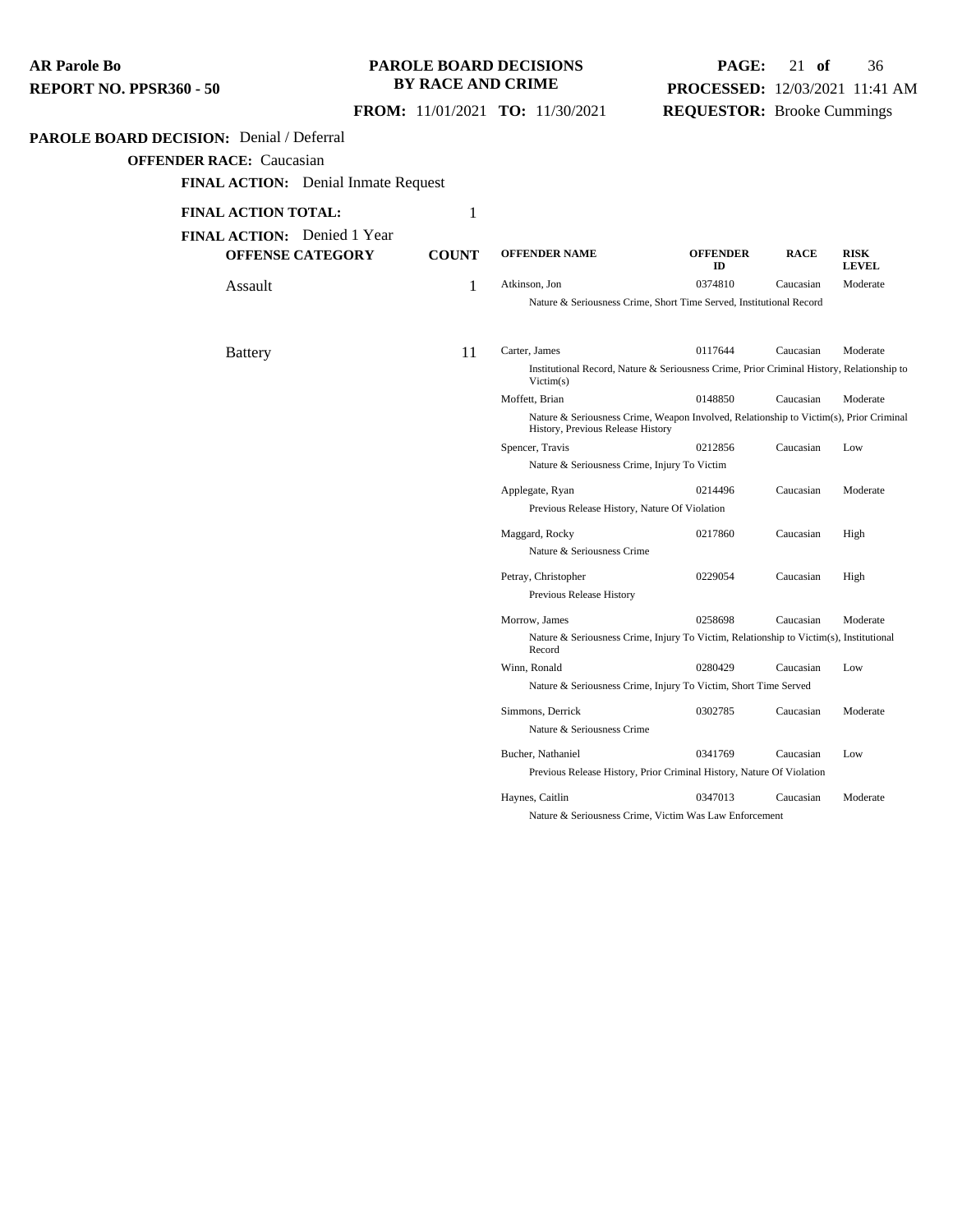### **PAROLE BOARD DECISIONS BY RACE AND CRIME**

## **PAGE:** 21 **of** 36 **PROCESSED:** 12/03/2021 11:41 AM **REQUESTOR:** Brooke Cummings

## **FROM:** 11/01/2021 **TO:** 11/30/2021

#### **PAROLE BOARD DECISION:** Denial / Deferral

**OFFENDER RACE:** Caucasian

**FINAL ACTION:** Denial Inmate Request

## **FINAL ACTION TOTAL:** 1 **FINAL ACTION:** Denied 1 Year

| <b>ACTION TOTAL:</b>         | 1            |                                               |                                                                                           |             |                             |
|------------------------------|--------------|-----------------------------------------------|-------------------------------------------------------------------------------------------|-------------|-----------------------------|
| <b>ACTION:</b> Denied 1 Year |              |                                               |                                                                                           |             |                             |
| <b>OFFENSE CATEGORY</b>      | <b>COUNT</b> | <b>OFFENDER NAME</b>                          | <b>OFFENDER</b><br>ID                                                                     | <b>RACE</b> | <b>RISK</b><br><b>LEVEL</b> |
| Assault                      | 1            | Atkinson, Jon                                 | 0374810                                                                                   | Caucasian   | Moderate                    |
|                              |              |                                               | Nature & Seriousness Crime, Short Time Served, Institutional Record                       |             |                             |
| Battery                      | 11           | Carter, James                                 | 0117644                                                                                   | Caucasian   | Moderate                    |
|                              |              | Victim(s)                                     | Institutional Record, Nature & Seriousness Crime, Prior Criminal History, Relationship to |             |                             |
|                              |              | Moffett, Brian                                | 0148850                                                                                   | Caucasian   | Moderate                    |
|                              |              | History, Previous Release History             | Nature & Seriousness Crime, Weapon Involved, Relationship to Victim(s), Prior Criminal    |             |                             |
|                              |              | Spencer, Travis                               | 0212856                                                                                   | Caucasian   | Low                         |
|                              |              | Nature & Seriousness Crime, Injury To Victim  |                                                                                           |             |                             |
|                              |              | Applegate, Ryan                               | 0214496                                                                                   | Caucasian   | Moderate                    |
|                              |              | Previous Release History, Nature Of Violation |                                                                                           |             |                             |
|                              |              | Maggard, Rocky                                | 0217860                                                                                   | Caucasian   | High                        |
|                              |              | Nature & Seriousness Crime                    |                                                                                           |             |                             |
|                              |              | Petray, Christopher                           | 0229054                                                                                   | Caucasian   | High                        |
|                              |              | Previous Release History                      |                                                                                           |             |                             |
|                              |              | Morrow, James                                 | 0258698                                                                                   | Caucasian   | Moderate                    |
|                              |              | Record                                        | Nature & Seriousness Crime, Injury To Victim, Relationship to Victim(s), Institutional    |             |                             |
|                              |              | Winn, Ronald                                  | 0280429                                                                                   | Caucasian   | Low                         |
|                              |              |                                               | Nature & Seriousness Crime, Injury To Victim, Short Time Served                           |             |                             |
|                              |              | Simmons, Derrick                              | 0302785                                                                                   | Caucasian   | Moderate                    |
|                              |              | Nature & Seriousness Crime                    |                                                                                           |             |                             |
|                              |              | Bucher, Nathaniel                             | 0341769                                                                                   | Caucasian   | Low                         |
|                              |              |                                               | Previous Release History, Prior Criminal History, Nature Of Violation                     |             |                             |
|                              |              | Haynes, Caitlin                               | 0347013                                                                                   | Caucasian   | Moderate                    |

Nature & Seriousness Crime, Victim Was Law Enforcement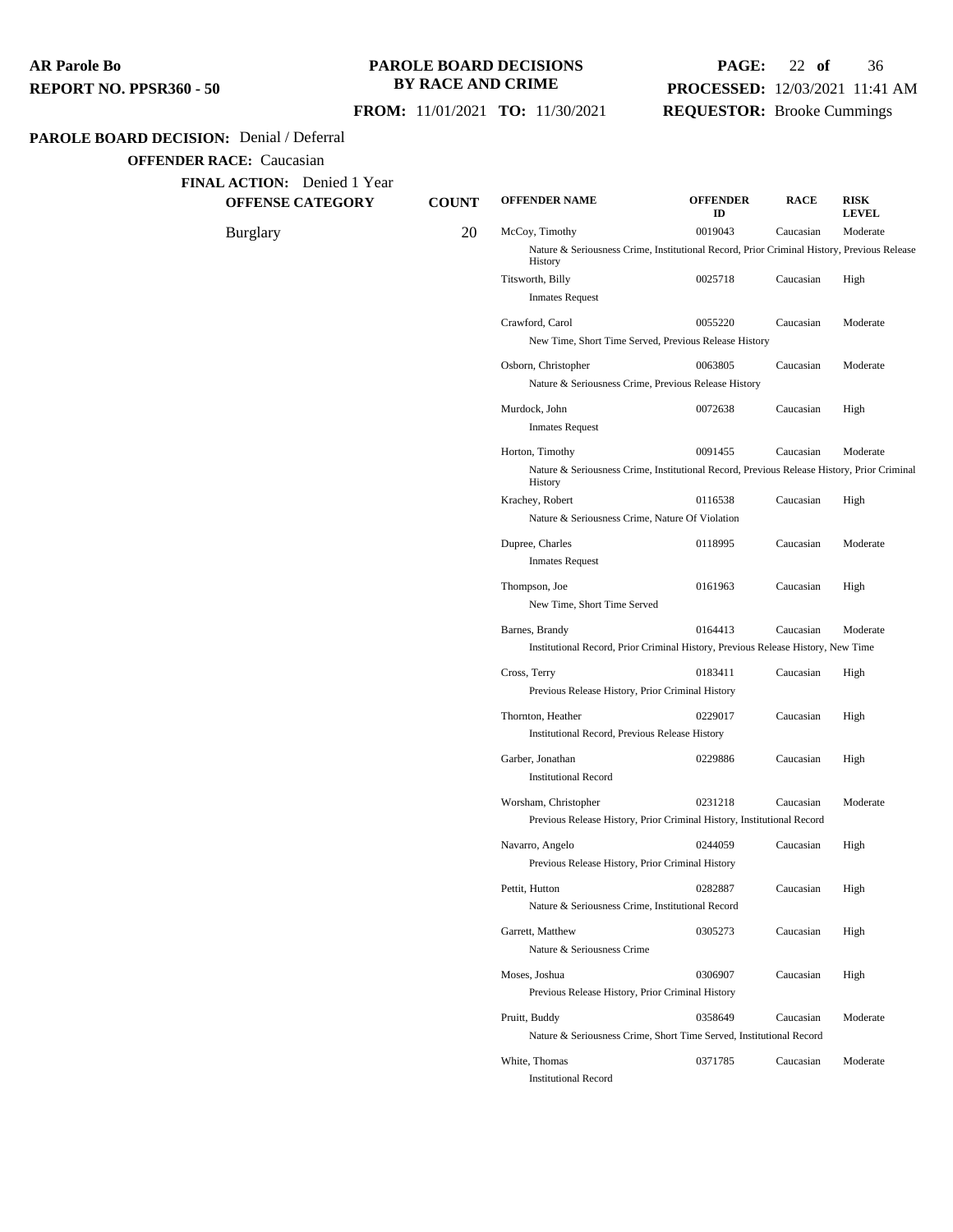### **PAROLE BOARD DECISIONS BY RACE AND CRIME**

## **PAGE:** 22 **of** 36 **PROCESSED:** 12/03/2021 11:41 AM **REQUESTOR:** Brooke Cummings

 **FROM:** 11/01/2021 **TO:** 11/30/2021

#### **PAROLE BOARD DECISION:** Denial / Deferral

**OFFENDER RACE:** Caucasian

**FINAL ACTION:** Denied 1 Year

**OFFENSE CATEGORY COUNT OFFENDER NAME OFFENDER ID RACE RISK LEVEL** Burglary 20 McCoy, Timothy <sup>0019043</sup> Caucasian Moderate Nature & Seriousness Crime, Institutional Record, Prior Criminal History, Previous Release History Titsworth, Billy 0025718 Caucasian High Inmates Request Crawford, Carol 0055220 Caucasian Moderate New Time, Short Time Served, Previous Release History Osborn, Christopher 0063805 Caucasian Moderate Nature & Seriousness Crime, Previous Release History Murdock, John 0072638 Caucasian High Inmates Request Horton, Timothy 0091455 Caucasian Moderate Nature & Seriousness Crime, Institutional Record, Previous Release History, Prior Criminal History Krachey, Robert 0116538 Caucasian High Nature & Seriousness Crime, Nature Of Violation

> Dupree, Charles 0118995 Caucasian Moderate Inmates Request Thompson, Joe 0161963 Caucasian High New Time, Short Time Served Barnes, Brandy 0164413 Caucasian Moderate

> Institutional Record, Prior Criminal History, Previous Release History, New Time Cross, Terry 0183411 Caucasian High Previous Release History, Prior Criminal History Thornton, Heather 0229017 Caucasian High Institutional Record, Previous Release History Garber, Jonathan 0229886 Caucasian High Institutional Record Worsham, Christopher 0231218 Caucasian Moderate Previous Release History, Prior Criminal History, Institutional Record Navarro, Angelo 0244059 Caucasian High

| Previous Release History, Prior Criminal History                    |         |           |          |  |  |
|---------------------------------------------------------------------|---------|-----------|----------|--|--|
| Pettit, Hutton                                                      | 0282887 | Caucasian | High     |  |  |
| Nature & Seriousness Crime, Institutional Record                    |         |           |          |  |  |
| Garrett. Matthew                                                    | 0305273 | Caucasian | High     |  |  |
| Nature & Seriousness Crime                                          |         |           |          |  |  |
| Moses. Joshua                                                       | 0306907 | Caucasian | High     |  |  |
| Previous Release History, Prior Criminal History                    |         |           |          |  |  |
| Pruitt, Buddy                                                       | 0358649 | Caucasian | Moderate |  |  |
| Nature & Seriousness Crime, Short Time Served, Institutional Record |         |           |          |  |  |
|                                                                     |         |           |          |  |  |

White, Thomas 0371785 Caucasian Moderate

Institutional Record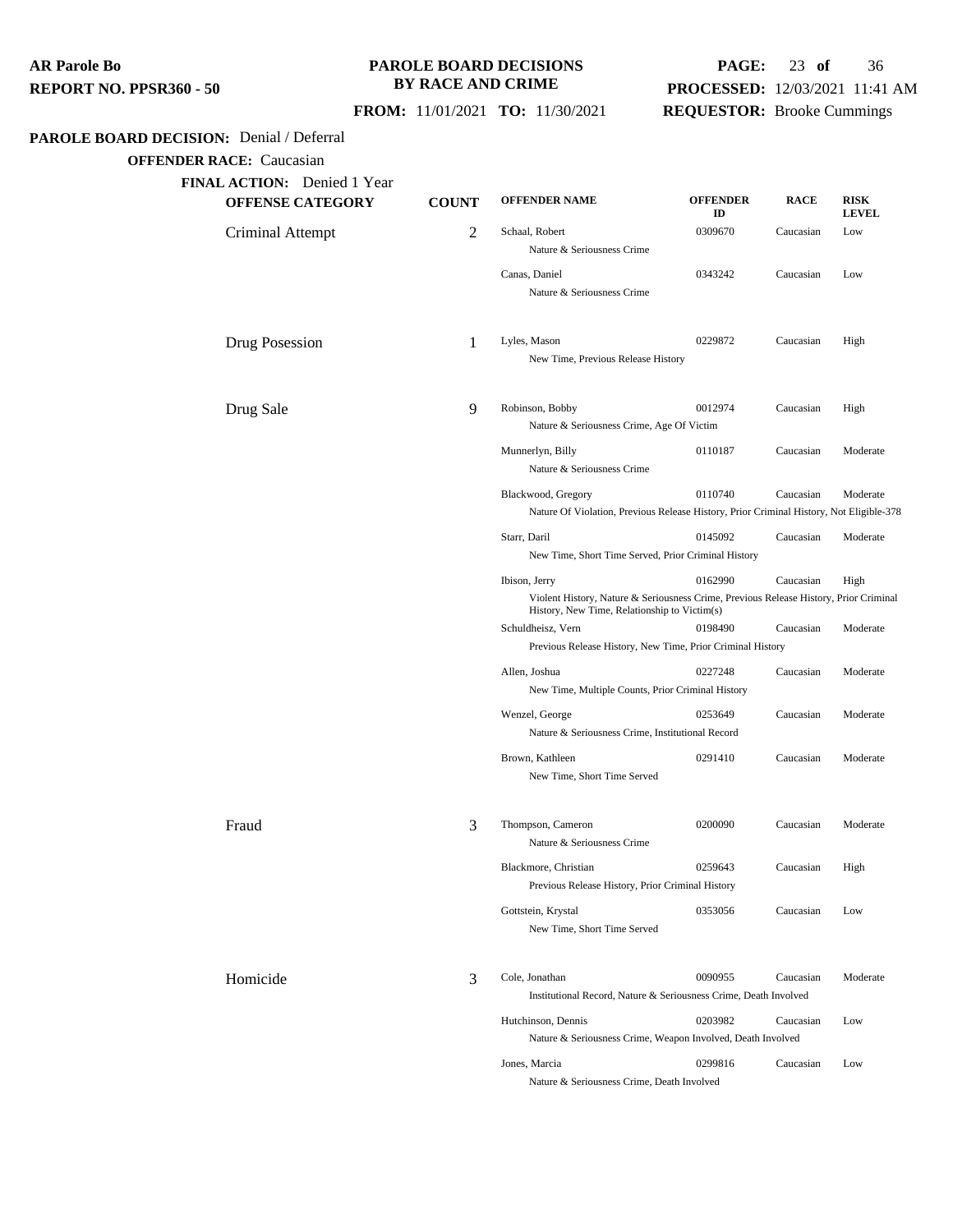### **PAROLE BOARD DECISIONS BY RACE AND CRIME**

# **PAGE:** 23 **of** 36 **PROCESSED:** 12/03/2021 11:41 AM

 **FROM:** 11/01/2021 **TO:** 11/30/2021

**REQUESTOR:** Brooke Cummings

#### PAROLE BOAF

|                                       |                                    |              | <b>FROM:</b> 11/01/2021 <b>TO:</b> 11/30/2021                                                                                         | <b>REQUESTOR:</b> Brooke Cummings |             |                             |
|---------------------------------------|------------------------------------|--------------|---------------------------------------------------------------------------------------------------------------------------------------|-----------------------------------|-------------|-----------------------------|
| <b>RD DECISION:</b> Denial / Deferral |                                    |              |                                                                                                                                       |                                   |             |                             |
| <b>OFFENDER RACE: Caucasian</b>       |                                    |              |                                                                                                                                       |                                   |             |                             |
|                                       | <b>FINAL ACTION:</b> Denied 1 Year |              |                                                                                                                                       |                                   |             |                             |
|                                       | <b>OFFENSE CATEGORY</b>            | <b>COUNT</b> | <b>OFFENDER NAME</b>                                                                                                                  | <b>OFFENDER</b><br>ID             | <b>RACE</b> | <b>RISK</b><br><b>LEVEL</b> |
|                                       | Criminal Attempt                   | 2            | Schaal, Robert<br>Nature & Seriousness Crime                                                                                          | 0309670                           | Caucasian   | Low                         |
|                                       |                                    |              | Canas, Daniel<br>Nature & Seriousness Crime                                                                                           | 0343242                           | Caucasian   | Low                         |
|                                       | Drug Posession                     | 1            | Lyles, Mason<br>New Time, Previous Release History                                                                                    | 0229872                           | Caucasian   | High                        |
|                                       | Drug Sale                          | 9            | Robinson, Bobby                                                                                                                       | 0012974                           | Caucasian   | High                        |
|                                       |                                    |              | Nature & Seriousness Crime, Age Of Victim                                                                                             |                                   |             |                             |
|                                       |                                    |              | Munnerlyn, Billy<br>Nature & Seriousness Crime                                                                                        | 0110187                           | Caucasian   | Moderate                    |
|                                       |                                    |              | Blackwood, Gregory<br>Nature Of Violation, Previous Release History, Prior Criminal History, Not Eligible-378                         | 0110740                           | Caucasian   | Moderate                    |
|                                       |                                    |              | Starr, Daril                                                                                                                          | 0145092                           |             |                             |
|                                       |                                    |              | New Time, Short Time Served, Prior Criminal History                                                                                   |                                   | Caucasian   | Moderate                    |
|                                       |                                    |              | Ibison, Jerry                                                                                                                         | 0162990                           | Caucasian   | High                        |
|                                       |                                    |              | Violent History, Nature & Seriousness Crime, Previous Release History, Prior Criminal<br>History, New Time, Relationship to Victim(s) |                                   |             |                             |
|                                       |                                    |              | Schuldheisz, Vern                                                                                                                     | 0198490                           | Caucasian   | Moderate                    |
|                                       |                                    |              | Previous Release History, New Time, Prior Criminal History                                                                            |                                   |             |                             |
|                                       |                                    |              | Allen, Joshua<br>New Time, Multiple Counts, Prior Criminal History                                                                    | 0227248                           | Caucasian   | Moderate                    |
|                                       |                                    |              | Wenzel, George<br>Nature & Seriousness Crime, Institutional Record                                                                    | 0253649                           | Caucasian   | Moderate                    |
|                                       |                                    |              | Brown, Kathleen<br>New Time, Short Time Served                                                                                        | 0291410                           | Caucasian   | Moderate                    |
| Fraud                                 |                                    | 3            | Thompson, Cameron<br>Nature & Seriousness Crime                                                                                       | 0200090                           | Caucasian   | Moderate                    |
|                                       |                                    |              | Blackmore, Christian<br>Previous Release History, Prior Criminal History                                                              | 0259643                           | Caucasian   | High                        |
|                                       |                                    |              | Gottstein, Krystal                                                                                                                    | 0353056                           | Caucasian   | Low                         |

| Homicide | Cole, Jonathan     | 0090955<br>Institutional Record, Nature & Seriousness Crime, Death Involved | Caucasian | Moderate |
|----------|--------------------|-----------------------------------------------------------------------------|-----------|----------|
|          | Hutchinson, Dennis | 0203982                                                                     | Caucasian | Low      |
|          |                    | Nature & Seriousness Crime, Weapon Involved, Death Involved                 |           |          |
|          | Jones, Marcia      | 0299816                                                                     | Caucasian | Low      |

New Time, Short Time Served

Nature & Seriousness Crime, Death Involved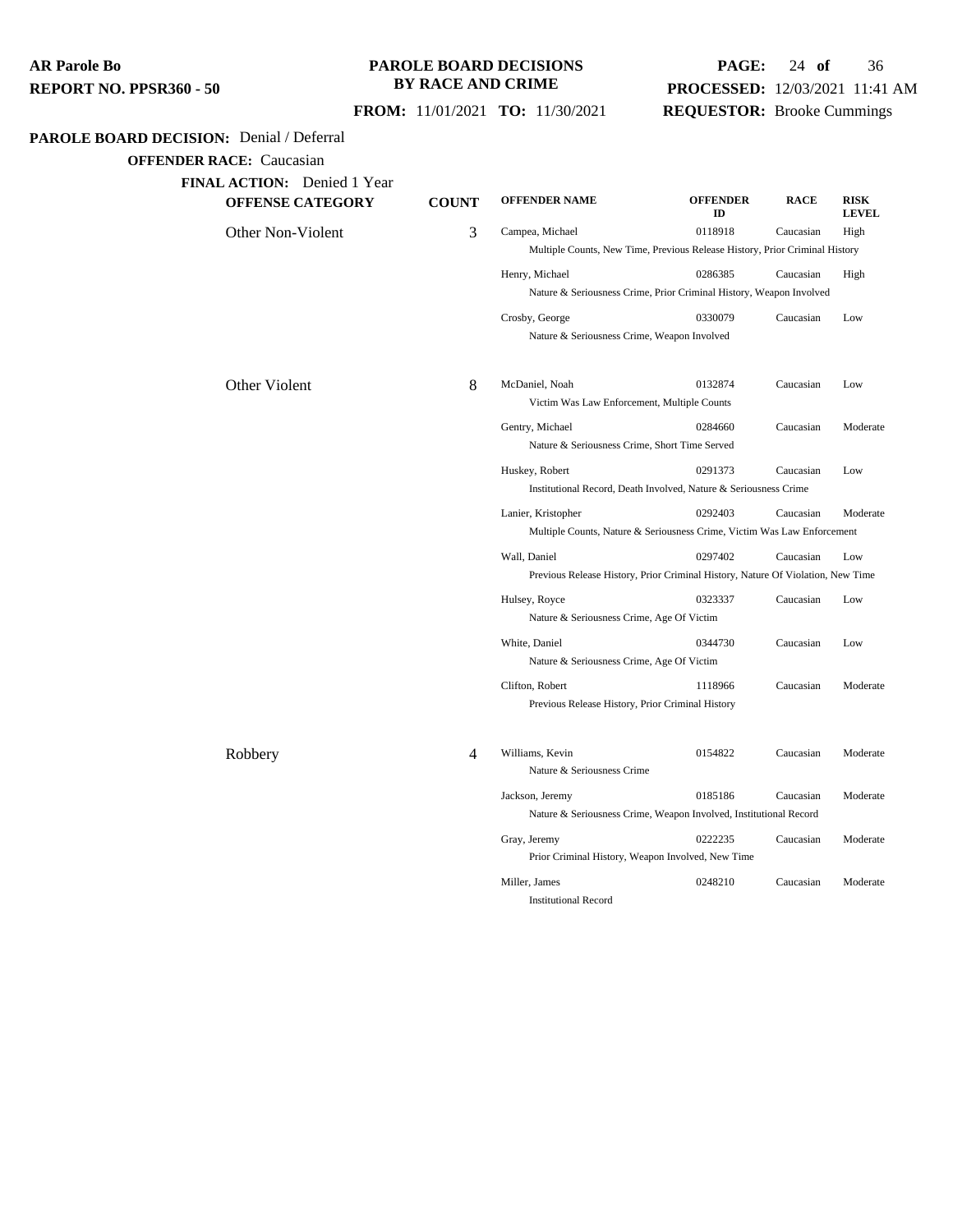### **PAROLE BOARD DECISIONS BY RACE AND CRIME**

## **PAGE:** 24 **of** 36 **PROCESSED:** 12/03/2021 11:41 AM **REQUESTOR:** Brooke Cummings

 **FROM:** 11/01/2021 **TO:** 11/30/2021

### **PAROLE BOARD DECISION:** Denial / Deferral

| <b>FINAL ACTION:</b> Denied 1 Year |  |
|------------------------------------|--|
|------------------------------------|--|

| ACTION.<br>Denieu I Tean<br><b>OFFENSE CATEGORY</b> | <b>COUNT</b> | <b>OFFENDER NAME</b>                                                                            | <b>OFFENDER</b><br>ID | <b>RACE</b> | <b>RISK</b><br><b>LEVEL</b> |
|-----------------------------------------------------|--------------|-------------------------------------------------------------------------------------------------|-----------------------|-------------|-----------------------------|
| Other Non-Violent                                   | 3            | Campea, Michael<br>Multiple Counts, New Time, Previous Release History, Prior Criminal History  | 0118918               | Caucasian   | High                        |
|                                                     |              | Henry, Michael<br>Nature & Seriousness Crime, Prior Criminal History, Weapon Involved           | 0286385               | Caucasian   | High                        |
|                                                     |              | Crosby, George<br>Nature & Seriousness Crime, Weapon Involved                                   | 0330079               | Caucasian   | Low                         |
| Other Violent                                       | 8            | McDaniel, Noah<br>Victim Was Law Enforcement, Multiple Counts                                   | 0132874               | Caucasian   | Low                         |
|                                                     |              | Gentry, Michael<br>Nature & Seriousness Crime, Short Time Served                                | 0284660               | Caucasian   | Moderate                    |
|                                                     |              | Huskey, Robert<br>Institutional Record, Death Involved, Nature & Seriousness Crime              | 0291373               | Caucasian   | Low                         |
|                                                     |              | Lanier, Kristopher<br>Multiple Counts, Nature & Seriousness Crime, Victim Was Law Enforcement   | 0292403               | Caucasian   | Moderate                    |
|                                                     |              | Wall, Daniel<br>Previous Release History, Prior Criminal History, Nature Of Violation, New Time | 0297402               | Caucasian   | Low                         |
|                                                     |              | Hulsey, Royce<br>Nature & Seriousness Crime, Age Of Victim                                      | 0323337               | Caucasian   | Low                         |
|                                                     |              | White, Daniel<br>Nature & Seriousness Crime, Age Of Victim                                      | 0344730               | Caucasian   | Low                         |
|                                                     |              | Clifton, Robert<br>Previous Release History, Prior Criminal History                             | 1118966               | Caucasian   | Moderate                    |
| Robbery                                             | 4            | Williams, Kevin<br>Nature & Seriousness Crime                                                   | 0154822               | Caucasian   | Moderate                    |
|                                                     |              | Jackson, Jeremy<br>Nature & Seriousness Crime, Weapon Involved, Institutional Record            | 0185186               | Caucasian   | Moderate                    |
|                                                     |              | Gray, Jeremy<br>Prior Criminal History, Weapon Involved, New Time                               | 0222235               | Caucasian   | Moderate                    |
|                                                     |              | Miller, James<br><b>Institutional Record</b>                                                    | 0248210               | Caucasian   | Moderate                    |
|                                                     |              |                                                                                                 |                       |             |                             |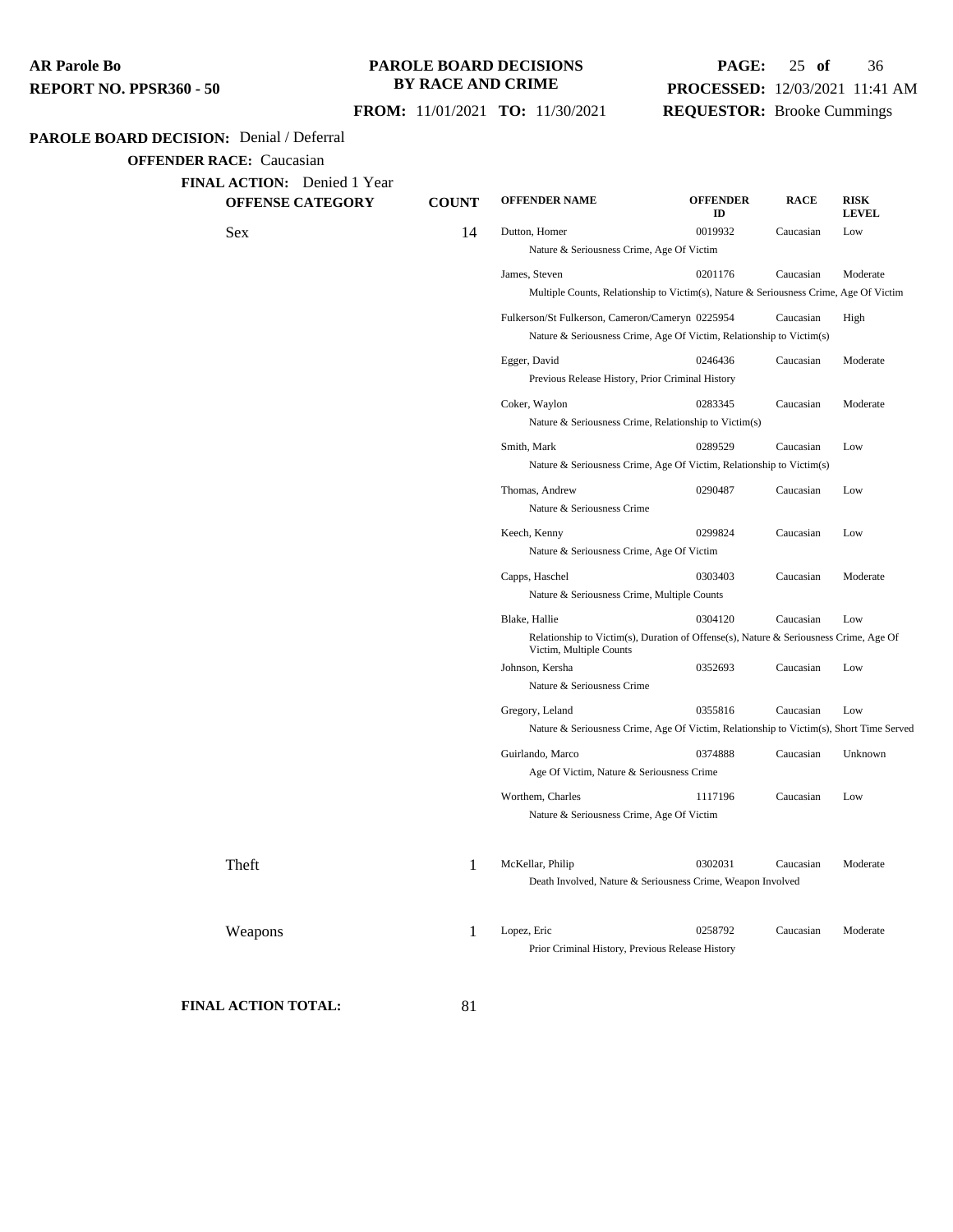### **PAROLE BOARD DECISIONS BY RACE AND CRIME**

## **PAGE:** 25 **of** 36 **PROCESSED:** 12/03/2021 11:41 AM **REQUESTOR:** Brooke Cummings

### **FROM:** 11/01/2021 **TO:** 11/30/2021

#### **PAROLE BOARD DECISION:** Denial / Deferral

**OFFENDER RACE:** Caucasian

**FINAL ACTION:** Denied 1 Year

**OFFENSE CATEGORY COUNT OFFENDER NAME OFFENDER ID RACE RISK LEVEL** Sex 2019932 Caucasian Low Nature & Seriousness Crime, Age Of Victim James, Steven 0201176 Caucasian Moderate Multiple Counts, Relationship to Victim(s), Nature & Seriousness Crime, Age Of Victim Fulkerson/St Fulkerson, Cameron/Cameryn 0225954 Caucasian High Nature & Seriousness Crime, Age Of Victim, Relationship to Victim(s) Egger, David 0246436 Caucasian Moderate Previous Release History, Prior Criminal History Coker, Waylon 0283345 Caucasian Moderate Nature & Seriousness Crime, Relationship to Victim(s) Smith, Mark 0289529 Caucasian Low Nature & Seriousness Crime, Age Of Victim, Relationship to Victim(s) Thomas, Andrew 0290487 Caucasian Low Nature & Seriousness Crime Keech, Kenny 0299824 Caucasian Low Nature & Seriousness Crime, Age Of Victim Capps, Haschel 0303403 Caucasian Moderate Nature & Seriousness Crime, Multiple Counts Blake, Hallie  $0304120$  Caucasian Low Relationship to Victim(s), Duration of Offense(s), Nature & Seriousness Crime, Age Of Victim, Multiple Counts Johnson, Kersha 0352693 Caucasian Low Nature & Seriousness Crime Gregory, Leland 0355816 Caucasian Low Nature & Seriousness Crime, Age Of Victim, Relationship to Victim(s), Short Time Served Guirlando, Marco 0374888 Caucasian Unknown Age Of Victim, Nature & Seriousness Crime Worthem, Charles 1117196 Caucasian Low Nature & Seriousness Crime, Age Of Victim Theft 1 McKellar, Philip <sup>0302031</sup> Caucasian Moderate Death Involved, Nature & Seriousness Crime, Weapon Involved Weapons 1 Lopez, Eric <sup>0258792</sup> Caucasian Moderate

Prior Criminal History, Previous Release History

**FINAL ACTION TOTAL:** 81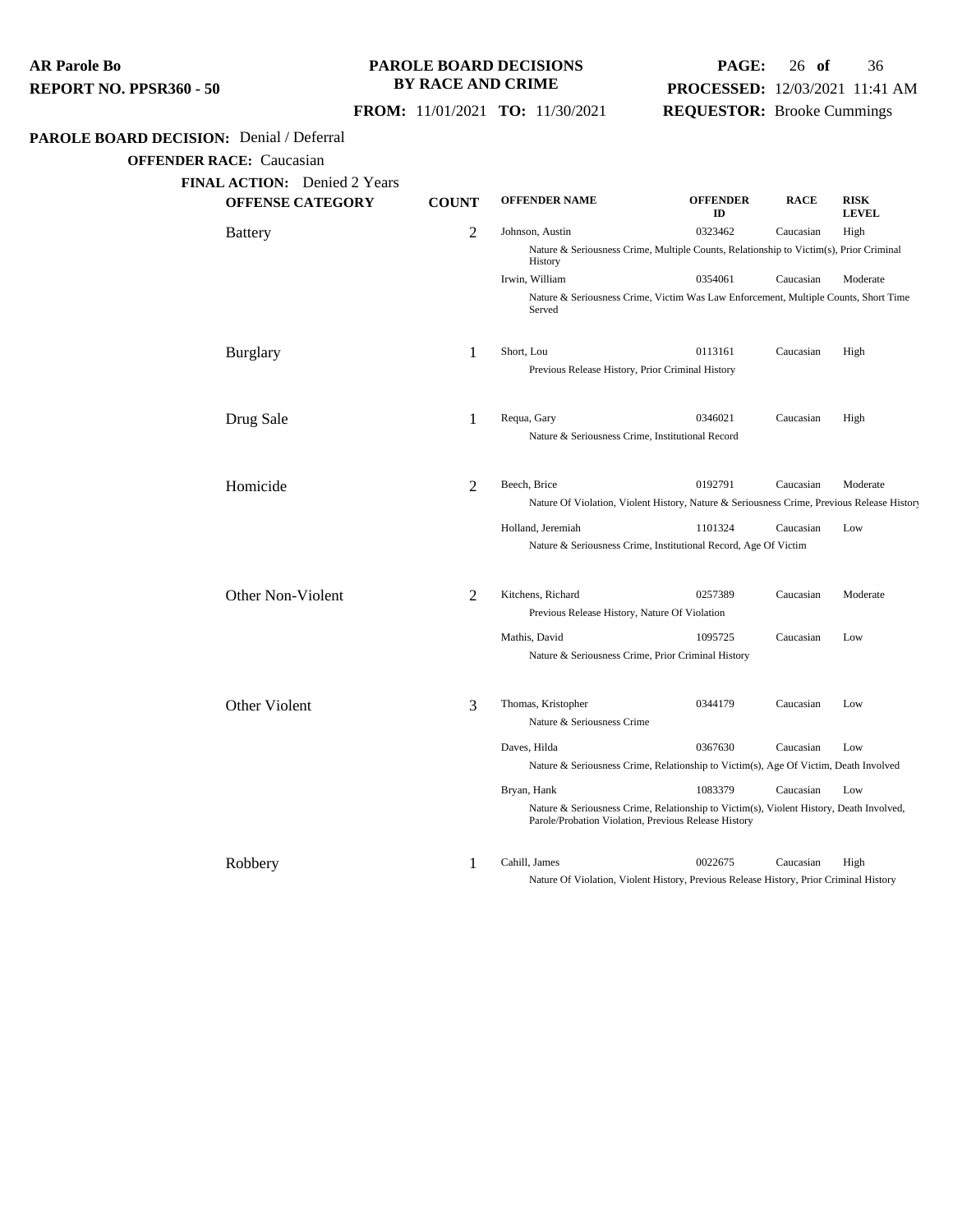### **PAROLE BOARD DECISIONS BY RACE AND CRIME**

## **PAGE:** 26 **of** 36 **PROCESSED:** 12/03/2021 11:41 AM **REQUESTOR:** Brooke Cummings

 **FROM:** 11/01/2021 **TO:** 11/30/2021

## **PAROLE BOARD DECISION:** Denial / Deferral

| <b>OFFENSE CATEGORY</b> | <b>COUNT</b>   | <b>OFFENDER NAME</b>                                                                                                                            | <b>OFFENDER</b><br>ID | <b>RACE</b> | <b>RISK</b><br><b>LEVEL</b> |
|-------------------------|----------------|-------------------------------------------------------------------------------------------------------------------------------------------------|-----------------------|-------------|-----------------------------|
| <b>Battery</b>          | $\overline{2}$ | Johnson, Austin                                                                                                                                 | 0323462               | Caucasian   | High                        |
|                         |                | Nature & Seriousness Crime, Multiple Counts, Relationship to Victim(s), Prior Criminal<br>History                                               |                       |             |                             |
|                         |                | Irwin, William                                                                                                                                  | 0354061               | Caucasian   | Moderate                    |
|                         |                | Nature & Seriousness Crime, Victim Was Law Enforcement, Multiple Counts, Short Time<br>Served                                                   |                       |             |                             |
| Burglary                | 1              | Short, Lou                                                                                                                                      | 0113161               | Caucasian   | High                        |
|                         |                | Previous Release History, Prior Criminal History                                                                                                |                       |             |                             |
| Drug Sale               | 1              | Requa, Gary                                                                                                                                     | 0346021               | Caucasian   | High                        |
|                         |                | Nature & Seriousness Crime, Institutional Record                                                                                                |                       |             |                             |
| Homicide                | 2              | Beech, Brice                                                                                                                                    | 0192791               | Caucasian   | Moderate                    |
|                         |                | Nature Of Violation, Violent History, Nature & Seriousness Crime, Previous Release History                                                      |                       |             |                             |
|                         |                | Holland, Jeremiah                                                                                                                               | 1101324               | Caucasian   | Low                         |
|                         |                | Nature & Seriousness Crime, Institutional Record, Age Of Victim                                                                                 |                       |             |                             |
| Other Non-Violent       | $\overline{2}$ | Kitchens, Richard                                                                                                                               | 0257389               | Caucasian   | Moderate                    |
|                         |                | Previous Release History, Nature Of Violation                                                                                                   |                       |             |                             |
|                         |                | Mathis, David                                                                                                                                   | 1095725               | Caucasian   | Low                         |
|                         |                | Nature & Seriousness Crime, Prior Criminal History                                                                                              |                       |             |                             |
| Other Violent           | 3              | Thomas, Kristopher                                                                                                                              | 0344179               | Caucasian   | Low                         |
|                         |                | Nature & Seriousness Crime                                                                                                                      |                       |             |                             |
|                         |                | Daves, Hilda                                                                                                                                    | 0367630               | Caucasian   | Low                         |
|                         |                | Nature & Seriousness Crime, Relationship to Victim(s), Age Of Victim, Death Involved                                                            |                       |             |                             |
|                         |                | Bryan, Hank                                                                                                                                     | 1083379               | Caucasian   | Low                         |
|                         |                | Nature & Seriousness Crime, Relationship to Victim(s), Violent History, Death Involved,<br>Parole/Probation Violation, Previous Release History |                       |             |                             |
| Robbery                 | 1              | Cahill, James                                                                                                                                   | 0022675               | Caucasian   | High                        |
|                         |                | Nature Of Violation, Violent History, Previous Release History, Prior Criminal History                                                          |                       |             |                             |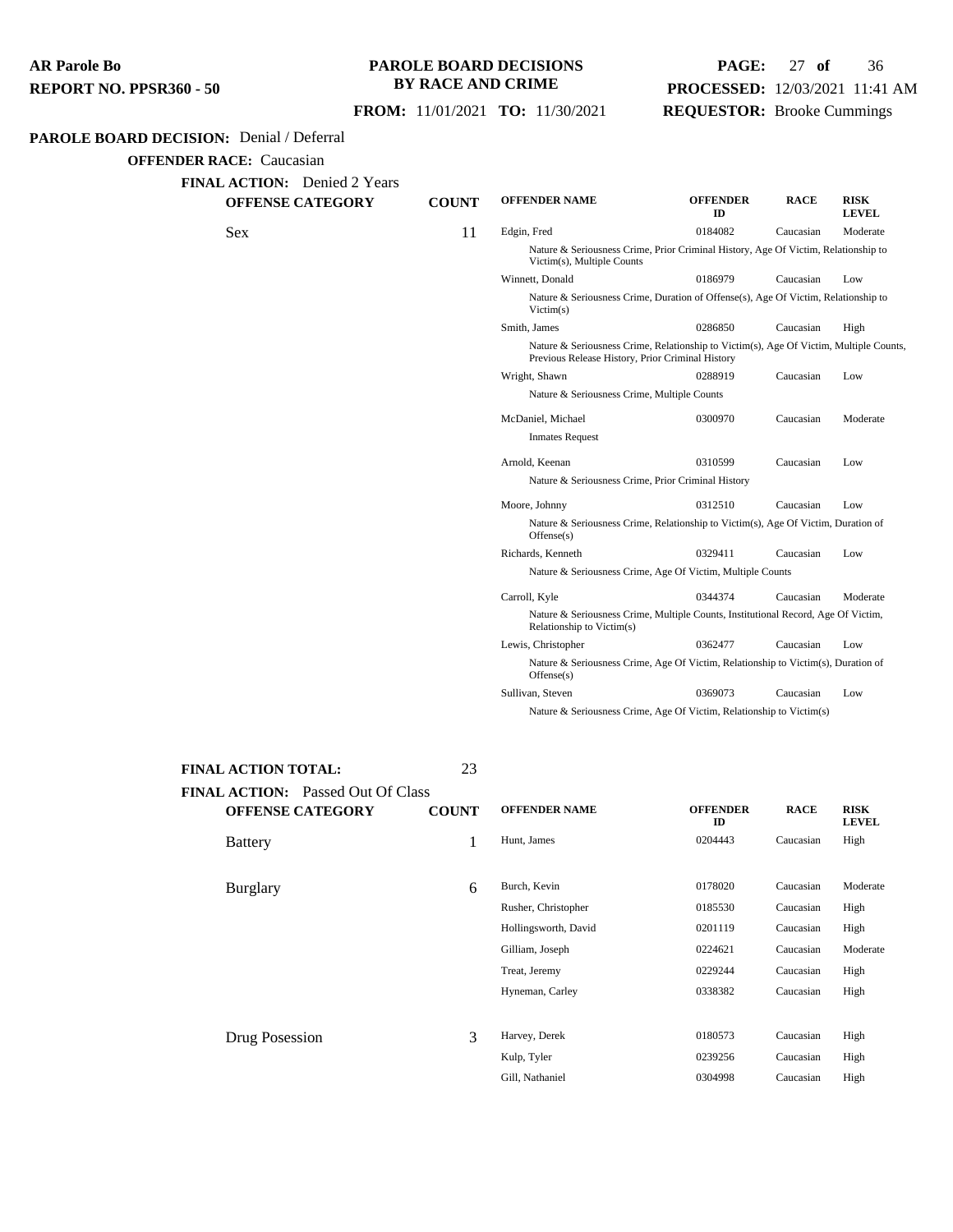### **PAROLE BOARD DECISIONS BY RACE AND CRIME**

## **PAGE:** 27 **of** 36 **PROCESSED:** 12/03/2021 11:41 AM **REQUESTOR:** Brooke Cummings

 **FROM:** 11/01/2021 **TO:** 11/30/2021

#### **PAROLE BOARD DECISION:** Denial / Deferral

**OFFENDER RACE:** Caucasian

| <b>OFFENSE CATEGORY</b> | <b>COUNT</b> | <b>OFFENDER NAME</b>                               | <b>OFFENDER</b><br>ID                                                                  | <b>RACE</b> | <b>RISK</b><br><b>LEVEL</b> |
|-------------------------|--------------|----------------------------------------------------|----------------------------------------------------------------------------------------|-------------|-----------------------------|
| Sex                     | 11           | Edgin, Fred                                        | 0184082                                                                                | Caucasian   | Moderate                    |
|                         |              | Victim(s), Multiple Counts                         | Nature & Seriousness Crime, Prior Criminal History, Age Of Victim, Relationship to     |             |                             |
|                         |              | Winnett, Donald                                    | 0186979                                                                                | Caucasian   | Low                         |
|                         |              | Victim(s)                                          | Nature & Seriousness Crime, Duration of Offense(s), Age Of Victim, Relationship to     |             |                             |
|                         |              | Smith, James                                       | 0286850                                                                                | Caucasian   | High                        |
|                         |              | Previous Release History, Prior Criminal History   | Nature & Seriousness Crime, Relationship to Victim(s), Age Of Victim, Multiple Counts, |             |                             |
|                         |              | Wright, Shawn                                      | 0288919                                                                                | Caucasian   | Low                         |
|                         |              | Nature & Seriousness Crime, Multiple Counts        |                                                                                        |             |                             |
|                         |              | McDaniel, Michael                                  | 0300970                                                                                | Caucasian   | Moderate                    |
|                         |              | <b>Inmates Request</b>                             |                                                                                        |             |                             |
|                         |              | Arnold, Keenan                                     | 0310599                                                                                | Caucasian   | Low                         |
|                         |              | Nature & Seriousness Crime, Prior Criminal History |                                                                                        |             |                             |
|                         |              | Moore, Johnny                                      | 0312510                                                                                | Caucasian   | Low                         |
|                         |              | Offense(s)                                         | Nature & Seriousness Crime, Relationship to Victim(s), Age Of Victim, Duration of      |             |                             |
|                         |              | Richards, Kenneth                                  | 0329411                                                                                | Caucasian   | Low                         |
|                         |              |                                                    | Nature & Seriousness Crime, Age Of Victim, Multiple Counts                             |             |                             |
|                         |              | Carroll, Kyle                                      | 0344374                                                                                | Caucasian   | Moderate                    |
|                         |              | Relationship to Victim(s)                          | Nature & Seriousness Crime, Multiple Counts, Institutional Record, Age Of Victim,      |             |                             |
|                         |              | Lewis, Christopher                                 | 0362477                                                                                | Caucasian   | Low                         |
|                         |              | Offense(s)                                         | Nature & Seriousness Crime, Age Of Victim, Relationship to Victim(s), Duration of      |             |                             |
|                         |              | Sullivan, Steven                                   | 0369073                                                                                | Caucasian   | Low                         |

**FINAL ACTION:** Passed Out Of Class **OFFENSE CATEGORY COUNT OFFENDER NAME OFFENDER**

**FINAL ACTION TOTAL:** 23

**ID RACE RISK LEVEL** Battery **1** Hunt, James 0204443 Caucasian High Burglary 6 Burch, Kevin <sup>0178020</sup> Caucasian Moderate Rusher, Christopher 0185530 Caucasian High Hollingsworth, David 0201119 Caucasian High Gilliam, Joseph 0224621 Caucasian Moderate Treat, Jeremy 0229244 Caucasian High Hyneman, Carley 0338382 Caucasian High Drug Posession 3 Harvey, Derek <sup>0180573</sup> Caucasian High Kulp, Tyler 0239256 Caucasian High

Gill, Nathaniel 0304998 Caucasian High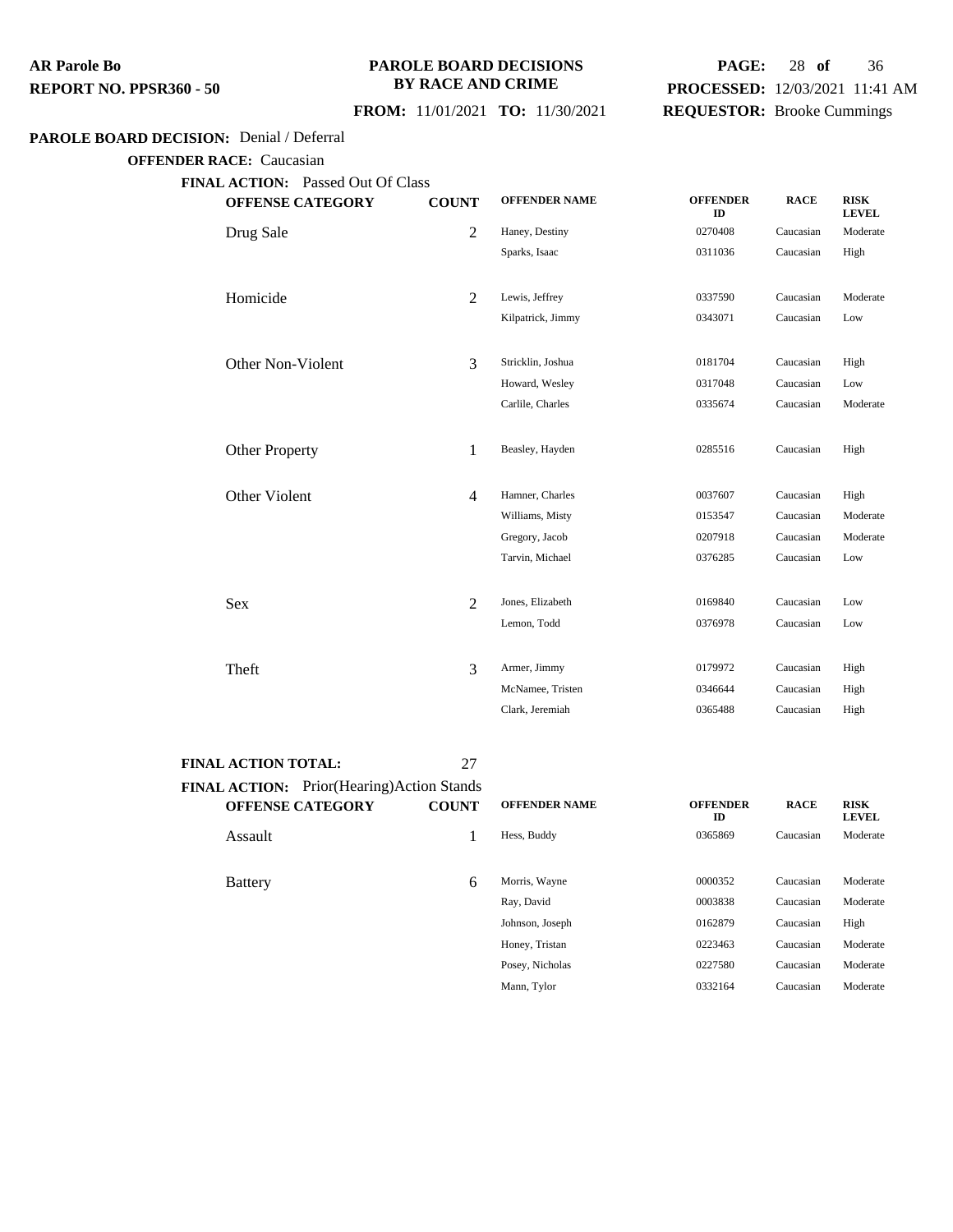### **PAROLE BOARD DECISIONS BY RACE AND CRIME**

## **PAGE:** 28 **of** 36 **PROCESSED:** 12/03/2021 11:41 AM **REQUESTOR:** Brooke Cummings

## **FROM:** 11/01/2021 **TO:** 11/30/2021

### **PAROLE BOARD DECISION:** Denial / Deferral

**OFFENDER RACE:** Caucasian

| <b>OFFENSE CATEGORY</b> | <b>COUNT</b>   | <b>OFFENDER NAME</b> | <b>OFFENDER</b><br>ID | <b>RACE</b> | <b>RISK</b><br><b>LEVEL</b> |
|-------------------------|----------------|----------------------|-----------------------|-------------|-----------------------------|
| Drug Sale               | 2              | Haney, Destiny       | 0270408               | Caucasian   | Moderate                    |
|                         |                | Sparks, Isaac        | 0311036               | Caucasian   | High                        |
| Homicide                | $\overline{2}$ | Lewis, Jeffrey       | 0337590               | Caucasian   | Moderate                    |
|                         |                | Kilpatrick, Jimmy    | 0343071               | Caucasian   | Low                         |
| Other Non-Violent       | 3              | Stricklin, Joshua    | 0181704               | Caucasian   | High                        |
|                         |                | Howard, Wesley       | 0317048               | Caucasian   | Low                         |
|                         |                | Carlile, Charles     | 0335674               | Caucasian   | Moderate                    |
| <b>Other Property</b>   | 1              | Beasley, Hayden      | 0285516               | Caucasian   | High                        |
| Other Violent           | $\overline{4}$ | Hamner, Charles      | 0037607               | Caucasian   | High                        |
|                         |                | Williams, Misty      | 0153547               | Caucasian   | Moderate                    |
|                         |                | Gregory, Jacob       | 0207918               | Caucasian   | Moderate                    |
|                         |                | Tarvin, Michael      | 0376285               | Caucasian   | Low                         |
| <b>Sex</b>              | $\overline{2}$ | Jones, Elizabeth     | 0169840               | Caucasian   | Low                         |
|                         |                | Lemon, Todd          | 0376978               | Caucasian   | Low                         |
| Theft                   | 3              | Armer, Jimmy         | 0179972               | Caucasian   | High                        |
|                         |                | McNamee, Tristen     | 0346644               | Caucasian   | High                        |
|                         |                | Clark, Jeremiah      | 0365488               | Caucasian   | High                        |

#### **FINAL ACTION TOTAL:** 27

| <b>FINAL ACTION:</b> Prior(Hearing)Action Stands |              |                      |                       |             |                             |
|--------------------------------------------------|--------------|----------------------|-----------------------|-------------|-----------------------------|
| <b>OFFENSE CATEGORY</b>                          | <b>COUNT</b> | <b>OFFENDER NAME</b> | <b>OFFENDER</b><br>ID | <b>RACE</b> | <b>RISK</b><br><b>LEVEL</b> |
| Assault                                          |              | Hess, Buddy          | 0365869               | Caucasian   | Moderate                    |
| <b>Battery</b>                                   | 6            | Morris, Wayne        | 0000352               | Caucasian   | Moderate                    |
|                                                  |              | Ray, David           | 0003838               | Caucasian   | Moderate                    |
|                                                  |              | Johnson, Joseph      | 0162879               | Caucasian   | High                        |
|                                                  |              | Honey, Tristan       | 0223463               | Caucasian   | Moderate                    |
|                                                  |              | Posey, Nicholas      | 0227580               | Caucasian   | Moderate                    |
|                                                  |              | Mann, Tylor          | 0332164               | Caucasian   | Moderate                    |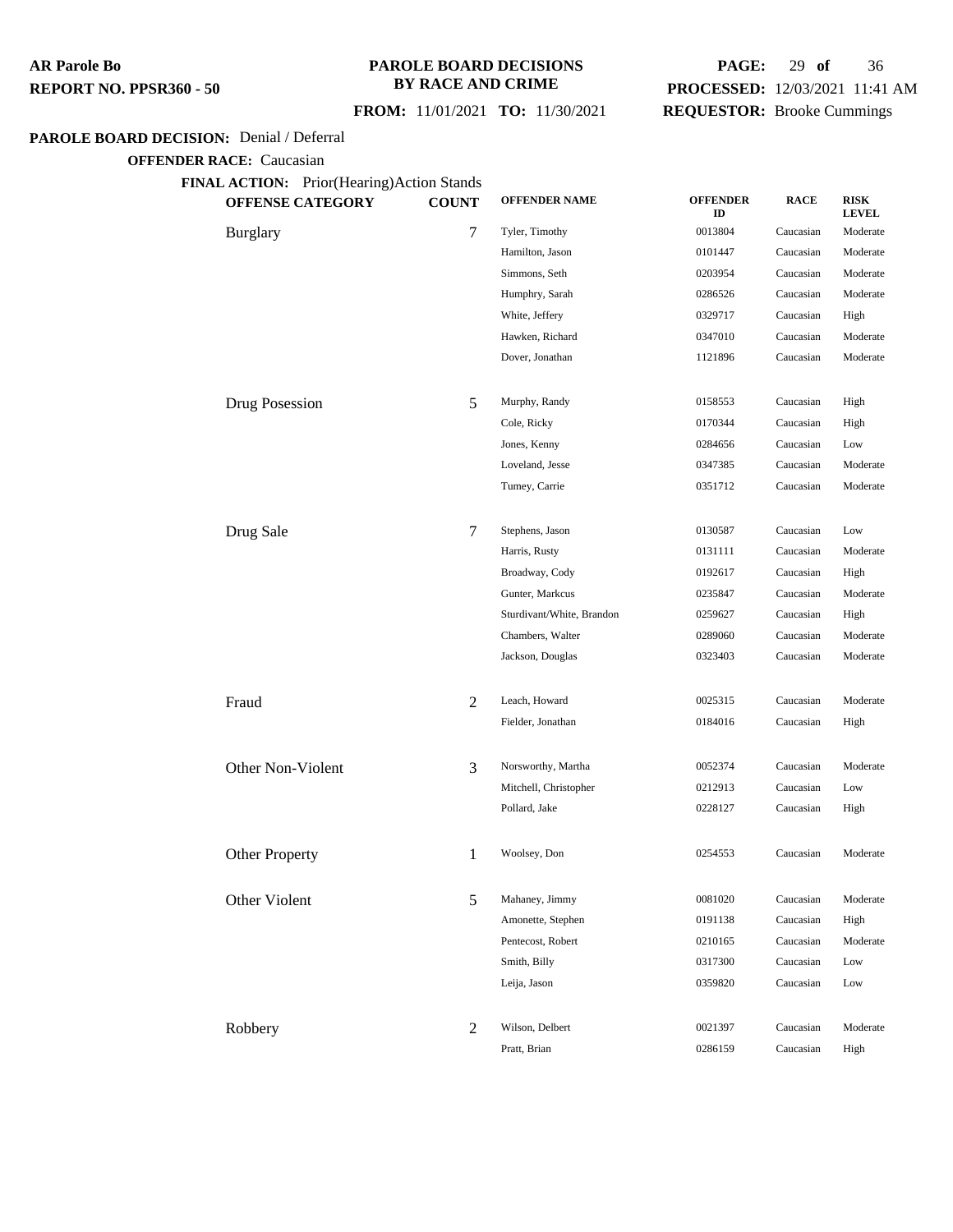### **PAROLE BOARD DECISIONS BY RACE AND CRIME**

### **FROM:** 11/01/2021 **TO:** 11/30/2021

## **PAGE:** 29 **of** 36 **PROCESSED:** 12/03/2021 11:41 AM **REQUESTOR:** Brooke Cummings

#### **PAROLE BOARD DECISION:** Denial / Deferral

| <b>OFFENSE CATEGORY</b> | <b>COUNT</b> | <b>OFFENDER NAME</b>      | <b>OFFENDER</b><br>ID | <b>RACE</b> | <b>RISK</b><br><b>LEVEL</b> |
|-------------------------|--------------|---------------------------|-----------------------|-------------|-----------------------------|
| <b>Burglary</b>         | 7            | Tyler, Timothy            | 0013804               | Caucasian   | Moderate                    |
|                         |              | Hamilton, Jason           | 0101447               | Caucasian   | Moderate                    |
|                         |              | Simmons, Seth             | 0203954               | Caucasian   | Moderate                    |
|                         |              | Humphry, Sarah            | 0286526               | Caucasian   | Moderate                    |
|                         |              | White, Jeffery            | 0329717               | Caucasian   | High                        |
|                         |              | Hawken, Richard           | 0347010               | Caucasian   | Moderate                    |
|                         |              | Dover, Jonathan           | 1121896               | Caucasian   | Moderate                    |
| Drug Posession          | 5            | Murphy, Randy             | 0158553               | Caucasian   | High                        |
|                         |              | Cole, Ricky               | 0170344               | Caucasian   | High                        |
|                         |              | Jones, Kenny              | 0284656               | Caucasian   | Low                         |
|                         |              | Loveland, Jesse           | 0347385               | Caucasian   | Moderate                    |
|                         |              | Tumey, Carrie             | 0351712               | Caucasian   | Moderate                    |
| Drug Sale               | 7            | Stephens, Jason           | 0130587               | Caucasian   | Low                         |
|                         |              | Harris, Rusty             | 0131111               | Caucasian   | Moderate                    |
|                         |              | Broadway, Cody            | 0192617               | Caucasian   | High                        |
|                         |              | Gunter, Markcus           | 0235847               | Caucasian   | Moderate                    |
|                         |              | Sturdivant/White, Brandon | 0259627               | Caucasian   | High                        |
|                         |              | Chambers, Walter          | 0289060               | Caucasian   | Moderate                    |
|                         |              | Jackson, Douglas          | 0323403               | Caucasian   | Moderate                    |
| Fraud                   | 2            | Leach, Howard             | 0025315               | Caucasian   | Moderate                    |
|                         |              | Fielder, Jonathan         | 0184016               | Caucasian   | High                        |
| Other Non-Violent       | 3            | Norsworthy, Martha        | 0052374               | Caucasian   | Moderate                    |
|                         |              | Mitchell, Christopher     | 0212913               | Caucasian   | Low                         |
|                         |              | Pollard, Jake             | 0228127               | Caucasian   | High                        |
| Other Property          | 1            | Woolsey, Don              | 0254553               | Caucasian   | Moderate                    |
| Other Violent           | 5            | Mahaney, Jimmy            | 0081020               | Caucasian   | Moderate                    |
|                         |              | Amonette, Stephen         | 0191138               | Caucasian   | High                        |
|                         |              | Pentecost, Robert         | 0210165               | Caucasian   | Moderate                    |
|                         |              | Smith, Billy              | 0317300               | Caucasian   | Low                         |
|                         |              | Leija, Jason              | 0359820               | Caucasian   | Low                         |
| Robbery                 | 2            | Wilson, Delbert           | 0021397               | Caucasian   | Moderate                    |
|                         |              | Pratt, Brian              | 0286159               | Caucasian   | High                        |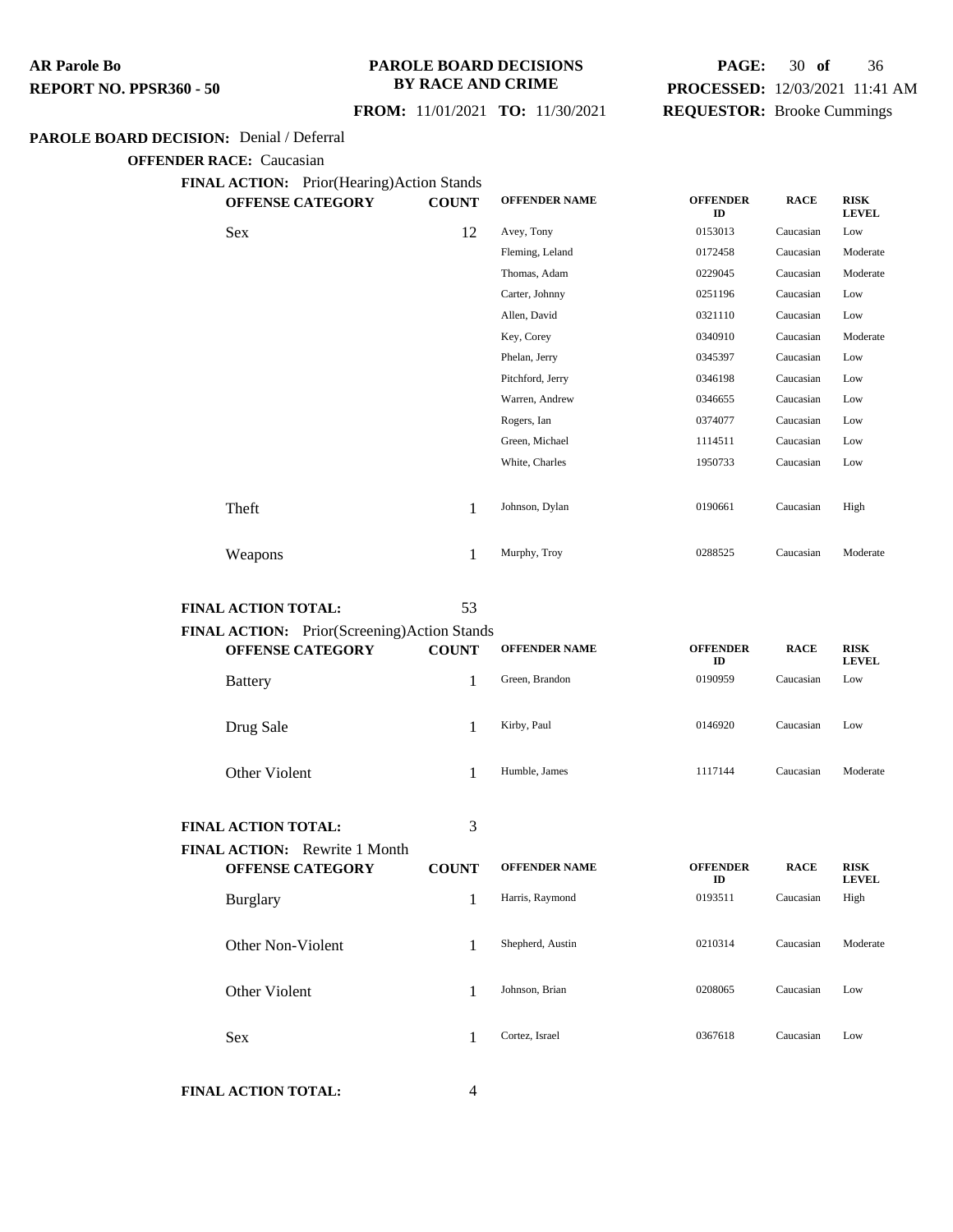### **PAROLE BOARD DECISIONS BY RACE AND CRIME**

## **PAGE:** 30 **of** 36 **PROCESSED:** 12/03/2021 11:41 AM **REQUESTOR:** Brooke Cummings

### **FROM:** 11/01/2021 **TO:** 11/30/2021

### **PAROLE BOARD DECISION:** Denial / Deferral

**OFFENDER RACE:** Caucasian

**FINAL ACTION:** Prior(Hearing)Action Stands

| $\mathbf{u}$ . The contract of $\mathbf{u}$ is the set of $\mathbf{u}$ in $\mathbf{u}$<br><b>OFFENSE CATEGORY</b> | <b>COUNT</b> | <b>OFFENDER NAME</b> | <b>OFFENDER</b><br>ID | <b>RACE</b> | <b>RISK</b><br><b>LEVEL</b> |
|-------------------------------------------------------------------------------------------------------------------|--------------|----------------------|-----------------------|-------------|-----------------------------|
| <b>Sex</b>                                                                                                        | 12           | Avey, Tony           | 0153013               | Caucasian   | Low                         |
|                                                                                                                   |              | Fleming, Leland      | 0172458               | Caucasian   | Moderate                    |
|                                                                                                                   |              | Thomas, Adam         | 0229045               | Caucasian   | Moderate                    |
|                                                                                                                   |              | Carter, Johnny       | 0251196               | Caucasian   | Low                         |
|                                                                                                                   |              | Allen, David         | 0321110               | Caucasian   | Low                         |
|                                                                                                                   |              | Key, Corey           | 0340910               | Caucasian   | Moderate                    |
|                                                                                                                   |              | Phelan, Jerry        | 0345397               | Caucasian   | Low                         |
|                                                                                                                   |              | Pitchford, Jerry     | 0346198               | Caucasian   | Low                         |
|                                                                                                                   |              | Warren, Andrew       | 0346655               | Caucasian   | Low                         |
|                                                                                                                   |              | Rogers, Ian          | 0374077               | Caucasian   | Low                         |
|                                                                                                                   |              | Green, Michael       | 1114511               | Caucasian   | Low                         |
|                                                                                                                   |              | White, Charles       | 1950733               | Caucasian   | Low                         |
|                                                                                                                   |              |                      |                       |             |                             |
| Theft                                                                                                             | 1            | Johnson, Dylan       | 0190661               | Caucasian   | High                        |
|                                                                                                                   |              |                      |                       |             |                             |
| Weapons                                                                                                           | 1            | Murphy, Troy         | 0288525               | Caucasian   | Moderate                    |
|                                                                                                                   |              |                      |                       |             |                             |

**FINAL ACTION TOTAL:** 53

| <b>FINAL ACTION:</b> Prior(Screening)Action Stands |              |                      |                       |             |                             |
|----------------------------------------------------|--------------|----------------------|-----------------------|-------------|-----------------------------|
| <b>OFFENSE CATEGORY</b>                            | <b>COUNT</b> | <b>OFFENDER NAME</b> | <b>OFFENDER</b><br>ID | <b>RACE</b> | <b>RISK</b><br><b>LEVEL</b> |
| <b>Battery</b>                                     |              | Green, Brandon       | 0190959               | Caucasian   | Low                         |
| Drug Sale                                          |              | Kirby, Paul          | 0146920               | Caucasian   | Low                         |
| Other Violent                                      |              | Humble, James        | 1117144               | Caucasian   | Moderate                    |

#### **FINAL ACTION TOTAL:** 3

| FINAL ACTION: Rewrite 1 Month<br><b>OFFENSE CATEGORY</b> | <b>COUNT</b> | <b>OFFENDER NAME</b> | <b>OFFENDER</b><br>ID | <b>RACE</b> | <b>RISK</b><br><b>LEVEL</b> |
|----------------------------------------------------------|--------------|----------------------|-----------------------|-------------|-----------------------------|
| <b>Burglary</b>                                          |              | Harris, Raymond      | 0193511               | Caucasian   | High                        |
| Other Non-Violent                                        |              | Shepherd, Austin     | 0210314               | Caucasian   | Moderate                    |
| Other Violent                                            |              | Johnson, Brian       | 0208065               | Caucasian   | Low                         |
| <b>Sex</b>                                               |              | Cortez, Israel       | 0367618               | Caucasian   | Low                         |

**FINAL ACTION TOTAL:** 4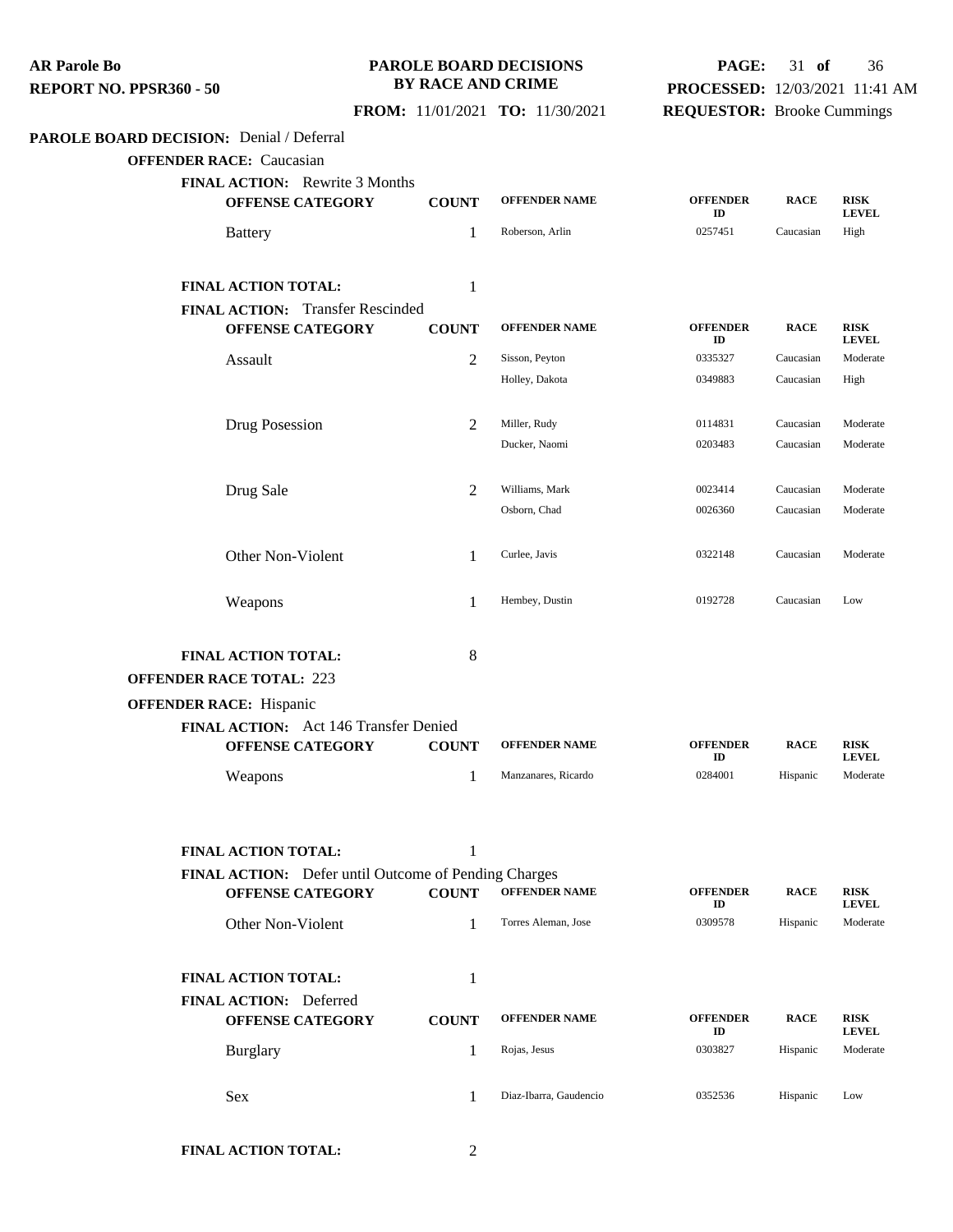**PAROLE BOARD DECISION:** Denial / Deferral **OFFENDER RACE:** Caucasian **FINAL ACTION:** Rewrite 3 Months **OFFENSE CATEGORY COUNT OFFENDER NAME OFFENDER ID RACE RISK LEVEL** Battery **1** Roberson, Arlin **1** 257451 Caucasian High **FINAL ACTION TOTAL:** 1 **FINAL ACTION:** Transfer Rescinded **OFFENSE CATEGORY COUNT OFFENDER NAME OFFENDER ID RACE RISK LEVEL** Assault 1988 Constant Constant Constant Constant Constant Constant Constant Constant Constant Moderate Holley, Dakota 0349883 Caucasian High Drug Posession 2 Miller, Rudy 0114831 Caucasian Moderate Ducker, Naomi 0203483 Caucasian Moderate Drug Sale 2 Williams, Mark <sup>0023414</sup> Caucasian Moderate Osborn, Chad 0026360 Caucasian Moderate Other Non-Violent 1 Curlee, Javis 0322148 Caucasian Moderate Weapons 1 Hembey, Dustin 0192728 Caucasian Low **FINAL ACTION TOTAL:** 8 **OFFENDER RACE TOTAL:** 223 **OFFENDER RACE:** Hispanic **FINAL ACTION:** Act 146 Transfer Denied **OFFENSE CATEGORY COUNT OFFENDER NAME OFFENDER ID RACE RISK LEVEL** Weapons 1 Manzanares, Ricardo <sup>0284001</sup> Hispanic Moderate **FINAL ACTION TOTAL:** 1 **FINAL ACTION:** Defer until Outcome of Pending Charges **OFFENSE CATEGORY COUNT OFFENDER NAME OFFENDER ID RACE RISK LEVEL** Other Non-Violent 1 Torres Aleman, Jose <sup>0309578</sup> Hispanic Moderate **FINAL ACTION TOTAL:** 1 **FINAL ACTION:** Deferred **OFFENSE CATEGORY COUNT OFFENDER NAME OFFENDER ID RACE RISK LEVEL** Burglary 1 Rojas, Jesus <sup>0303827</sup> Hispanic Moderate Sex 1 Diaz-Ibarra, Gaudencio <sup>0352536</sup> Hispanic Low **AR Parole Bo REPORT NO. PPSR360 - 50 PAROLE BOARD DECISIONS BY RACE AND CRIME FROM:** 11/01/2021 **TO:** 11/30/2021 **PAGE:** 31 **of** 36 **PROCESSED:** 12/03/2021 11:41 AM **REQUESTOR:** Brooke Cummings

**FINAL ACTION TOTAL:** 2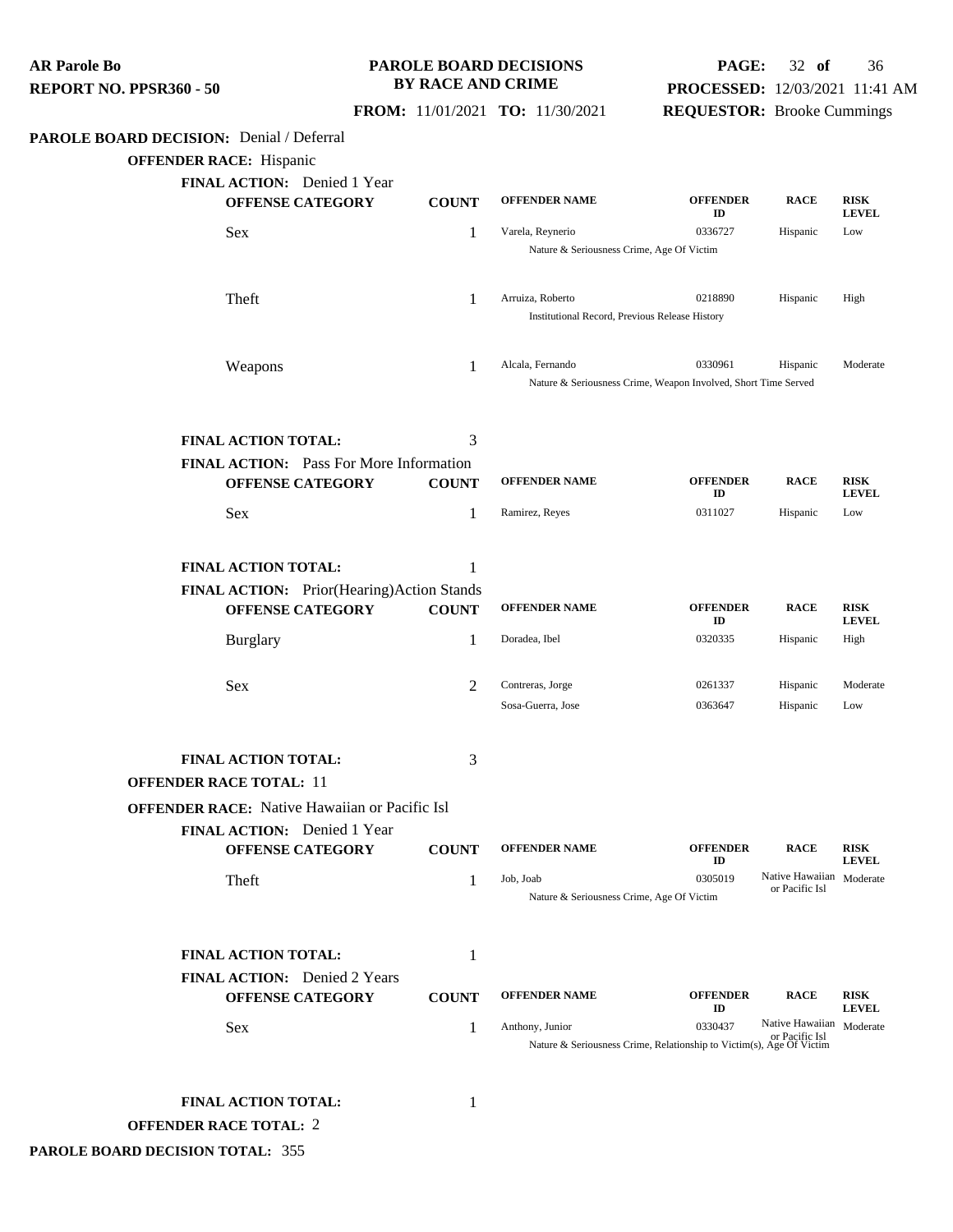**PAROLE BOARD DECISION:** Denial / Deferral **OFFENDER RACE:** Hispanic **FINAL ACTION:** Denied 1 Year **OFFENSE CATEGORY COUNT OFFENDER NAME OFFENDER ID RACE RISK LEVEL** Sex 1 Varela, Reynerio 0336727 Hispanic Low Nature & Seriousness Crime, Age Of Victim Theft 1 Arruiza, Roberto <sup>0218890</sup> Hispanic High Institutional Record, Previous Release History Weapons 1 Alcala, Fernando <sup>0330961</sup> Hispanic Moderate Nature & Seriousness Crime, Weapon Involved, Short Time Served **FINAL ACTION TOTAL:** 3 **FINAL ACTION:** Pass For More Information **OFFENSE CATEGORY COUNT OFFENDER NAME OFFENDER ID RACE RISK LEVEL** Sex 1 Ramirez, Reyes 0311027 Hispanic Low **FINAL ACTION TOTAL:** 1 **FINAL ACTION:** Prior(Hearing)Action Stands **OFFENSE CATEGORY COUNT OFFENDER NAME OFFENDER ID RACE RISK LEVEL** Burglary 1 Doradea, Ibel <sup>0320335</sup> Hispanic High Sex 2 Contreras, Jorge 0261337 Hispanic Moderate Sosa-Guerra, Jose 0363647 Hispanic Low **FINAL ACTION TOTAL:** 3 **OFFENDER RACE TOTAL:** 11 **OFFENDER RACE:** Native Hawaiian or Pacific Isl **FINAL ACTION:** Denied 1 Year **OFFENSE CATEGORY COUNT OFFENDER NAME OFFENDER ID RACE RISK LEVEL** Theft 1 Job, Joab 0305019 Native Hawaiian Moderate or Pacific Isl Nature & Seriousness Crime, Age Of Victim **FINAL ACTION TOTAL:** 1 **FINAL ACTION:** Denied 2 Years **OFFENSE CATEGORY COUNT OFFENDER NAME OFFENDER ID RACE RISK LEVEL** Sex 1 Anthony, Junior 0330437 Native Hawaiian<br>
Nature & Seriousness Crime, Relationship to Victim(s), Age Of Victim Native Hawaiian Moderate **FINAL ACTION TOTAL:** 1 **OFFENDER RACE TOTAL:** 2 **REPORT NO. PPSR360 - 50 BY RACE AND CRIME FROM:** 11/01/2021 **TO:** 11/30/2021 **PROCESSED:** 12/03/2021 11:41 AM **REQUESTOR:** Brooke Cummings

**PAROLE BOARD DECISIONS**

**PAGE:** 32 **of** 36

**PAROLE BOARD DECISION TOTAL:** 355

**AR Parole Bo**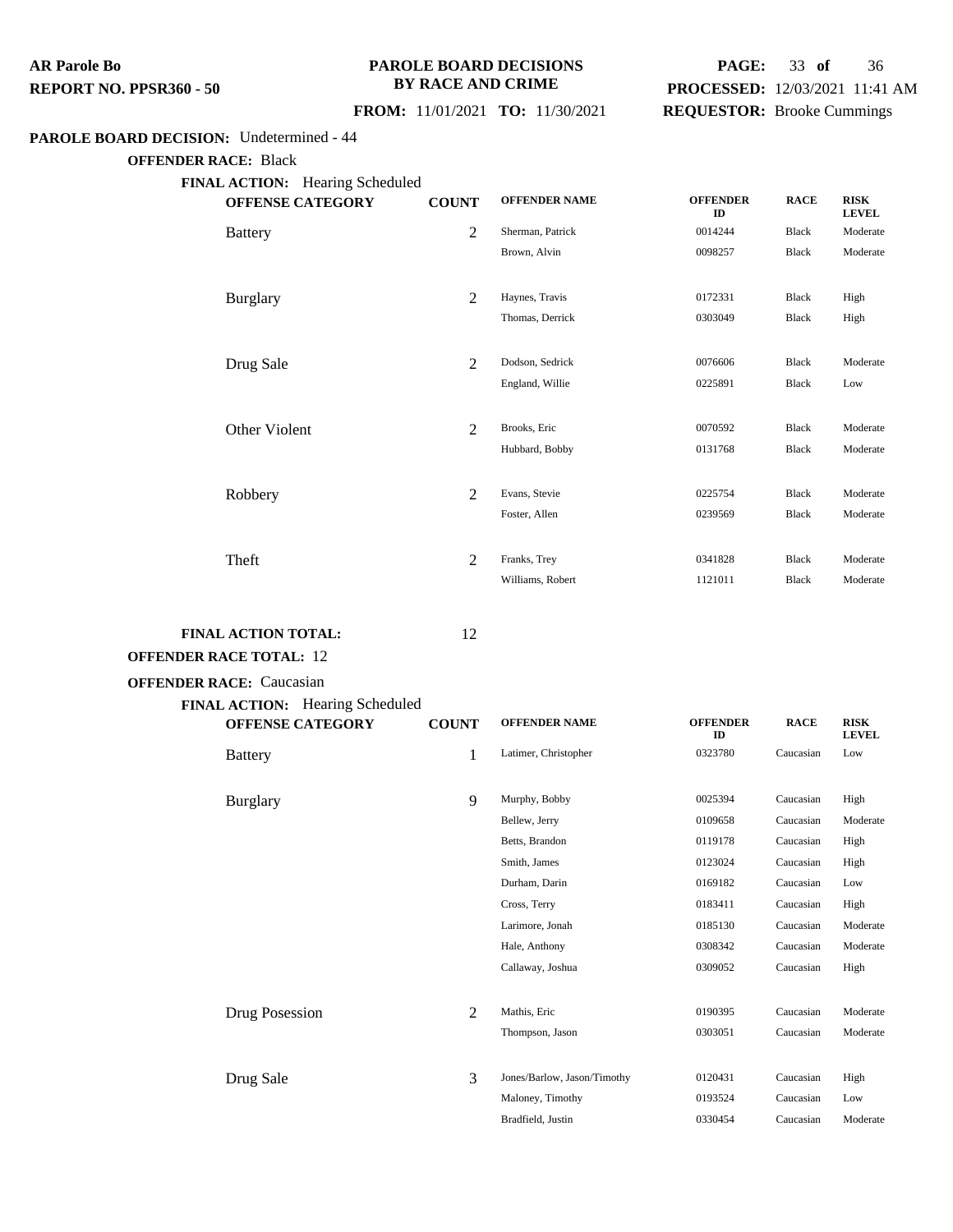#### **PAROLE BOARD DECISIONS BY RACE AND CRIME**

## **PAGE:** 33 **of** 36 **PROCESSED:** 12/03/2021 11:41 AM **REQUESTOR:** Brooke Cummings

## **FROM:** 11/01/2021 **TO:** 11/30/2021

### **PAROLE BOARD DECISION:** Undetermined - 44

**OFFENDER RACE:** Black

| <b>FINAL ACTION:</b> Hearing Scheduled |              |                      |                       |              |                             |
|----------------------------------------|--------------|----------------------|-----------------------|--------------|-----------------------------|
| <b>OFFENSE CATEGORY</b>                | <b>COUNT</b> | <b>OFFENDER NAME</b> | <b>OFFENDER</b><br>ID | <b>RACE</b>  | <b>RISK</b><br><b>LEVEL</b> |
| <b>Battery</b>                         | $\mathbf{2}$ | Sherman, Patrick     | 0014244               | <b>Black</b> | Moderate                    |
|                                        |              | Brown, Alvin         | 0098257               | Black        | Moderate                    |
|                                        |              |                      |                       |              |                             |
| <b>Burglary</b>                        | 2            | Haynes, Travis       | 0172331               | Black        | High                        |
|                                        |              | Thomas, Derrick      | 0303049               | Black        | High                        |
|                                        |              |                      |                       |              |                             |
| Drug Sale                              | 2            | Dodson, Sedrick      | 0076606               | Black        | Moderate                    |
|                                        |              | England, Willie      | 0225891               | <b>Black</b> | Low                         |
|                                        |              |                      |                       |              |                             |
| Other Violent                          | 2            | Brooks, Eric         | 0070592               | <b>Black</b> | Moderate                    |
|                                        |              | Hubbard, Bobby       | 0131768               | <b>Black</b> | Moderate                    |
|                                        |              |                      |                       |              |                             |
| Robbery                                | 2            | Evans, Stevie        | 0225754               | <b>Black</b> | Moderate                    |
|                                        |              | Foster, Allen        | 0239569               | Black        | Moderate                    |
|                                        |              |                      |                       |              |                             |
| Theft                                  | 2            | Franks, Trey         | 0341828               | <b>Black</b> | Moderate                    |
|                                        |              | Williams, Robert     | 1121011               | <b>Black</b> | Moderate                    |

#### **FINAL ACTION TOTAL:** 12

## **OFFENDER RACE TOTAL:** 12

**OFFENDER RACE:** Caucasian

#### **FINAL ACTION:** Hearing Scheduled

| Invited ACTION. Themanic Beneamed<br><b>OFFENSE CATEGORY</b> | <b>COUNT</b>   | <b>OFFENDER NAME</b>        | <b>OFFENDER</b><br>ID | <b>RACE</b> | <b>RISK</b><br><b>LEVEL</b> |
|--------------------------------------------------------------|----------------|-----------------------------|-----------------------|-------------|-----------------------------|
| <b>Battery</b>                                               | 1              | Latimer, Christopher        | 0323780               | Caucasian   | Low                         |
| <b>Burglary</b>                                              | 9              | Murphy, Bobby               | 0025394               | Caucasian   | High                        |
|                                                              |                | Bellew, Jerry               | 0109658               | Caucasian   | Moderate                    |
|                                                              |                | Betts, Brandon              | 0119178               | Caucasian   | High                        |
|                                                              |                | Smith, James                | 0123024               | Caucasian   | High                        |
|                                                              |                | Durham, Darin               | 0169182               | Caucasian   | Low                         |
|                                                              |                | Cross, Terry                | 0183411               | Caucasian   | High                        |
|                                                              |                | Larimore, Jonah             | 0185130               | Caucasian   | Moderate                    |
|                                                              |                | Hale, Anthony               | 0308342               | Caucasian   | Moderate                    |
|                                                              |                | Callaway, Joshua            | 0309052               | Caucasian   | High                        |
|                                                              |                |                             |                       |             |                             |
| Drug Posession                                               | $\overline{2}$ | Mathis, Eric                | 0190395               | Caucasian   | Moderate                    |
|                                                              |                | Thompson, Jason             | 0303051               | Caucasian   | Moderate                    |
|                                                              |                |                             |                       |             |                             |
| Drug Sale                                                    | 3              | Jones/Barlow, Jason/Timothy | 0120431               | Caucasian   | High                        |
|                                                              |                | Maloney, Timothy            | 0193524               | Caucasian   | Low                         |
|                                                              |                | Bradfield, Justin           | 0330454               | Caucasian   | Moderate                    |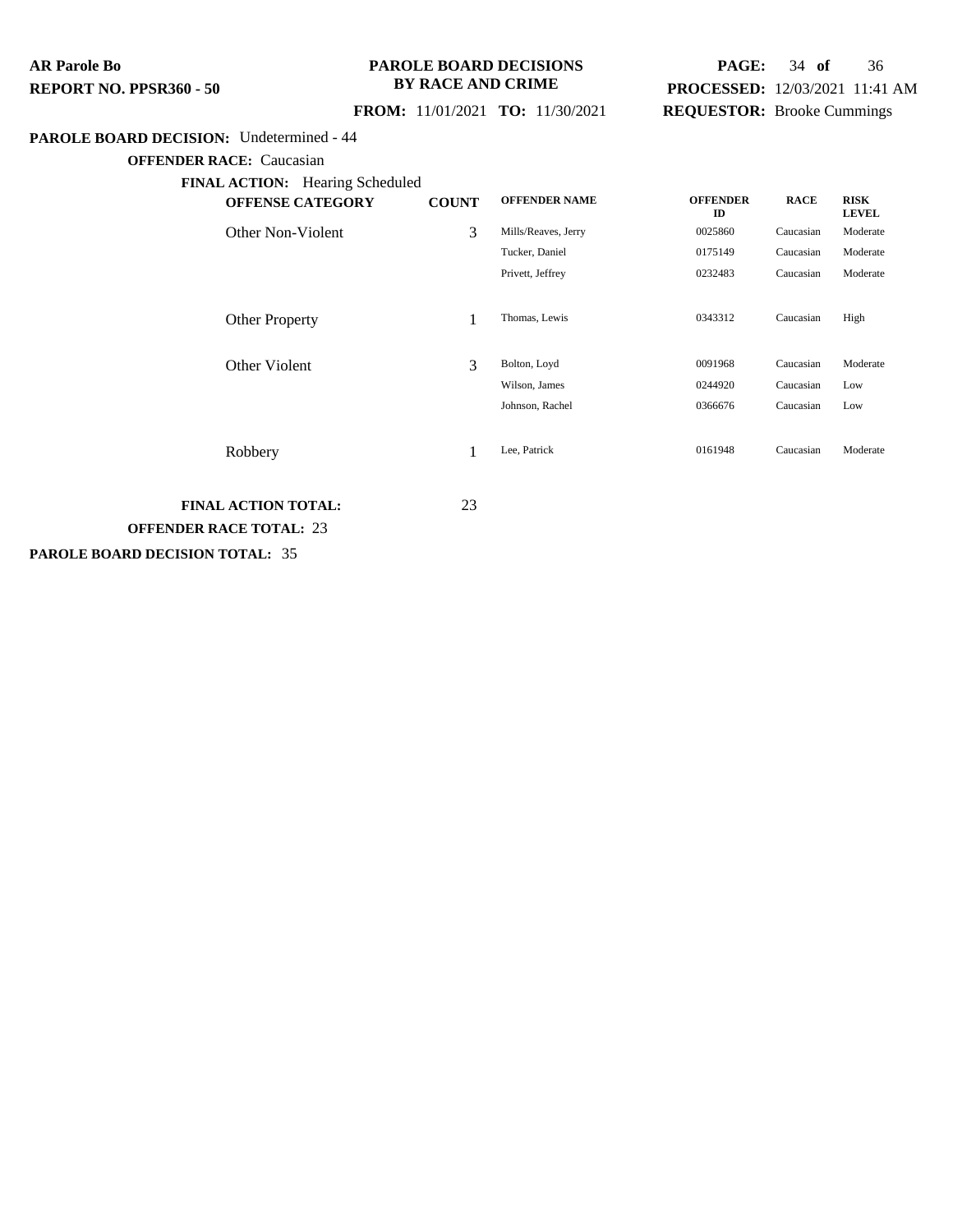### **PAROLE BOARD DECISIONS BY RACE AND CRIME**

## **PAGE:** 34 **of** 36 **PROCESSED:** 12/03/2021 11:41 AM **REQUESTOR:** Brooke Cummings

### **FROM:** 11/01/2021 **TO:** 11/30/2021

#### **PAROLE BOARD DECISION:** Undetermined - 44

**OFFENDER RACE:** Caucasian

| <b>OFFENSE CATEGORY</b> | <b>COUNT</b> | <b>OFFENDER NAME</b> | <b>OFFENDER</b><br>ID | <b>RACE</b> | <b>RISK</b><br><b>LEVEL</b> |
|-------------------------|--------------|----------------------|-----------------------|-------------|-----------------------------|
| Other Non-Violent       | 3            | Mills/Reaves, Jerry  | 0025860               | Caucasian   | Moderate                    |
|                         |              | Tucker, Daniel       | 0175149               | Caucasian   | Moderate                    |
|                         |              | Privett, Jeffrey     | 0232483               | Caucasian   | Moderate                    |
| <b>Other Property</b>   |              | Thomas, Lewis        | 0343312               | Caucasian   | High                        |
| Other Violent           | 3            | Bolton, Loyd         | 0091968               | Caucasian   | Moderate                    |
|                         |              | Wilson, James        | 0244920               | Caucasian   | Low                         |
|                         |              | Johnson, Rachel      | 0366676               | Caucasian   | Low                         |
| Robbery                 |              | Lee, Patrick         | 0161948               | Caucasian   | Moderate                    |

**FINAL ACTION TOTAL:** 23 **OFFENDER RACE TOTAL:** 23

**PAROLE BOARD DECISION TOTAL:** 35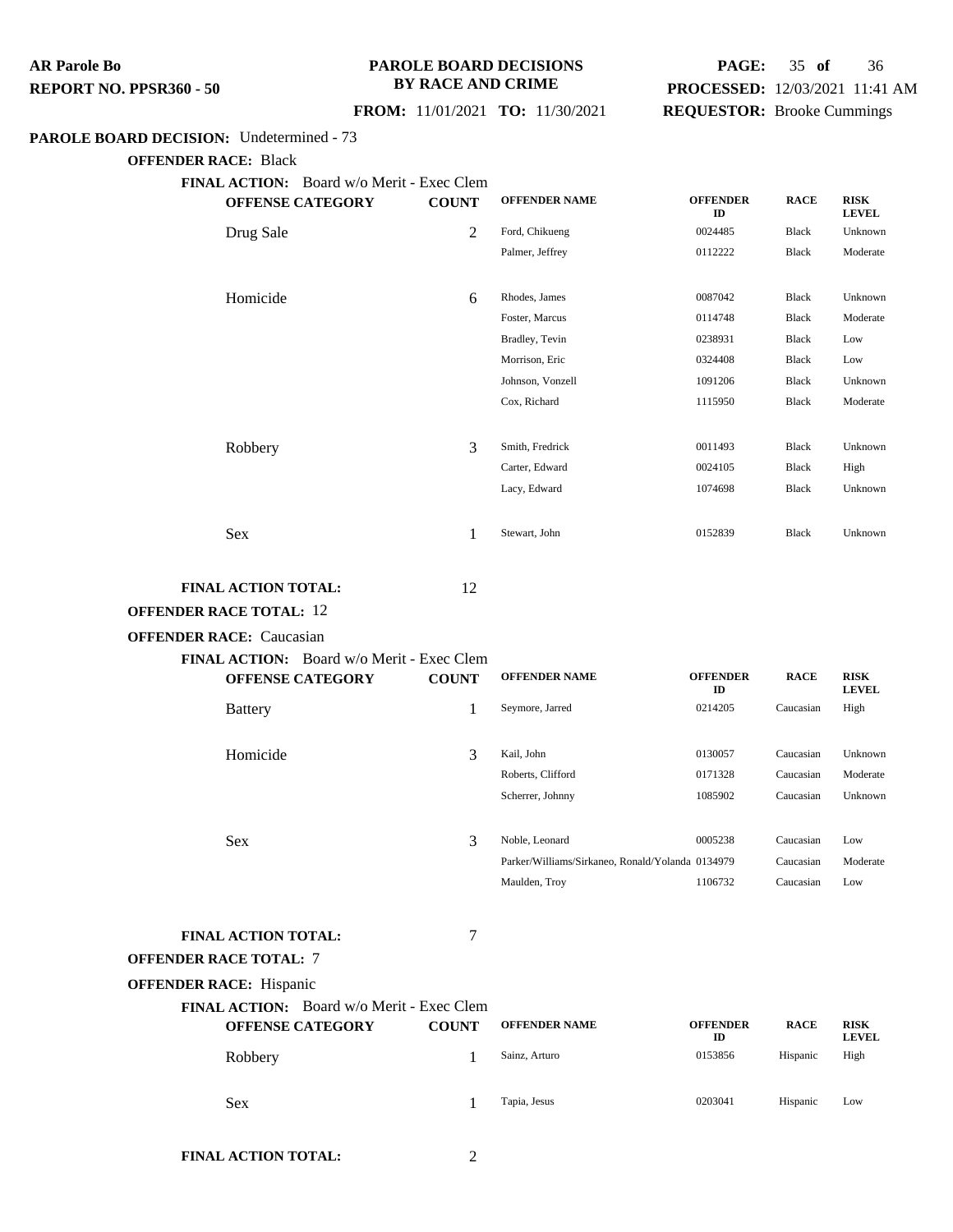#### **PAROLE BOARD DECISIONS BY RACE AND CRIME**

## **PAGE:** 35 **of** 36 **PROCESSED:** 12/03/2021 11:41 AM **REQUESTOR:** Brooke Cummings

### **FROM:** 11/01/2021 **TO:** 11/30/2021

#### **PAROLE BOARD DECISION:** Undetermined - 73

**OFFENDER RACE:** Black

**FINAL ACTION:** Board w/o Merit - Exec Clem

| <b>OFFENSE CATEGORY</b> | <b>COUNT</b> | <b>OFFENDER NAME</b> | <b>OFFENDER</b><br>ID | <b>RACE</b>  | <b>RISK</b><br><b>LEVEL</b> |
|-------------------------|--------------|----------------------|-----------------------|--------------|-----------------------------|
| Drug Sale               | 2            | Ford, Chikueng       | 0024485               | Black        | Unknown                     |
|                         |              | Palmer, Jeffrey      | 0112222               | Black        | Moderate                    |
|                         |              |                      |                       |              |                             |
| Homicide                | 6            | Rhodes, James        | 0087042               | Black        | Unknown                     |
|                         |              | Foster, Marcus       | 0114748               | Black        | Moderate                    |
|                         |              | Bradley, Tevin       | 0238931               | Black        | Low                         |
|                         |              | Morrison, Eric       | 0324408               | Black        | Low                         |
|                         |              | Johnson, Vonzell     | 1091206               | Black        | Unknown                     |
|                         |              | Cox, Richard         | 1115950               | Black        | Moderate                    |
|                         |              |                      |                       |              |                             |
| Robbery                 | 3            | Smith, Fredrick      | 0011493               | Black        | Unknown                     |
|                         |              | Carter, Edward       | 0024105               | Black        | High                        |
|                         |              | Lacy, Edward         | 1074698               | <b>Black</b> | Unknown                     |
|                         |              |                      |                       |              |                             |
| Sex                     | 1            | Stewart, John        | 0152839               | Black        | Unknown                     |
|                         |              |                      |                       |              |                             |

### **FINAL ACTION TOTAL:** 12

### **OFFENDER RACE TOTAL:** 12

#### **OFFENDER RACE:** Caucasian

| FINAL ACTION: Board w/o Merit - Exec Clem            |              |                                                  |                       |             |                             |
|------------------------------------------------------|--------------|--------------------------------------------------|-----------------------|-------------|-----------------------------|
| <b>OFFENSE CATEGORY</b>                              | <b>COUNT</b> | <b>OFFENDER NAME</b>                             | <b>OFFENDER</b><br>ID | <b>RACE</b> | <b>RISK</b><br><b>LEVEL</b> |
| <b>Battery</b>                                       | 1            | Seymore, Jarred                                  | 0214205               | Caucasian   | High                        |
| Homicide                                             | 3            | Kail, John                                       | 0130057               | Caucasian   | Unknown                     |
|                                                      |              | Roberts, Clifford                                | 0171328               | Caucasian   | Moderate                    |
|                                                      |              | Scherrer, Johnny                                 | 1085902               | Caucasian   | Unknown                     |
| <b>Sex</b>                                           | 3            | Noble, Leonard                                   | 0005238               | Caucasian   | Low                         |
|                                                      |              | Parker/Williams/Sirkaneo, Ronald/Yolanda 0134979 |                       | Caucasian   | Moderate                    |
|                                                      |              | Maulden, Troy                                    | 1106732               | Caucasian   | Low                         |
| <b>FINAL ACTION TOTAL:</b><br>OFFENDER RACE TOTAL: 7 | 7            |                                                  |                       |             |                             |
| <b>OFFENDER RACE: Hispanic</b>                       |              |                                                  |                       |             |                             |

**FINAL ACTION:** Board w/o Merit - Exec Clem

| <b>OFFENSE CATEGORY</b> | <b>COUNT</b> | <b>OFFENDER NAME</b> | <b>OFFENDER</b><br>ID | <b>RACE</b> | <b>RISK</b><br><b>LEVEL</b> |
|-------------------------|--------------|----------------------|-----------------------|-------------|-----------------------------|
| Robbery                 |              | Sainz, Arturo        | 0153856               | Hispanic    | High                        |
| Sex                     |              | Tapia, Jesus         | 0203041               | Hispanic    | Low                         |